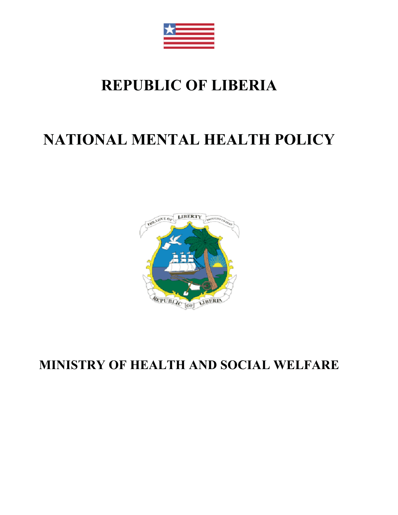

# **REPUBLIC OF LIBERIA**

# **NATIONAL MENTAL HEALTH POLICY**



**MINISTRY OF HEALTH AND SOCIAL WELFARE**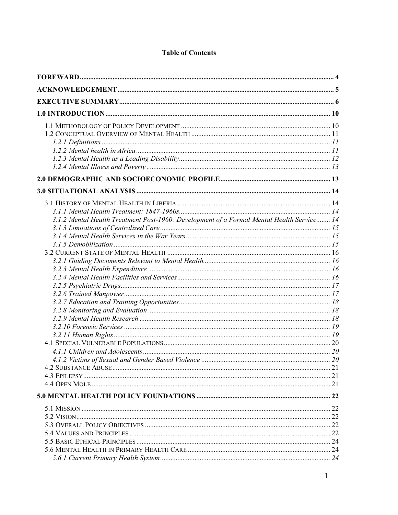|  |  | <b>Table of Contents</b> |
|--|--|--------------------------|
|--|--|--------------------------|

| 3.1.2 Mental Health Treatment Post-1960: Development of a Formal Mental Health Service 14 |  |
|-------------------------------------------------------------------------------------------|--|
|                                                                                           |  |
|                                                                                           |  |
|                                                                                           |  |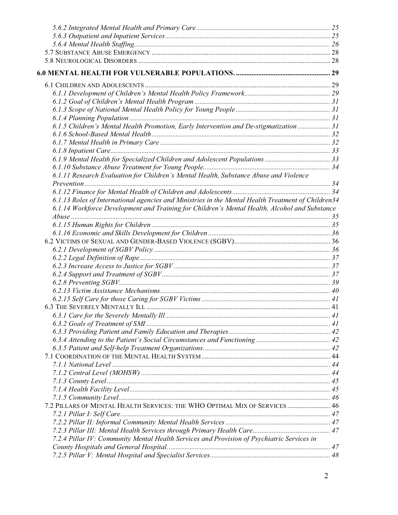| 6.1.5 Children's Mental Health Promotion, Early Intervention and De-stigmatization  31             |  |
|----------------------------------------------------------------------------------------------------|--|
|                                                                                                    |  |
|                                                                                                    |  |
|                                                                                                    |  |
|                                                                                                    |  |
|                                                                                                    |  |
| 6.1.11 Research Evaluation for Children's Mental Health, Substance Abuse and Violence              |  |
|                                                                                                    |  |
|                                                                                                    |  |
| 6.1.13 Roles of International agencies and Ministries in the Mental Health Treatment of Children34 |  |
| 6.1.14 Workforce Development and Training for Children's Mental Health, Alcohol and Substance      |  |
|                                                                                                    |  |
|                                                                                                    |  |
|                                                                                                    |  |
|                                                                                                    |  |
|                                                                                                    |  |
|                                                                                                    |  |
|                                                                                                    |  |
|                                                                                                    |  |
|                                                                                                    |  |
|                                                                                                    |  |
|                                                                                                    |  |
|                                                                                                    |  |
|                                                                                                    |  |
|                                                                                                    |  |
|                                                                                                    |  |
|                                                                                                    |  |
|                                                                                                    |  |
|                                                                                                    |  |
|                                                                                                    |  |
|                                                                                                    |  |
|                                                                                                    |  |
|                                                                                                    |  |
|                                                                                                    |  |
| 7.2 PILLARS OF MENTAL HEALTH SERVICES: THE WHO OPTIMAL MIX OF SERVICES  46                         |  |
|                                                                                                    |  |
|                                                                                                    |  |
|                                                                                                    |  |
| 7.2.4 Pillar IV: Community Mental Health Services and Provision of Psychiatric Services in         |  |
|                                                                                                    |  |
|                                                                                                    |  |
|                                                                                                    |  |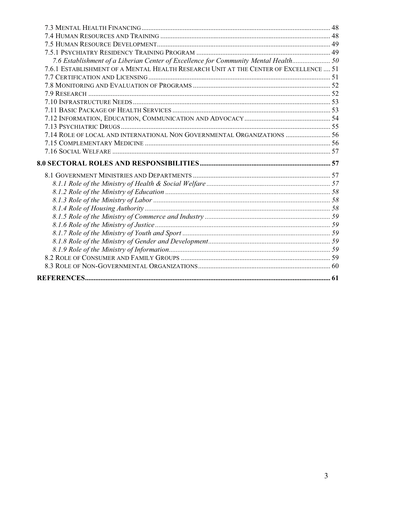| 7.6 Establishment of a Liberian Center of Excellence for Community Mental Health 50  |  |
|--------------------------------------------------------------------------------------|--|
| 7.6.1 ESTABLISHMENT OF A MENTAL HEALTH RESEARCH UNIT AT THE CENTER OF EXCELLENCE  51 |  |
|                                                                                      |  |
|                                                                                      |  |
|                                                                                      |  |
|                                                                                      |  |
|                                                                                      |  |
|                                                                                      |  |
|                                                                                      |  |
| 7.14 ROLE OF LOCAL AND INTERNATIONAL NON GOVERNMENTAL ORGANIZATIONS  56              |  |
|                                                                                      |  |
|                                                                                      |  |
|                                                                                      |  |
|                                                                                      |  |
|                                                                                      |  |
|                                                                                      |  |
|                                                                                      |  |
|                                                                                      |  |
|                                                                                      |  |
|                                                                                      |  |
|                                                                                      |  |
|                                                                                      |  |
|                                                                                      |  |
|                                                                                      |  |
|                                                                                      |  |
|                                                                                      |  |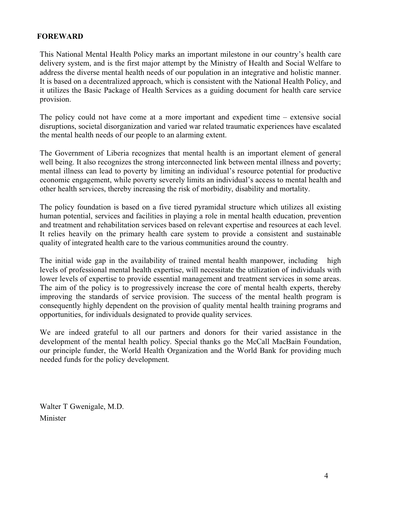# **FOREWARD**

This National Mental Health Policy marks an important milestone in our country's health care delivery system, and is the first major attempt by the Ministry of Health and Social Welfare to address the diverse mental health needs of our population in an integrative and holistic manner. It is based on a decentralized approach, which is consistent with the National Health Policy, and it utilizes the Basic Package of Health Services as a guiding document for health care service provision.

The policy could not have come at a more important and expedient time – extensive social disruptions, societal disorganization and varied war related traumatic experiences have escalated the mental health needs of our people to an alarming extent.

The Government of Liberia recognizes that mental health is an important element of general well being. It also recognizes the strong interconnected link between mental illness and poverty; mental illness can lead to poverty by limiting an individual's resource potential for productive economic engagement, while poverty severely limits an individual's access to mental health and other health services, thereby increasing the risk of morbidity, disability and mortality.

The policy foundation is based on a five tiered pyramidal structure which utilizes all existing human potential, services and facilities in playing a role in mental health education, prevention and treatment and rehabilitation services based on relevant expertise and resources at each level. It relies heavily on the primary health care system to provide a consistent and sustainable quality of integrated health care to the various communities around the country.

The initial wide gap in the availability of trained mental health manpower, including high levels of professional mental health expertise, will necessitate the utilization of individuals with lower levels of expertise to provide essential management and treatment services in some areas. The aim of the policy is to progressively increase the core of mental health experts, thereby improving the standards of service provision. The success of the mental health program is consequently highly dependent on the provision of quality mental health training programs and opportunities, for individuals designated to provide quality services.

We are indeed grateful to all our partners and donors for their varied assistance in the development of the mental health policy. Special thanks go the McCall MacBain Foundation, our principle funder, the World Health Organization and the World Bank for providing much needed funds for the policy development.

Walter T Gwenigale, M.D. Minister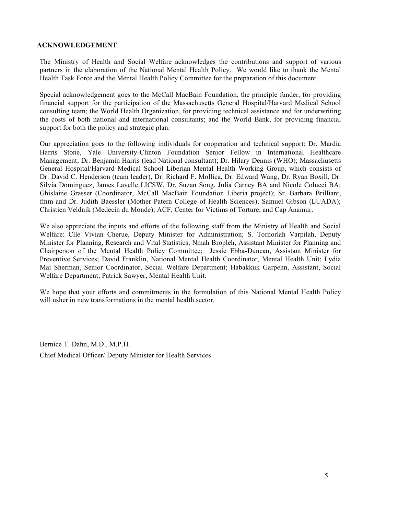#### **ACKNOWLEDGEMENT**

The Ministry of Health and Social Welfare acknowledges the contributions and support of various partners in the elaboration of the National Mental Health Policy. We would like to thank the Mental Health Task Force and the Mental Health Policy Committee for the preparation of this document.

Special acknowledgement goes to the McCall MacBain Foundation, the principle funder, for providing financial support for the participation of the Massachusetts General Hospital/Harvard Medical School consulting team; the World Health Organization, for providing technical assistance and for underwriting the costs of both national and international consultants; and the World Bank, for providing financial support for both the policy and strategic plan.

Our appreciation goes to the following individuals for cooperation and technical support: Dr. Mardia Harris Stone, Yale University-Clinton Foundation Senior Fellow in International Healthcare Management; Dr. Benjamin Harris (lead National consultant); Dr. Hilary Dennis (WHO); Massachusetts General Hospital/Harvard Medical School Liberian Mental Health Working Group, which consists of Dr. David C. Henderson (team leader), Dr. Richard F. Mollica, Dr. Edward Wang, Dr. Ryan Boxill, Dr. Silvia Dominguez, James Lavelle LICSW, Dr. Suzan Song, Julia Carney BA and Nicole Colucci BA; Ghislaine Grasser (Coordinator, McCall MacBain Foundation Liberia project); Sr. Barbara Brilliant, fmm and Dr. Judith Baessler (Mother Patern College of Health Sciences); Samuel Gibson (LUADA); Christien Veldnik (Medecin du Monde); ACF, Center for Victims of Torture, and Cap Anamur.

We also appreciate the inputs and efforts of the following staff from the Ministry of Health and Social Welfare: Clle Vivian Cherue, Deputy Minister for Administration; S. Tornorlah Varpilah, Deputy Minister for Planning, Research and Vital Statistics; Nmah Bropleh, Assistant Minister for Planning and Chairperson of the Mental Health Policy Committee; Jessie Ebba-Duncan, Assistant Minister for Preventive Services; David Franklin, National Mental Health Coordinator, Mental Health Unit; Lydia Mai Sherman, Senior Coordinator, Social Welfare Department; Habakkuk Garpehn, Assistant, Social Welfare Department; Patrick Sawyer, Mental Health Unit.

We hope that your efforts and commitments in the formulation of this National Mental Health Policy will usher in new transformations in the mental health sector.

Bernice T. Dahn, M.D., M.P.H. Chief Medical Officer/ Deputy Minister for Health Services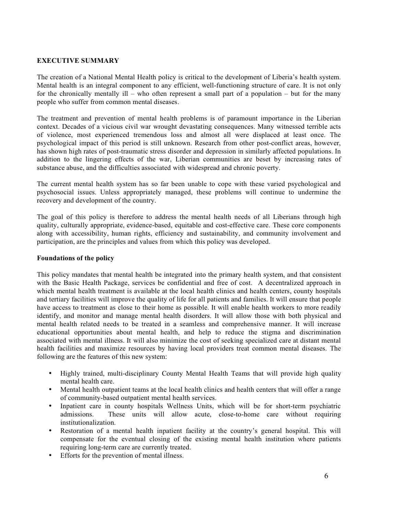## **EXECUTIVE SUMMARY**

The creation of a National Mental Health policy is critical to the development of Liberia's health system. Mental health is an integral component to any efficient, well-functioning structure of care. It is not only for the chronically mentally ill – who often represent a small part of a population – but for the many people who suffer from common mental diseases.

The treatment and prevention of mental health problems is of paramount importance in the Liberian context. Decades of a vicious civil war wrought devastating consequences. Many witnessed terrible acts of violence, most experienced tremendous loss and almost all were displaced at least once. The psychological impact of this period is still unknown. Research from other post-conflict areas, however, has shown high rates of post-traumatic stress disorder and depression in similarly affected populations. In addition to the lingering effects of the war, Liberian communities are beset by increasing rates of substance abuse, and the difficulties associated with widespread and chronic poverty.

The current mental health system has so far been unable to cope with these varied psychological and psychosocial issues. Unless appropriately managed, these problems will continue to undermine the recovery and development of the country.

The goal of this policy is therefore to address the mental health needs of all Liberians through high quality, culturally appropriate, evidence-based, equitable and cost-effective care. These core components along with accessibility, human rights, efficiency and sustainability, and community involvement and participation, are the principles and values from which this policy was developed.

#### **Foundations of the policy**

This policy mandates that mental health be integrated into the primary health system, and that consistent with the Basic Health Package, services be confidential and free of cost. A decentralized approach in which mental health treatment is available at the local health clinics and health centers, county hospitals and tertiary facilities will improve the quality of life for all patients and families. It will ensure that people have access to treatment as close to their home as possible. It will enable health workers to more readily identify, and monitor and manage mental health disorders. It will allow those with both physical and mental health related needs to be treated in a seamless and comprehensive manner. It will increase educational opportunities about mental health, and help to reduce the stigma and discrimination associated with mental illness. It will also minimize the cost of seeking specialized care at distant mental health facilities and maximize resources by having local providers treat common mental diseases. The following are the features of this new system:

- Highly trained, multi-disciplinary County Mental Health Teams that will provide high quality mental health care.
- Mental health outpatient teams at the local health clinics and health centers that will offer a range of community-based outpatient mental health services.
- Inpatient care in county hospitals Wellness Units, which will be for short-term psychiatric admissions. These units will allow acute, close-to-home care without requiring institutionalization.
- Restoration of a mental health inpatient facility at the country's general hospital. This will compensate for the eventual closing of the existing mental health institution where patients requiring long-term care are currently treated.
- Efforts for the prevention of mental illness.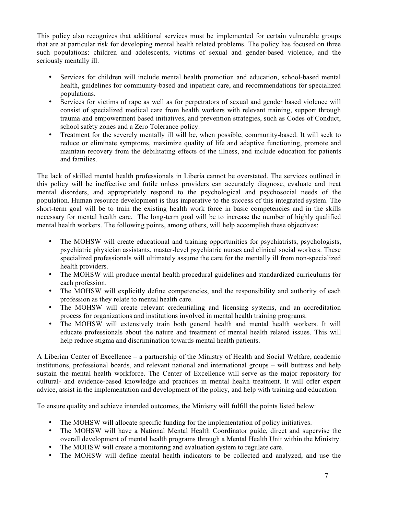This policy also recognizes that additional services must be implemented for certain vulnerable groups that are at particular risk for developing mental health related problems. The policy has focused on three such populations: children and adolescents, victims of sexual and gender-based violence, and the seriously mentally ill.

- Services for children will include mental health promotion and education, school-based mental health, guidelines for community-based and inpatient care, and recommendations for specialized populations.
- Services for victims of rape as well as for perpetrators of sexual and gender based violence will consist of specialized medical care from health workers with relevant training, support through trauma and empowerment based initiatives, and prevention strategies, such as Codes of Conduct, school safety zones and a Zero Tolerance policy.
- Treatment for the severely mentally ill will be, when possible, community-based. It will seek to reduce or eliminate symptoms, maximize quality of life and adaptive functioning, promote and maintain recovery from the debilitating effects of the illness, and include education for patients and families.

The lack of skilled mental health professionals in Liberia cannot be overstated. The services outlined in this policy will be ineffective and futile unless providers can accurately diagnose, evaluate and treat mental disorders, and appropriately respond to the psychological and psychosocial needs of the population. Human resource development is thus imperative to the success of this integrated system. The short-term goal will be to train the existing health work force in basic competencies and in the skills necessary for mental health care. The long-term goal will be to increase the number of highly qualified mental health workers. The following points, among others, will help accomplish these objectives:

- The MOHSW will create educational and training opportunities for psychiatrists, psychologists, psychiatric physician assistants, master-level psychiatric nurses and clinical social workers. These specialized professionals will ultimately assume the care for the mentally ill from non-specialized health providers.
- The MOHSW will produce mental health procedural guidelines and standardized curriculums for each profession.
- The MOHSW will explicitly define competencies, and the responsibility and authority of each profession as they relate to mental health care.
- The MOHSW will create relevant credentialing and licensing systems, and an accreditation process for organizations and institutions involved in mental health training programs.
- The MOHSW will extensively train both general health and mental health workers. It will educate professionals about the nature and treatment of mental health related issues. This will help reduce stigma and discrimination towards mental health patients.

A Liberian Center of Excellence – a partnership of the Ministry of Health and Social Welfare, academic institutions, professional boards, and relevant national and international groups – will buttress and help sustain the mental health workforce. The Center of Excellence will serve as the major repository for cultural- and evidence-based knowledge and practices in mental health treatment. It will offer expert advice, assist in the implementation and development of the policy, and help with training and education.

To ensure quality and achieve intended outcomes, the Ministry will fulfill the points listed below:

- The MOHSW will allocate specific funding for the implementation of policy initiatives.
- The MOHSW will have a National Mental Health Coordinator guide, direct and supervise the overall development of mental health programs through a Mental Health Unit within the Ministry.
- The MOHSW will create a monitoring and evaluation system to regulate care.
- The MOHSW will define mental health indicators to be collected and analyzed, and use the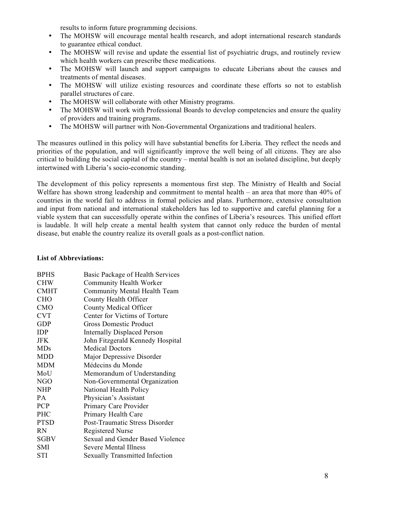results to inform future programming decisions.

- The MOHSW will encourage mental health research, and adopt international research standards to guarantee ethical conduct.
- The MOHSW will revise and update the essential list of psychiatric drugs, and routinely review which health workers can prescribe these medications.
- The MOHSW will launch and support campaigns to educate Liberians about the causes and treatments of mental diseases.
- The MOHSW will utilize existing resources and coordinate these efforts so not to establish parallel structures of care.
- The MOHSW will collaborate with other Ministry programs.
- The MOHSW will work with Professional Boards to develop competencies and ensure the quality of providers and training programs.
- The MOHSW will partner with Non-Governmental Organizations and traditional healers.

The measures outlined in this policy will have substantial benefits for Liberia. They reflect the needs and priorities of the population, and will significantly improve the well being of all citizens. They are also critical to building the social capital of the country – mental health is not an isolated discipline, but deeply intertwined with Liberia's socio-economic standing.

The development of this policy represents a momentous first step. The Ministry of Health and Social Welfare has shown strong leadership and commitment to mental health – an area that more than 40% of countries in the world fail to address in formal policies and plans. Furthermore, extensive consultation and input from national and international stakeholders has led to supportive and careful planning for a viable system that can successfully operate within the confines of Liberia's resources. This unified effort is laudable. It will help create a mental health system that cannot only reduce the burden of mental disease, but enable the country realize its overall goals as a post-conflict nation.

#### **List of Abbreviations:**

| <b>BPHS</b> | Basic Package of Health Services      |
|-------------|---------------------------------------|
| <b>CHW</b>  | Community Health Worker               |
| <b>CMHT</b> | Community Mental Health Team          |
| <b>CHO</b>  | County Health Officer                 |
| <b>CMO</b>  | <b>County Medical Officer</b>         |
| <b>CVT</b>  | Center for Victims of Torture         |
| <b>GDP</b>  | <b>Gross Domestic Product</b>         |
| IDP         | <b>Internally Displaced Person</b>    |
| JFK         | John Fitzgerald Kennedy Hospital      |
| <b>MDs</b>  | <b>Medical Doctors</b>                |
| MDD         | Major Depressive Disorder             |
| <b>MDM</b>  | Médecins du Monde                     |
| MoU         | Memorandum of Understanding           |
| NGO         | Non-Governmental Organization         |
| <b>NHP</b>  | National Health Policy                |
| PA.         | Physician's Assistant                 |
| <b>PCP</b>  | Primary Care Provider                 |
| <b>PHC</b>  | Primary Health Care                   |
| <b>PTSD</b> | Post-Traumatic Stress Disorder        |
| <b>RN</b>   | <b>Registered Nurse</b>               |
| SGBV        | Sexual and Gender Based Violence      |
| SMI         | Severe Mental Illness                 |
| STI         | <b>Sexually Transmitted Infection</b> |
|             |                                       |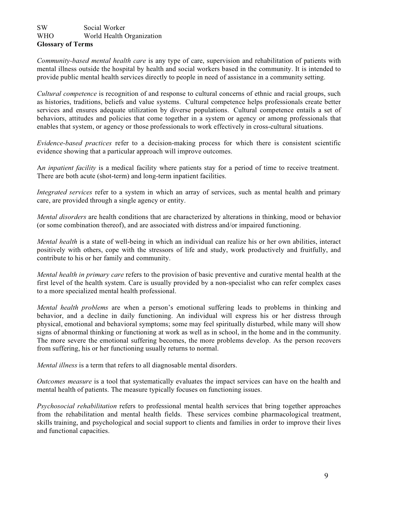#### SW Social Worker WHO World Health Organization **Glossary of Terms**

*Community-based mental health care* is any type of care, supervision and rehabilitation of patients with mental illness outside the hospital by health and social workers based in the community. It is intended to provide public mental health services directly to people in need of assistance in a community setting.

*Cultural competence* is recognition of and response to cultural concerns of ethnic and racial groups, such as histories, traditions, beliefs and value systems. Cultural competence helps professionals create better services and ensures adequate utilization by diverse populations. Cultural competence entails a set of behaviors, attitudes and policies that come together in a system or agency or among professionals that enables that system, or agency or those professionals to work effectively in cross-cultural situations.

*Evidence-based practices* refer to a decision-making process for which there is consistent scientific evidence showing that a particular approach will improve outcomes.

A*n inpatient facility* is a medical facility where patients stay for a period of time to receive treatment. There are both acute (shot-term) and long-term inpatient facilities.

*Integrated services* refer to a system in which an array of services, such as mental health and primary care, are provided through a single agency or entity.

*Mental disorders* are health conditions that are characterized by alterations in thinking, mood or behavior (or some combination thereof), and are associated with distress and/or impaired functioning.

*Mental health* is a state of well-being in which an individual can realize his or her own abilities, interact positively with others, cope with the stressors of life and study, work productively and fruitfully, and contribute to his or her family and community.

*Mental health in primary care* refers to the provision of basic preventive and curative mental health at the first level of the health system. Care is usually provided by a non-specialist who can refer complex cases to a more specialized mental health professional.

*Mental health problems* are when a person's emotional suffering leads to problems in thinking and behavior, and a decline in daily functioning. An individual will express his or her distress through physical, emotional and behavioral symptoms; some may feel spiritually disturbed, while many will show signs of abnormal thinking or functioning at work as well as in school, in the home and in the community. The more severe the emotional suffering becomes, the more problems develop. As the person recovers from suffering, his or her functioning usually returns to normal.

*Mental illness* is a term that refers to all diagnosable mental disorders.

*Outcomes measure* is a tool that systematically evaluates the impact services can have on the health and mental health of patients. The measure typically focuses on functioning issues.

*Psychosocial rehabilitation* refers to professional mental health services that bring together approaches from the rehabilitation and mental health fields. These services combine pharmacological treatment, skills training, and psychological and social support to clients and families in order to improve their lives and functional capacities.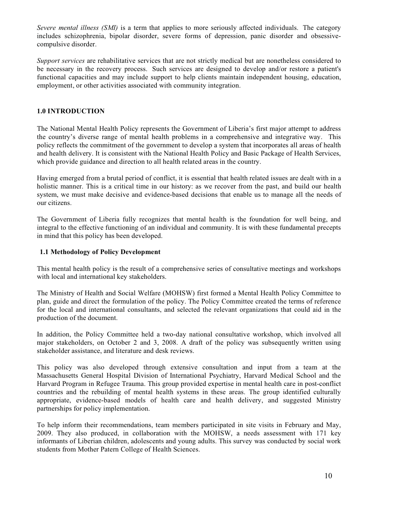*Severe mental illness (SMI)* is a term that applies to more seriously affected individuals. The category includes schizophrenia, bipolar disorder, severe forms of depression, panic disorder and obsessivecompulsive disorder.

*Support services* are rehabilitative services that are not strictly medical but are nonetheless considered to be necessary in the recovery process. Such services are designed to develop and/or restore a patient's functional capacities and may include support to help clients maintain independent housing, education, employment, or other activities associated with community integration.

## **1.0 INTRODUCTION**

The National Mental Health Policy represents the Government of Liberia's first major attempt to address the country's diverse range of mental health problems in a comprehensive and integrative way. This policy reflects the commitment of the government to develop a system that incorporates all areas of health and health delivery. It is consistent with the National Health Policy and Basic Package of Health Services, which provide guidance and direction to all health related areas in the country.

Having emerged from a brutal period of conflict, it is essential that health related issues are dealt with in a holistic manner. This is a critical time in our history: as we recover from the past, and build our health system, we must make decisive and evidence-based decisions that enable us to manage all the needs of our citizens.

The Government of Liberia fully recognizes that mental health is the foundation for well being, and integral to the effective functioning of an individual and community. It is with these fundamental precepts in mind that this policy has been developed.

#### **1.1 Methodology of Policy Development**

This mental health policy is the result of a comprehensive series of consultative meetings and workshops with local and international key stakeholders.

The Ministry of Health and Social Welfare (MOHSW) first formed a Mental Health Policy Committee to plan, guide and direct the formulation of the policy. The Policy Committee created the terms of reference for the local and international consultants, and selected the relevant organizations that could aid in the production of the document.

In addition, the Policy Committee held a two-day national consultative workshop, which involved all major stakeholders, on October 2 and 3, 2008. A draft of the policy was subsequently written using stakeholder assistance, and literature and desk reviews.

This policy was also developed through extensive consultation and input from a team at the Massachusetts General Hospital Division of International Psychiatry, Harvard Medical School and the Harvard Program in Refugee Trauma. This group provided expertise in mental health care in post-conflict countries and the rebuilding of mental health systems in these areas. The group identified culturally appropriate, evidence-based models of health care and health delivery, and suggested Ministry partnerships for policy implementation.

To help inform their recommendations, team members participated in site visits in February and May, 2009. They also produced, in collaboration with the MOHSW, a needs assessment with 171 key informants of Liberian children, adolescents and young adults. This survey was conducted by social work students from Mother Patern College of Health Sciences.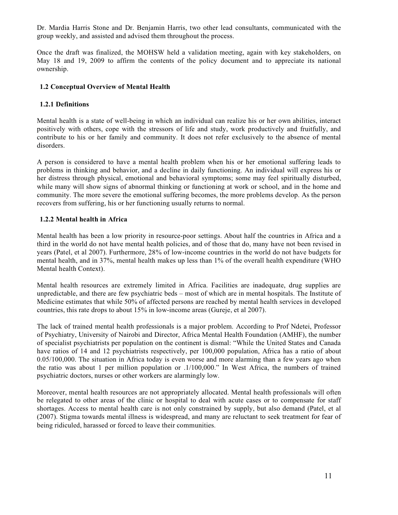Dr. Mardia Harris Stone and Dr. Benjamin Harris, two other lead consultants, communicated with the group weekly, and assisted and advised them throughout the process.

Once the draft was finalized, the MOHSW held a validation meeting, again with key stakeholders, on May 18 and 19, 2009 to affirm the contents of the policy document and to appreciate its national ownership.

#### **1.2 Conceptual Overview of Mental Health**

#### **1.2.1 Definitions**

Mental health is a state of well-being in which an individual can realize his or her own abilities, interact positively with others, cope with the stressors of life and study, work productively and fruitfully, and contribute to his or her family and community. It does not refer exclusively to the absence of mental disorders.

A person is considered to have a mental health problem when his or her emotional suffering leads to problems in thinking and behavior, and a decline in daily functioning. An individual will express his or her distress through physical, emotional and behavioral symptoms; some may feel spiritually disturbed, while many will show signs of abnormal thinking or functioning at work or school, and in the home and community. The more severe the emotional suffering becomes, the more problems develop. As the person recovers from suffering, his or her functioning usually returns to normal.

#### **1.2.2 Mental health in Africa**

Mental health has been a low priority in resource-poor settings. About half the countries in Africa and a third in the world do not have mental health policies, and of those that do, many have not been revised in years (Patel, et al 2007). Furthermore, 28% of low-income countries in the world do not have budgets for mental health, and in 37%, mental health makes up less than 1% of the overall health expenditure (WHO Mental health Context).

Mental health resources are extremely limited in Africa. Facilities are inadequate, drug supplies are unpredictable, and there are few psychiatric beds – most of which are in mental hospitals. The Institute of Medicine estimates that while 50% of affected persons are reached by mental health services in developed countries, this rate drops to about 15% in low-income areas (Gureje, et al 2007).

The lack of trained mental health professionals is a major problem. According to Prof Ndetei, Professor of Psychiatry, University of Nairobi and Director, Africa Mental Health Foundation (AMHF), the number of specialist psychiatrists per population on the continent is dismal: "While the United States and Canada have ratios of 14 and 12 psychiatrists respectively, per 100,000 population, Africa has a ratio of about 0.05/100,000. The situation in Africa today is even worse and more alarming than a few years ago when the ratio was about 1 per million population or .1/100,000." In West Africa, the numbers of trained psychiatric doctors, nurses or other workers are alarmingly low.

Moreover, mental health resources are not appropriately allocated. Mental health professionals will often be relegated to other areas of the clinic or hospital to deal with acute cases or to compensate for staff shortages. Access to mental health care is not only constrained by supply, but also demand (Patel, et al (2007). Stigma towards mental illness is widespread, and many are reluctant to seek treatment for fear of being ridiculed, harassed or forced to leave their communities.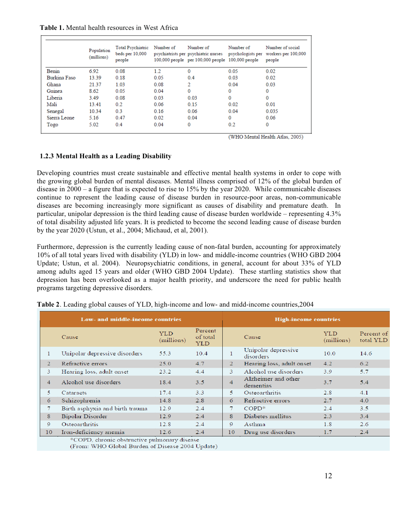**Table 1.** Mental health resources in West Africa

|              | Population<br>(millions) | Total Psychiatric<br>beds per 10,000<br>people | Number of | Number of<br>psychiatrists per psychiatric nurses<br>100,000 people per 100,000 people 100,000 people | Number of<br>psychologists per | Number of social<br>workers per 100,000<br>people |
|--------------|--------------------------|------------------------------------------------|-----------|-------------------------------------------------------------------------------------------------------|--------------------------------|---------------------------------------------------|
| Benin        | 6.92                     | 0.08                                           | 1.2       | 0                                                                                                     | 0.05                           | 0.02                                              |
| Burkina Faso | 13.39                    | 0.18                                           | 0.05      | 0.4                                                                                                   | 0.03                           | 0.02                                              |
| Ghana        | 21.37                    | 1.03                                           | 0.08      | 2                                                                                                     | 0.04                           | 0.03                                              |
| Guinea       | 8.62                     | 0.05                                           | 0.04      | 0                                                                                                     | 0                              | $\Omega$                                          |
| Liberia      | 3.49                     | 0.08                                           | 0.03      | 0.03                                                                                                  | 0                              | 0                                                 |
| Mali         | 1341                     | 0.2                                            | 0.06      | 0.15                                                                                                  | 0.02                           | 0.01                                              |
| Senegal      | 10.34                    | 0.3                                            | 0.16      | 0.06                                                                                                  | 0.04                           | 0.035                                             |
| Sierra Leone | 5.16                     | 0.47                                           | 0.02      | 0.04                                                                                                  | $\bf{0}$                       | 0.06                                              |
| Togo         | 5.02                     | 0.4                                            | 0.04      | 0                                                                                                     | 0.2                            | 0                                                 |

(WHO Mental Health Atlas, 2005)

# **1.2.3 Mental Health as a Leading Disability**

Developing countries must create sustainable and effective mental health systems in order to cope with the growing global burden of mental diseases. Mental illness comprised of 12% of the global burden of disease in 2000 – a figure that is expected to rise to 15% by the year 2020. While communicable diseases continue to represent the leading cause of disease burden in resource-poor areas, non-communicable diseases are becoming increasingly more significant as causes of disability and premature death. In particular, unipolar depression is the third leading cause of disease burden worldwide – representing 4.3% of total disability adjusted life years. It is predicted to become the second leading cause of disease burden by the year 2020 (Ustun, et al., 2004; Michaud, et al, 2001).

Furthermore, depression is the currently leading cause of non-fatal burden, accounting for approximately 10% of all total years lived with disability (YLD) in low- and middle-income countries (WHO GBD 2004 Update; Ustun, et al. 2004). Neuropsychiatric conditions, in general, account for about 33% of YLD among adults aged 15 years and older (WHO GBD 2004 Update). These startling statistics show that depression has been overlooked as a major health priority, and underscore the need for public health programs targeting depressive disorders.

| Low- and middle-income countries |                                                    |                          | <b>High-income countries</b> |    |                                  |                          |                         |
|----------------------------------|----------------------------------------------------|--------------------------|------------------------------|----|----------------------------------|--------------------------|-------------------------|
|                                  | Cause                                              | <b>YLD</b><br>(millions) | Percent<br>of total<br>YLD   |    | Cause                            | <b>YLD</b><br>(millions) | Percent of<br>total YLD |
| 1                                | Unipolar depressive disorders                      | 55.3                     | 10.4                         |    | Unipolar depressive<br>disorders | 10.0                     | 14.6                    |
| $\overline{2}$                   | Refractive errors                                  | 25.0                     | 4.7                          | 2  | Hearing loss, adult onset        | 4.2                      | 6.2                     |
| 3                                | Hearing loss, adult onset                          | 23.2                     | 4.4                          | 3  | Alcohol use disorders            | 3.9                      | 5.7                     |
| $\overline{4}$                   | Alcohol use disorders                              | 18.4                     | 3.5                          | 4  | Alzheimer and other<br>dementias | 3.7                      | 5.4                     |
| 5.                               | Cataracts                                          | 17.4                     | 3.3                          | 5  | Osteoarthritis                   | 2.8                      | 4.1                     |
| 6                                | Schizophrenia                                      | 14.8                     | 2.8                          | 6  | Refractive errors                | 2.7                      | 4.0                     |
| 7                                | Birth asphyxia and birth trauma                    | 12.9                     | 2.4                          |    | $COPD^*$                         | 2.4                      | $3.5^{\circ}$           |
| 8                                | Bipolar Disorder                                   | 12.9                     | 2.4                          | 8  | Diabetes mellitus                | 2.3                      | 3.4                     |
| 9                                | Osteoarthritis                                     | 12.8                     | 2.4                          | 9  | Asthma                           | 1.8                      | 2.6                     |
| 10                               | Iron-deficiency anemia<br><b>Contract Contract</b> | 12.6<br>$-1$             | 2.4                          | 10 | Drug use disorders               | 1.7                      | 2.4                     |

|  |  | Table 2. Leading global causes of YLD, high-income and low- and midd-income countries, 2004 |
|--|--|---------------------------------------------------------------------------------------------|
|--|--|---------------------------------------------------------------------------------------------|

\*COPD, chronic obstructive pulmonary disease

(From: WHO Global Burden of Disease 2004 Update)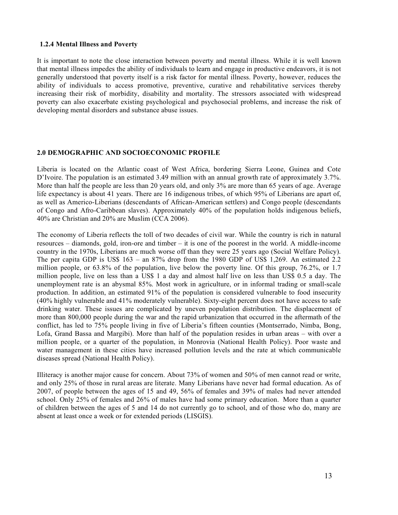#### **1.2.4 Mental Illness and Poverty**

It is important to note the close interaction between poverty and mental illness. While it is well known that mental illness impedes the ability of individuals to learn and engage in productive endeavors, it is not generally understood that poverty itself is a risk factor for mental illness. Poverty, however, reduces the ability of individuals to access promotive, preventive, curative and rehabilitative services thereby increasing their risk of morbidity, disability and mortality. The stressors associated with widespread poverty can also exacerbate existing psychological and psychosocial problems, and increase the risk of developing mental disorders and substance abuse issues.

#### **2.0 DEMOGRAPHIC AND SOCIOECONOMIC PROFILE**

Liberia is located on the Atlantic coast of West Africa, bordering Sierra Leone, Guinea and Cote D'Ivoire. The population is an estimated 3.49 million with an annual growth rate of approximately 3.7%. More than half the people are less than 20 years old, and only 3% are more than 65 years of age. Average life expectancy is about 41 years. There are 16 indigenous tribes, of which 95% of Liberians are apart of, as well as Americo-Liberians (descendants of African-American settlers) and Congo people (descendants of Congo and Afro-Caribbean slaves). Approximately 40% of the population holds indigenous beliefs, 40% are Christian and 20% are Muslim (CCA 2006).

The economy of Liberia reflects the toll of two decades of civil war. While the country is rich in natural resources – diamonds, gold, iron-ore and timber – it is one of the poorest in the world. A middle-income country in the 1970s, Liberians are much worse off than they were 25 years ago (Social Welfare Policy). The per capita GDP is US\$  $163 - an 87\%$  drop from the 1980 GDP of US\$ 1,269. An estimated 2.2 million people, or 63.8% of the population, live below the poverty line. Of this group, 76.2%, or 1.7 million people, live on less than a US\$ 1 a day and almost half live on less than US\$ 0.5 a day. The unemployment rate is an abysmal 85%. Most work in agriculture, or in informal trading or small-scale production. In addition, an estimated 91% of the population is considered vulnerable to food insecurity (40% highly vulnerable and 41% moderately vulnerable). Sixty-eight percent does not have access to safe drinking water. These issues are complicated by uneven population distribution. The displacement of more than 800,000 people during the war and the rapid urbanization that occurred in the aftermath of the conflict, has led to 75% people living in five of Liberia's fifteen counties (Montserrado, Nimba, Bong, Lofa, Grand Bassa and Margibi). More than half of the population resides in urban areas – with over a million people, or a quarter of the population, in Monrovia (National Health Policy). Poor waste and water management in these cities have increased pollution levels and the rate at which communicable diseases spread (National Health Policy).

Illiteracy is another major cause for concern. About 73% of women and 50% of men cannot read or write, and only 25% of those in rural areas are literate. Many Liberians have never had formal education. As of 2007, of people between the ages of 15 and 49, 56% of females and 39% of males had never attended school. Only 25% of females and 26% of males have had some primary education. More than a quarter of children between the ages of 5 and 14 do not currently go to school, and of those who do, many are absent at least once a week or for extended periods (LISGIS).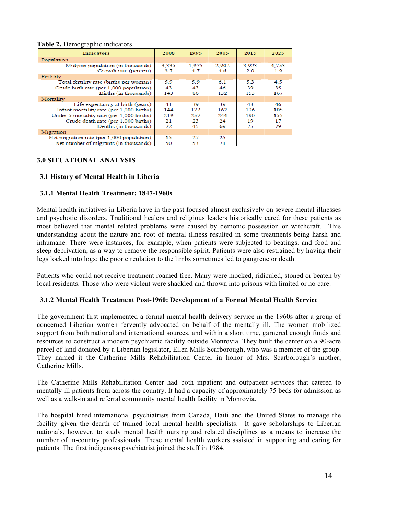#### **Table 2.** Demographic indicators

| <b>Indicators</b>                         | 2008  | 1995  | 2005  | 2015  | 2025  |
|-------------------------------------------|-------|-------|-------|-------|-------|
| Population                                |       |       |       |       |       |
| Midyear population (in thousands)         | 3,335 | 1,975 | 2,902 | 3.923 | 4.753 |
| Growth rate (percent)                     | 3.7   | 4.7   | 4.6   | 2.0   | 1.9   |
| Fertility                                 |       |       |       |       |       |
| Total fertility rate (births per woman)   | 5.9   | 59    | 6.1   | 5.3   | 4.5   |
| Crude birth rate (per 1,000 population)   | 43    | 43    | 46    | 39    | 35    |
| Births (in thousands)                     | 143   | 86    | 132   | 153   | 167   |
| Mortality                                 |       |       |       |       |       |
| Life expectancy at birth (years)          | 41    | 39    | 39    | 43    | 46    |
| Infant mortality rate (per 1,000 births)  | 144   | 172   | 162   | 126   | 105   |
| Under 5 mortality rate (per 1,000 births) | 219   | 257   | 244   | 190   | 155   |
| Crude death rate (per 1,000 births)       | 21    | 23    | 24    | 19    | 17    |
| Deaths (in thousands)                     | 72    | 45    | 69    | 75    | 79    |
| Migration                                 |       |       |       |       |       |
| Net migration rate (per 1,000 population) | 15    | 27    | 25    |       |       |
| Net number of migrants (in thousands)     | 50    | 53    | 71    |       |       |

#### **3.0 SITUATIONAL ANALYSIS**

#### **3.1 History of Mental Health in Liberia**

#### **3.1.1 Mental Health Treatment: 1847-1960s**

Mental health initiatives in Liberia have in the past focused almost exclusively on severe mental illnesses and psychotic disorders. Traditional healers and religious leaders historically cared for these patients as most believed that mental related problems were caused by demonic possession or witchcraft. This understanding about the nature and root of mental illness resulted in some treatments being harsh and inhumane. There were instances, for example, when patients were subjected to beatings, and food and sleep deprivation, as a way to remove the responsible spirit. Patients were also restrained by having their legs locked into logs; the poor circulation to the limbs sometimes led to gangrene or death.

Patients who could not receive treatment roamed free. Many were mocked, ridiculed, stoned or beaten by local residents. Those who were violent were shackled and thrown into prisons with limited or no care.

#### **3.1.2 Mental Health Treatment Post-1960: Development of a Formal Mental Health Service**

The government first implemented a formal mental health delivery service in the 1960s after a group of concerned Liberian women fervently advocated on behalf of the mentally ill. The women mobilized support from both national and international sources, and within a short time, garnered enough funds and resources to construct a modern psychiatric facility outside Monrovia. They built the center on a 90-acre parcel of land donated by a Liberian legislator, Ellen Mills Scarborough, who was a member of the group. They named it the Catherine Mills Rehabilitation Center in honor of Mrs. Scarborough's mother, Catherine Mills.

The Catherine Mills Rehabilitation Center had both inpatient and outpatient services that catered to mentally ill patients from across the country. It had a capacity of approximately 75 beds for admission as well as a walk-in and referral community mental health facility in Monrovia.

The hospital hired international psychiatrists from Canada, Haiti and the United States to manage the facility given the dearth of trained local mental health specialists. It gave scholarships to Liberian nationals, however, to study mental health nursing and related disciplines as a means to increase the number of in-country professionals. These mental health workers assisted in supporting and caring for patients. The first indigenous psychiatrist joined the staff in 1984.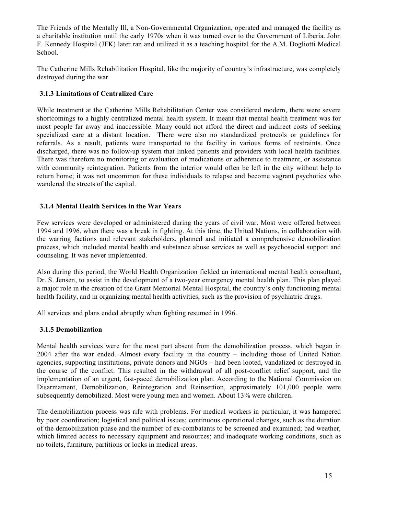The Friends of the Mentally Ill, a Non-Governmental Organization, operated and managed the facility as a charitable institution until the early 1970s when it was turned over to the Government of Liberia. John F. Kennedy Hospital (JFK) later ran and utilized it as a teaching hospital for the A.M. Dogliotti Medical School.

The Catherine Mills Rehabilitation Hospital, like the majority of country's infrastructure, was completely destroyed during the war.

## **3.1.3 Limitations of Centralized Care**

While treatment at the Catherine Mills Rehabilitation Center was considered modern, there were severe shortcomings to a highly centralized mental health system. It meant that mental health treatment was for most people far away and inaccessible. Many could not afford the direct and indirect costs of seeking specialized care at a distant location. There were also no standardized protocols or guidelines for referrals. As a result, patients were transported to the facility in various forms of restraints. Once discharged, there was no follow-up system that linked patients and providers with local health facilities. There was therefore no monitoring or evaluation of medications or adherence to treatment, or assistance with community reintegration. Patients from the interior would often be left in the city without help to return home; it was not uncommon for these individuals to relapse and become vagrant psychotics who wandered the streets of the capital.

#### **3.1.4 Mental Health Services in the War Years**

Few services were developed or administered during the years of civil war. Most were offered between 1994 and 1996, when there was a break in fighting. At this time, the United Nations, in collaboration with the warring factions and relevant stakeholders, planned and initiated a comprehensive demobilization process, which included mental health and substance abuse services as well as psychosocial support and counseling. It was never implemented.

Also during this period, the World Health Organization fielded an international mental health consultant, Dr. S. Jensen, to assist in the development of a two-year emergency mental health plan. This plan played a major role in the creation of the Grant Memorial Mental Hospital, the country's only functioning mental health facility, and in organizing mental health activities, such as the provision of psychiatric drugs.

All services and plans ended abruptly when fighting resumed in 1996.

#### **3.1.5 Demobilization**

Mental health services were for the most part absent from the demobilization process, which began in 2004 after the war ended. Almost every facility in the country – including those of United Nation agencies, supporting institutions, private donors and NGOs – had been looted, vandalized or destroyed in the course of the conflict. This resulted in the withdrawal of all post-conflict relief support, and the implementation of an urgent, fast-paced demobilization plan. According to the National Commission on Disarmament, Demobilization, Reintegration and Reinsertion, approximately 101,000 people were subsequently demobilized. Most were young men and women. About 13% were children.

The demobilization process was rife with problems. For medical workers in particular, it was hampered by poor coordination; logistical and political issues; continuous operational changes, such as the duration of the demobilization phase and the number of ex-combatants to be screened and examined; bad weather, which limited access to necessary equipment and resources; and inadequate working conditions, such as no toilets, furniture, partitions or locks in medical areas.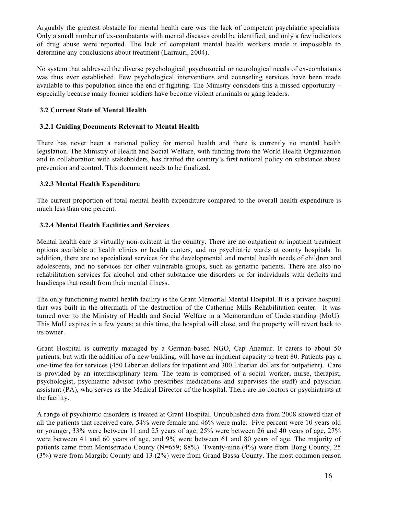Arguably the greatest obstacle for mental health care was the lack of competent psychiatric specialists. Only a small number of ex-combatants with mental diseases could be identified, and only a few indicators of drug abuse were reported. The lack of competent mental health workers made it impossible to determine any conclusions about treatment (Larrauri, 2004).

No system that addressed the diverse psychological, psychosocial or neurological needs of ex-combatants was thus ever established. Few psychological interventions and counseling services have been made available to this population since the end of fighting. The Ministry considers this a missed opportunity – especially because many former soldiers have become violent criminals or gang leaders.

## **3.2 Current State of Mental Health**

## **3.2.1 Guiding Documents Relevant to Mental Health**

There has never been a national policy for mental health and there is currently no mental health legislation. The Ministry of Health and Social Welfare, with funding from the World Health Organization and in collaboration with stakeholders, has drafted the country's first national policy on substance abuse prevention and control. This document needs to be finalized.

## **3.2.3 Mental Health Expenditure**

The current proportion of total mental health expenditure compared to the overall health expenditure is much less than one percent.

## **3.2.4 Mental Health Facilities and Services**

Mental health care is virtually non-existent in the country. There are no outpatient or inpatient treatment options available at health clinics or health centers, and no psychiatric wards at county hospitals. In addition, there are no specialized services for the developmental and mental health needs of children and adolescents, and no services for other vulnerable groups, such as geriatric patients. There are also no rehabilitation services for alcohol and other substance use disorders or for individuals with deficits and handicaps that result from their mental illness.

The only functioning mental health facility is the Grant Memorial Mental Hospital. It is a private hospital that was built in the aftermath of the destruction of the Catherine Mills Rehabilitation center. It was turned over to the Ministry of Health and Social Welfare in a Memorandum of Understanding (MoU). This MoU expires in a few years; at this time, the hospital will close, and the property will revert back to its owner.

Grant Hospital is currently managed by a German-based NGO, Cap Anamur. It caters to about 50 patients, but with the addition of a new building, will have an inpatient capacity to treat 80. Patients pay a one-time fee for services (450 Liberian dollars for inpatient and 300 Liberian dollars for outpatient). Care is provided by an interdisciplinary team. The team is comprised of a social worker, nurse, therapist, psychologist, psychiatric advisor (who prescribes medications and supervises the staff) and physician assistant (PA), who serves as the Medical Director of the hospital. There are no doctors or psychiatrists at the facility.

A range of psychiatric disorders is treated at Grant Hospital. Unpublished data from 2008 showed that of all the patients that received care, 54% were female and 46% were male. Five percent were 10 years old or younger, 33% were between 11 and 25 years of age, 25% were between 26 and 40 years of age, 27% were between 41 and 60 years of age, and 9% were between 61 and 80 years of age. The majority of patients came from Montserrado County (N=659; 88%). Twenty-nine (4%) were from Bong County, 25 (3%) were from Margibi County and 13 (2%) were from Grand Bassa County. The most common reason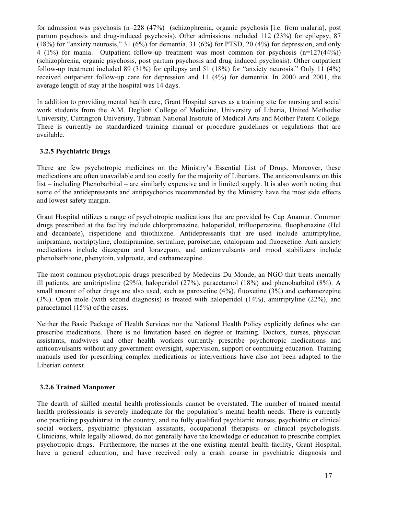for admission was psychosis (n=228 (47%) (schizophrenia, organic psychosis [i.e. from malaria], post partum psychosis and drug-induced psychosis). Other admissions included 112 (23%) for epilepsy, 87 (18%) for "anxiety neurosis," 31 (6%) for dementia, 31 (6%) for PTSD, 20 (4%) for depression, and only 4 (1%) for mania. Outpatient follow-up treatment was most common for psychosis (n=127(44%)) (schizophrenia, organic psychosis, post partum psychosis and drug induced psychosis). Other outpatient follow-up treatment included 89 (31%) for epilepsy and 51 (18%) for "anxiety neurosis." Only 11 (4%) received outpatient follow-up care for depression and 11 (4%) for dementia. In 2000 and 2001, the average length of stay at the hospital was 14 days.

In addition to providing mental health care, Grant Hospital serves as a training site for nursing and social work students from the A.M. Deglioti College of Medicine, University of Liberia, United Methodist University, Cuttington University, Tubman National Institute of Medical Arts and Mother Patern College. There is currently no standardized training manual or procedure guidelines or regulations that are available.

## **3.2.5 Psychiatric Drugs**

There are few psychotropic medicines on the Ministry's Essential List of Drugs. Moreover, these medications are often unavailable and too costly for the majority of Liberians. The anticonvulsants on this list – including Phenobarbital – are similarly expensive and in limited supply. It is also worth noting that some of the antidepressants and antipsychotics recommended by the Ministry have the most side effects and lowest safety margin.

Grant Hospital utilizes a range of psychotropic medications that are provided by Cap Anamur. Common drugs prescribed at the facility include chlorpromazine, haloperidol, trifluoperazine, fluophenazine (Hcl and decanoate), risperidone and thiothixene. Antidepressants that are used include amitriptyline, imipramine, nortriptyline, clomipramine, sertraline, paroixetine, citalopram and fluoexetine. Anti anxiety medications include diazepam and lorazepam, and anticonvulsants and mood stabilizers include phenobarbitone, phenytoin, valproate, and carbamezepine.

The most common psychotropic drugs prescribed by Medecins Du Monde, an NGO that treats mentally ill patients, are amitriptyline (29%), haloperidol (27%), paracetamol (18%) and phenobarbitol (8%). A small amount of other drugs are also used, such as paroxetine (4%), fluoxetine (3%) and carbamezepine (3%). Open mole (with second diagnosis) is treated with haloperidol (14%), amitriptyline (22%), and paracetamol (15%) of the cases.

Neither the Basic Package of Health Services nor the National Health Policy explicitly defines who can prescribe medications. There is no limitation based on degree or training. Doctors, nurses, physician assistants, midwives and other health workers currently prescribe psychotropic medications and anticonvulsants without any government oversight, supervision, support or continuing education. Training manuals used for prescribing complex medications or interventions have also not been adapted to the Liberian context.

#### **3.2.6 Trained Manpower**

The dearth of skilled mental health professionals cannot be overstated. The number of trained mental health professionals is severely inadequate for the population's mental health needs. There is currently one practicing psychiatrist in the country, and no fully qualified psychiatric nurses, psychiatric or clinical social workers, psychiatric physician assistants, occupational therapists or clinical psychologists. Clinicians, while legally allowed, do not generally have the knowledge or education to prescribe complex psychotropic drugs. Furthermore, the nurses at the one existing mental health facility, Grant Hospital, have a general education, and have received only a crash course in psychiatric diagnosis and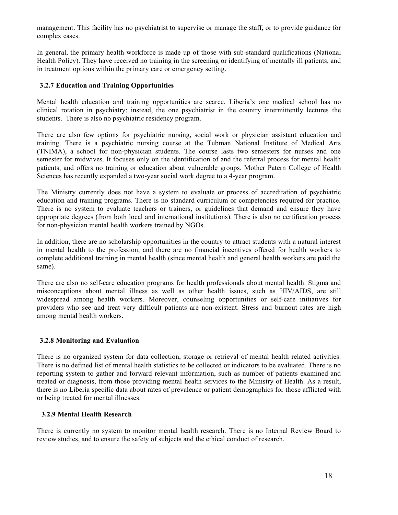management. This facility has no psychiatrist to supervise or manage the staff, or to provide guidance for complex cases.

In general, the primary health workforce is made up of those with sub-standard qualifications (National Health Policy). They have received no training in the screening or identifying of mentally ill patients, and in treatment options within the primary care or emergency setting.

#### **3.2.7 Education and Training Opportunities**

Mental health education and training opportunities are scarce. Liberia's one medical school has no clinical rotation in psychiatry; instead, the one psychiatrist in the country intermittently lectures the students. There is also no psychiatric residency program.

There are also few options for psychiatric nursing, social work or physician assistant education and training. There is a psychiatric nursing course at the Tubman National Institute of Medical Arts (TNIMA), a school for non-physician students. The course lasts two semesters for nurses and one semester for midwives. It focuses only on the identification of and the referral process for mental health patients, and offers no training or education about vulnerable groups. Mother Patern College of Health Sciences has recently expanded a two-year social work degree to a 4-year program.

The Ministry currently does not have a system to evaluate or process of accreditation of psychiatric education and training programs. There is no standard curriculum or competencies required for practice. There is no system to evaluate teachers or trainers, or guidelines that demand and ensure they have appropriate degrees (from both local and international institutions). There is also no certification process for non-physician mental health workers trained by NGOs.

In addition, there are no scholarship opportunities in the country to attract students with a natural interest in mental health to the profession, and there are no financial incentives offered for health workers to complete additional training in mental health (since mental health and general health workers are paid the same).

There are also no self-care education programs for health professionals about mental health. Stigma and misconceptions about mental illness as well as other health issues, such as HIV/AIDS, are still widespread among health workers. Moreover, counseling opportunities or self-care initiatives for providers who see and treat very difficult patients are non-existent. Stress and burnout rates are high among mental health workers.

#### **3.2.8 Monitoring and Evaluation**

There is no organized system for data collection, storage or retrieval of mental health related activities. There is no defined list of mental health statistics to be collected or indicators to be evaluated. There is no reporting system to gather and forward relevant information, such as number of patients examined and treated or diagnosis, from those providing mental health services to the Ministry of Health. As a result, there is no Liberia specific data about rates of prevalence or patient demographics for those afflicted with or being treated for mental illnesses.

#### **3.2.9 Mental Health Research**

There is currently no system to monitor mental health research. There is no Internal Review Board to review studies, and to ensure the safety of subjects and the ethical conduct of research.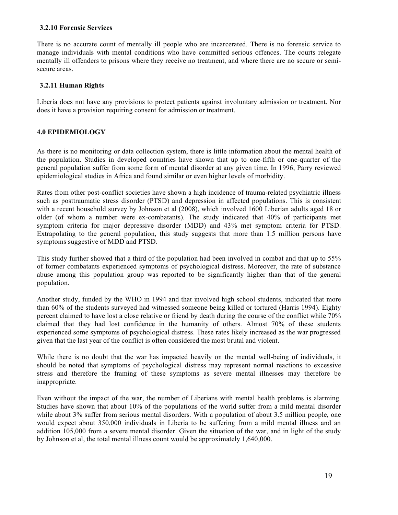#### **3.2.10 Forensic Services**

There is no accurate count of mentally ill people who are incarcerated. There is no forensic service to manage individuals with mental conditions who have committed serious offences. The courts relegate mentally ill offenders to prisons where they receive no treatment, and where there are no secure or semisecure areas.

#### **3.2.11 Human Rights**

Liberia does not have any provisions to protect patients against involuntary admission or treatment. Nor does it have a provision requiring consent for admission or treatment.

#### **4.0 EPIDEMIOLOGY**

As there is no monitoring or data collection system, there is little information about the mental health of the population. Studies in developed countries have shown that up to one-fifth or one-quarter of the general population suffer from some form of mental disorder at any given time. In 1996, Parry reviewed epidemiological studies in Africa and found similar or even higher levels of morbidity.

Rates from other post-conflict societies have shown a high incidence of trauma-related psychiatric illness such as posttraumatic stress disorder (PTSD) and depression in affected populations. This is consistent with a recent household survey by Johnson et al (2008), which involved 1600 Liberian adults aged 18 or older (of whom a number were ex-combatants). The study indicated that 40% of participants met symptom criteria for major depressive disorder (MDD) and 43% met symptom criteria for PTSD. Extrapolating to the general population, this study suggests that more than 1.5 million persons have symptoms suggestive of MDD and PTSD.

This study further showed that a third of the population had been involved in combat and that up to 55% of former combatants experienced symptoms of psychological distress. Moreover, the rate of substance abuse among this population group was reported to be significantly higher than that of the general population.

Another study, funded by the WHO in 1994 and that involved high school students, indicated that more than 60% of the students surveyed had witnessed someone being killed or tortured (Harris 1994). Eighty percent claimed to have lost a close relative or friend by death during the course of the conflict while 70% claimed that they had lost confidence in the humanity of others. Almost 70% of these students experienced some symptoms of psychological distress. These rates likely increased as the war progressed given that the last year of the conflict is often considered the most brutal and violent.

While there is no doubt that the war has impacted heavily on the mental well-being of individuals, it should be noted that symptoms of psychological distress may represent normal reactions to excessive stress and therefore the framing of these symptoms as severe mental illnesses may therefore be inappropriate.

Even without the impact of the war, the number of Liberians with mental health problems is alarming. Studies have shown that about 10% of the populations of the world suffer from a mild mental disorder while about 3% suffer from serious mental disorders. With a population of about 3.5 million people, one would expect about 350,000 individuals in Liberia to be suffering from a mild mental illness and an addition 105,000 from a severe mental disorder. Given the situation of the war, and in light of the study by Johnson et al, the total mental illness count would be approximately 1,640,000.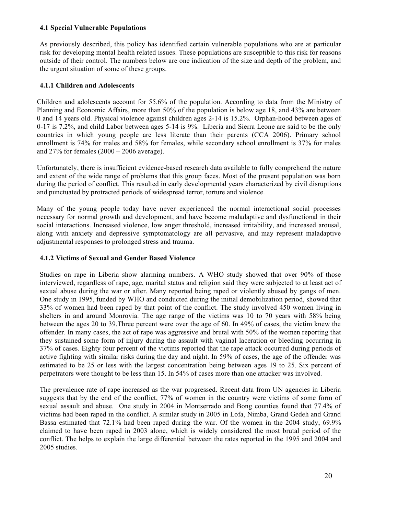#### **4.1 Special Vulnerable Populations**

As previously described, this policy has identified certain vulnerable populations who are at particular risk for developing mental health related issues. These populations are susceptible to this risk for reasons outside of their control. The numbers below are one indication of the size and depth of the problem, and the urgent situation of some of these groups.

#### **4.1.1 Children and Adolescents**

Children and adolescents account for 55.6% of the population. According to data from the Ministry of Planning and Economic Affairs, more than 50% of the population is below age 18, and 43% are between 0 and 14 years old. Physical violence against children ages 2-14 is 15.2%. Orphan-hood between ages of 0-17 is 7.2%, and child Labor between ages 5-14 is 9%. Liberia and Sierra Leone are said to be the only countries in which young people are less literate than their parents (CCA 2006). Primary school enrollment is 74% for males and 58% for females, while secondary school enrollment is 37% for males and  $27\%$  for females  $(2000 - 2006$  average).

Unfortunately, there is insufficient evidence-based research data available to fully comprehend the nature and extent of the wide range of problems that this group faces. Most of the present population was born during the period of conflict. This resulted in early developmental years characterized by civil disruptions and punctuated by protracted periods of widespread terror, torture and violence.

Many of the young people today have never experienced the normal interactional social processes necessary for normal growth and development, and have become maladaptive and dysfunctional in their social interactions. Increased violence, low anger threshold, increased irritability, and increased arousal, along with anxiety and depressive symptomatology are all pervasive, and may represent maladaptive adjustmental responses to prolonged stress and trauma.

#### **4.1.2 Victims of Sexual and Gender Based Violence**

Studies on rape in Liberia show alarming numbers. A WHO study showed that over 90% of those interviewed, regardless of rape, age, marital status and religion said they were subjected to at least act of sexual abuse during the war or after. Many reported being raped or violently abused by gangs of men. One study in 1995, funded by WHO and conducted during the initial demobilization period, showed that 33% of women had been raped by that point of the conflict. The study involved 450 women living in shelters in and around Monrovia. The age range of the victims was 10 to 70 years with 58% being between the ages 20 to 39.Three percent were over the age of 60. In 49% of cases, the victim knew the offender. In many cases, the act of rape was aggressive and brutal with 50% of the women reporting that they sustained some form of injury during the assault with vaginal laceration or bleeding occurring in 37% of cases. Eighty four percent of the victims reported that the rape attack occurred during periods of active fighting with similar risks during the day and night. In 59% of cases, the age of the offender was estimated to be 25 or less with the largest concentration being between ages 19 to 25. Six percent of perpetrators were thought to be less than 15. In 54% of cases more than one attacker was involved.

The prevalence rate of rape increased as the war progressed. Recent data from UN agencies in Liberia suggests that by the end of the conflict, 77% of women in the country were victims of some form of sexual assault and abuse. One study in 2004 in Montserrado and Bong counties found that 77.4% of victims had been raped in the conflict. A similar study in 2005 in Lofa, Nimba, Grand Gedeh and Grand Bassa estimated that 72.1% had been raped during the war. Of the women in the 2004 study, 69.9% claimed to have been raped in 2003 alone, which is widely considered the most brutal period of the conflict. The helps to explain the large differential between the rates reported in the 1995 and 2004 and 2005 studies.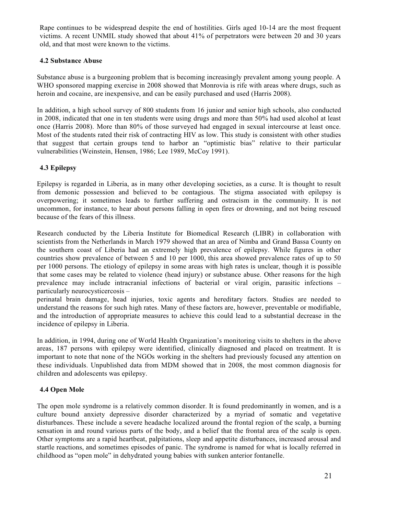Rape continues to be widespread despite the end of hostilities. Girls aged 10-14 are the most frequent victims. A recent UNMIL study showed that about 41% of perpetrators were between 20 and 30 years old, and that most were known to the victims.

## **4.2 Substance Abuse**

Substance abuse is a burgeoning problem that is becoming increasingly prevalent among young people. A WHO sponsored mapping exercise in 2008 showed that Monrovia is rife with areas where drugs, such as heroin and cocaine, are inexpensive, and can be easily purchased and used (Harris 2008).

In addition, a high school survey of 800 students from 16 junior and senior high schools, also conducted in 2008, indicated that one in ten students were using drugs and more than 50% had used alcohol at least once (Harris 2008). More than 80% of those surveyed had engaged in sexual intercourse at least once. Most of the students rated their risk of contracting HIV as low. This study is consistent with other studies that suggest that certain groups tend to harbor an "optimistic bias" relative to their particular vulnerabilities (Weinstein, Hensen, 1986; Lee 1989, McCoy 1991).

## **4.3 Epilepsy**

Epilepsy is regarded in Liberia, as in many other developing societies, as a curse. It is thought to result from demonic possession and believed to be contagious. The stigma associated with epilepsy is overpowering; it sometimes leads to further suffering and ostracism in the community. It is not uncommon, for instance, to hear about persons falling in open fires or drowning, and not being rescued because of the fears of this illness.

Research conducted by the Liberia Institute for Biomedical Research (LIBR) in collaboration with scientists from the Netherlands in March 1979 showed that an area of Nimba and Grand Bassa County on the southern coast of Liberia had an extremely high prevalence of epilepsy. While figures in other countries show prevalence of between 5 and 10 per 1000, this area showed prevalence rates of up to 50 per 1000 persons. The etiology of epilepsy in some areas with high rates is unclear, though it is possible that some cases may be related to violence (head injury) or substance abuse. Other reasons for the high prevalence may include intracranial infections of bacterial or viral origin, parasitic infections – particularly neurocysticercosis –

perinatal brain damage, head injuries, toxic agents and hereditary factors. Studies are needed to understand the reasons for such high rates. Many of these factors are, however, preventable or modifiable, and the introduction of appropriate measures to achieve this could lead to a substantial decrease in the incidence of epilepsy in Liberia.

In addition, in 1994, during one of World Health Organization's monitoring visits to shelters in the above areas, 187 persons with epilepsy were identified, clinically diagnosed and placed on treatment. It is important to note that none of the NGOs working in the shelters had previously focused any attention on these individuals. Unpublished data from MDM showed that in 2008, the most common diagnosis for children and adolescents was epilepsy.

#### **4.4 Open Mole**

The open mole syndrome is a relatively common disorder. It is found predominantly in women, and is a culture bound anxiety depressive disorder characterized by a myriad of somatic and vegetative disturbances. These include a severe headache localized around the frontal region of the scalp, a burning sensation in and round various parts of the body, and a belief that the frontal area of the scalp is open. Other symptoms are a rapid heartbeat, palpitations, sleep and appetite disturbances, increased arousal and startle reactions, and sometimes episodes of panic. The syndrome is named for what is locally referred in childhood as "open mole" in dehydrated young babies with sunken anterior fontanelle.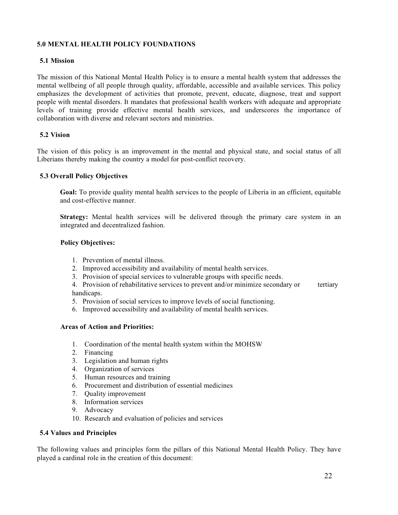#### **5.0 MENTAL HEALTH POLICY FOUNDATIONS**

## **5.1 Mission**

The mission of this National Mental Health Policy is to ensure a mental health system that addresses the mental wellbeing of all people through quality, affordable, accessible and available services. This policy emphasizes the development of activities that promote, prevent, educate, diagnose, treat and support people with mental disorders. It mandates that professional health workers with adequate and appropriate levels of training provide effective mental health services, and underscores the importance of collaboration with diverse and relevant sectors and ministries.

#### **5.2 Vision**

The vision of this policy is an improvement in the mental and physical state, and social status of all Liberians thereby making the country a model for post-conflict recovery.

#### **5.3 Overall Policy Objectives**

**Goal:** To provide quality mental health services to the people of Liberia in an efficient, equitable and cost-effective manner.

**Strategy:** Mental health services will be delivered through the primary care system in an integrated and decentralized fashion.

#### **Policy Objectives:**

- 1. Prevention of mental illness.
- 2. Improved accessibility and availability of mental health services.
- 3. Provision of special services to vulnerable groups with specific needs.
- 4. Provision of rehabilitative services to prevent and/or minimize secondary or tertiary handicaps.
- 5. Provision of social services to improve levels of social functioning.
- 6. Improved accessibility and availability of mental health services.

#### **Areas of Action and Priorities:**

- 1. Coordination of the mental health system within the MOHSW
- 2. Financing
- 3. Legislation and human rights
- 4. Organization of services
- 5. Human resources and training
- 6. Procurement and distribution of essential medicines
- 7. Quality improvement
- 8. Information services
- 9. Advocacy
- 10. Research and evaluation of policies and services

#### **5.4 Values and Principles**

The following values and principles form the pillars of this National Mental Health Policy. They have played a cardinal role in the creation of this document: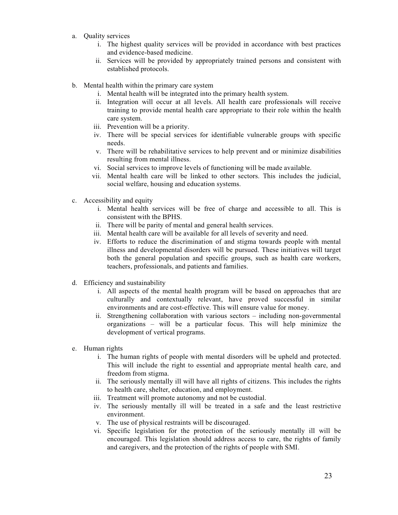- a. Quality services
	- i. The highest quality services will be provided in accordance with best practices and evidence-based medicine.
	- ii. Services will be provided by appropriately trained persons and consistent with established protocols.
- b. Mental health within the primary care system
	- i. Mental health will be integrated into the primary health system.
	- ii. Integration will occur at all levels. All health care professionals will receive training to provide mental health care appropriate to their role within the health care system.
	- iii. Prevention will be a priority.
	- iv. There will be special services for identifiable vulnerable groups with specific needs.
	- v. There will be rehabilitative services to help prevent and or minimize disabilities resulting from mental illness.
	- vi. Social services to improve levels of functioning will be made available.
	- vii. Mental health care will be linked to other sectors. This includes the judicial, social welfare, housing and education systems.
- c. Accessibility and equity
	- i. Mental health services will be free of charge and accessible to all. This is consistent with the BPHS.
	- ii. There will be parity of mental and general health services.
	- iii. Mental health care will be available for all levels of severity and need.
	- iv. Efforts to reduce the discrimination of and stigma towards people with mental illness and developmental disorders will be pursued. These initiatives will target both the general population and specific groups, such as health care workers, teachers, professionals, and patients and families.
- d. Efficiency and sustainability
	- i. All aspects of the mental health program will be based on approaches that are culturally and contextually relevant, have proved successful in similar environments and are cost-effective. This will ensure value for money.
	- ii. Strengthening collaboration with various sectors including non-governmental organizations – will be a particular focus. This will help minimize the development of vertical programs.
- e. Human rights
	- i. The human rights of people with mental disorders will be upheld and protected. This will include the right to essential and appropriate mental health care, and freedom from stigma.
	- ii. The seriously mentally ill will have all rights of citizens. This includes the rights to health care, shelter, education, and employment.
	- iii. Treatment will promote autonomy and not be custodial.
	- iv. The seriously mentally ill will be treated in a safe and the least restrictive environment.
	- v. The use of physical restraints will be discouraged.
	- vi. Specific legislation for the protection of the seriously mentally ill will be encouraged. This legislation should address access to care, the rights of family and caregivers, and the protection of the rights of people with SMI.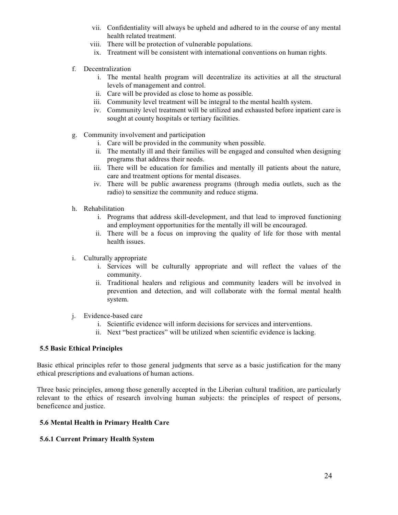- vii. Confidentiality will always be upheld and adhered to in the course of any mental health related treatment.
- viii. There will be protection of vulnerable populations.
- ix. Treatment will be consistent with international conventions on human rights.
- f. Decentralization
	- i. The mental health program will decentralize its activities at all the structural levels of management and control.
	- ii. Care will be provided as close to home as possible.
	- iii. Community level treatment will be integral to the mental health system.
	- iv. Community level treatment will be utilized and exhausted before inpatient care is sought at county hospitals or tertiary facilities.
- g. Community involvement and participation
	- i. Care will be provided in the community when possible.
	- ii. The mentally ill and their families will be engaged and consulted when designing programs that address their needs.
	- iii. There will be education for families and mentally ill patients about the nature, care and treatment options for mental diseases.
	- iv. There will be public awareness programs (through media outlets, such as the radio) to sensitize the community and reduce stigma.
- h. Rehabilitation
	- i. Programs that address skill-development, and that lead to improved functioning and employment opportunities for the mentally ill will be encouraged.
	- ii. There will be a focus on improving the quality of life for those with mental health issues.
- i. Culturally appropriate
	- i. Services will be culturally appropriate and will reflect the values of the community.
	- ii. Traditional healers and religious and community leaders will be involved in prevention and detection, and will collaborate with the formal mental health system.
- j. Evidence-based care
	- i. Scientific evidence will inform decisions for services and interventions.
	- ii. Next "best practices" will be utilized when scientific evidence is lacking.

#### **5.5 Basic Ethical Principles**

Basic ethical principles refer to those general judgments that serve as a basic justification for the many ethical prescriptions and evaluations of human actions.

Three basic principles, among those generally accepted in the Liberian cultural tradition, are particularly relevant to the ethics of research involving human subjects: the principles of respect of persons, beneficence and justice.

## **5.6 Mental Health in Primary Health Care**

#### **5.6.1 Current Primary Health System**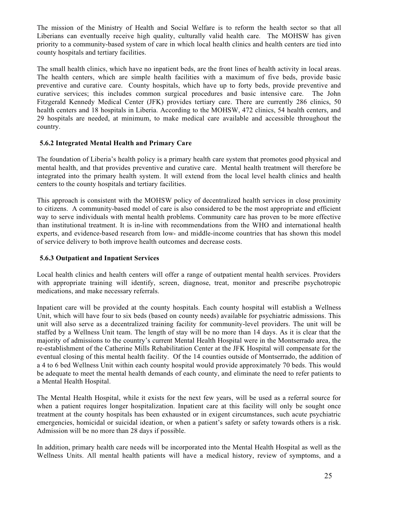The mission of the Ministry of Health and Social Welfare is to reform the health sector so that all Liberians can eventually receive high quality, culturally valid health care. The MOHSW has given priority to a community-based system of care in which local health clinics and health centers are tied into county hospitals and tertiary facilities.

The small health clinics, which have no inpatient beds, are the front lines of health activity in local areas. The health centers, which are simple health facilities with a maximum of five beds, provide basic preventive and curative care. County hospitals, which have up to forty beds, provide preventive and curative services; this includes common surgical procedures and basic intensive care. The John Fitzgerald Kennedy Medical Center (JFK) provides tertiary care. There are currently 286 clinics, 50 health centers and 18 hospitals in Liberia. According to the MOHSW, 472 clinics, 54 health centers, and 29 hospitals are needed, at minimum, to make medical care available and accessible throughout the country.

## **5.6.2 Integrated Mental Health and Primary Care**

The foundation of Liberia's health policy is a primary health care system that promotes good physical and mental health, and that provides preventive and curative care. Mental health treatment will therefore be integrated into the primary health system. It will extend from the local level health clinics and health centers to the county hospitals and tertiary facilities.

This approach is consistent with the MOHSW policy of decentralized health services in close proximity to citizens. A community-based model of care is also considered to be the most appropriate and efficient way to serve individuals with mental health problems. Community care has proven to be more effective than institutional treatment. It is in-line with recommendations from the WHO and international health experts, and evidence-based research from low- and middle-income countries that has shown this model of service delivery to both improve health outcomes and decrease costs.

## **5.6.3 Outpatient and Inpatient Services**

Local health clinics and health centers will offer a range of outpatient mental health services. Providers with appropriate training will identify, screen, diagnose, treat, monitor and prescribe psychotropic medications, and make necessary referrals.

Inpatient care will be provided at the county hospitals. Each county hospital will establish a Wellness Unit, which will have four to six beds (based on county needs) available for psychiatric admissions. This unit will also serve as a decentralized training facility for community-level providers. The unit will be staffed by a Wellness Unit team. The length of stay will be no more than 14 days. As it is clear that the majority of admissions to the country's current Mental Health Hospital were in the Montserrado area, the re-establishment of the Catherine Mills Rehabilitation Center at the JFK Hospital will compensate for the eventual closing of this mental health facility. Of the 14 counties outside of Montserrado, the addition of a 4 to 6 bed Wellness Unit within each county hospital would provide approximately 70 beds. This would be adequate to meet the mental health demands of each county, and eliminate the need to refer patients to a Mental Health Hospital.

The Mental Health Hospital, while it exists for the next few years, will be used as a referral source for when a patient requires longer hospitalization. Inpatient care at this facility will only be sought once treatment at the county hospitals has been exhausted or in exigent circumstances, such acute psychiatric emergencies, homicidal or suicidal ideation, or when a patient's safety or safety towards others is a risk. Admission will be no more than 28 days if possible.

In addition, primary health care needs will be incorporated into the Mental Health Hospital as well as the Wellness Units. All mental health patients will have a medical history, review of symptoms, and a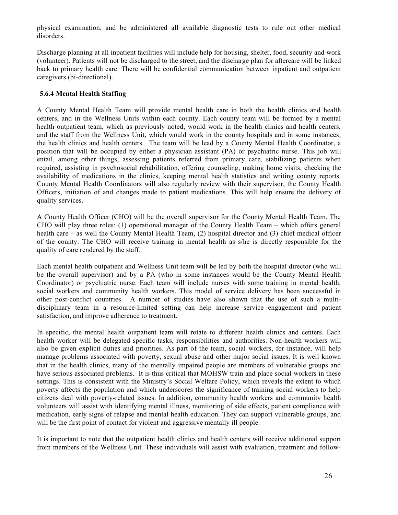physical examination, and be administered all available diagnostic tests to rule out other medical disorders.

Discharge planning at all inpatient facilities will include help for housing, shelter, food, security and work (volunteer). Patients will not be discharged to the street, and the discharge plan for aftercare will be linked back to primary health care. There will be confidential communication between inpatient and outpatient caregivers (bi-directional).

#### **5.6.4 Mental Health Staffing**

A County Mental Health Team will provide mental health care in both the health clinics and health centers, and in the Wellness Units within each county. Each county team will be formed by a mental health outpatient team, which as previously noted, would work in the health clinics and health centers, and the staff from the Wellness Unit, which would work in the county hospitals and in some instances, the health clinics and health centers. The team will be lead by a County Mental Health Coordinator, a position that will be occupied by either a physician assistant (PA) or psychiatric nurse. This job will entail, among other things, assessing patients referred from primary care, stabilizing patients when required, assisting in psychosocial rehabilitation, offering counseling, making home visits, checking the availability of medications in the clinics, keeping mental health statistics and writing county reports. County Mental Health Coordinators will also regularly review with their supervisor, the County Health Officers, initiation of and changes made to patient medications. This will help ensure the delivery of quality services.

A County Health Officer (CHO) will be the overall supervisor for the County Mental Health Team. The CHO will play three roles: (1) operational manager of the County Health Team – which offers general health care – as well the County Mental Health Team, (2) hospital director and (3) chief medical officer of the county. The CHO will receive training in mental health as s/he is directly responsible for the quality of care rendered by the staff.

Each mental health outpatient and Wellness Unit team will be led by both the hospital director (who will be the overall supervisor) and by a PA (who in some instances would be the County Mental Health Coordinator) or psychiatric nurse. Each team will include nurses with some training in mental health, social workers and community health workers. This model of service delivery has been successful in other post-conflict countries. A number of studies have also shown that the use of such a multidisciplinary team in a resource-limited setting can help increase service engagement and patient satisfaction, and improve adherence to treatment.

In specific, the mental health outpatient team will rotate to different health clinics and centers. Each health worker will be delegated specific tasks, responsibilities and authorities. Non-health workers will also be given explicit duties and priorities. As part of the team, social workers, for instance, will help manage problems associated with poverty, sexual abuse and other major social issues. It is well known that in the health clinics, many of the mentally impaired people are members of vulnerable groups and have serious associated problems. It is thus critical that MOHSW train and place social workers in these settings. This is consistent with the Ministry's Social Welfare Policy, which reveals the extent to which poverty affects the population and which underscores the significance of training social workers to help citizens deal with poverty-related issues. In addition, community health workers and community health volunteers will assist with identifying mental illness, monitoring of side effects, patient compliance with medication, early signs of relapse and mental health education. They can support vulnerable groups, and will be the first point of contact for violent and aggressive mentally ill people.

It is important to note that the outpatient health clinics and health centers will receive additional support from members of the Wellness Unit. These individuals will assist with evaluation, treatment and follow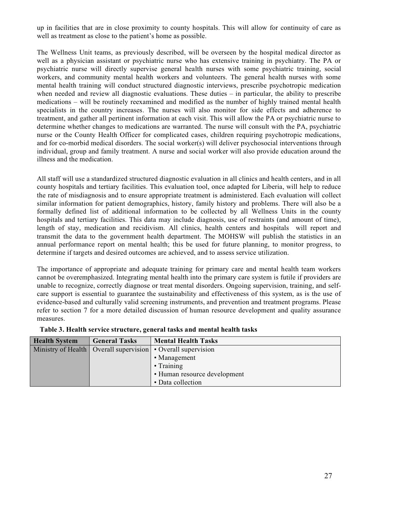up in facilities that are in close proximity to county hospitals. This will allow for continuity of care as well as treatment as close to the patient's home as possible.

The Wellness Unit teams, as previously described, will be overseen by the hospital medical director as well as a physician assistant or psychiatric nurse who has extensive training in psychiatry. The PA or psychiatric nurse will directly supervise general health nurses with some psychiatric training, social workers, and community mental health workers and volunteers. The general health nurses with some mental health training will conduct structured diagnostic interviews, prescribe psychotropic medication when needed and review all diagnostic evaluations. These duties – in particular, the ability to prescribe medications – will be routinely reexamined and modified as the number of highly trained mental health specialists in the country increases. The nurses will also monitor for side effects and adherence to treatment, and gather all pertinent information at each visit. This will allow the PA or psychiatric nurse to determine whether changes to medications are warranted. The nurse will consult with the PA, psychiatric nurse or the County Health Officer for complicated cases, children requiring psychotropic medications, and for co-morbid medical disorders. The social worker(s) will deliver psychosocial interventions through individual, group and family treatment. A nurse and social worker will also provide education around the illness and the medication.

All staff will use a standardized structured diagnostic evaluation in all clinics and health centers, and in all county hospitals and tertiary facilities. This evaluation tool, once adapted for Liberia, will help to reduce the rate of misdiagnosis and to ensure appropriate treatment is administered. Each evaluation will collect similar information for patient demographics, history, family history and problems. There will also be a formally defined list of additional information to be collected by all Wellness Units in the county hospitals and tertiary facilities. This data may include diagnosis, use of restraints (and amount of time), length of stay, medication and recidivism. All clinics, health centers and hospitals will report and transmit the data to the government health department. The MOHSW will publish the statistics in an annual performance report on mental health; this be used for future planning, to monitor progress, to determine if targets and desired outcomes are achieved, and to assess service utilization.

The importance of appropriate and adequate training for primary care and mental health team workers cannot be overemphasized. Integrating mental health into the primary care system is futile if providers are unable to recognize, correctly diagnose or treat mental disorders. Ongoing supervision, training, and selfcare support is essential to guarantee the sustainability and effectiveness of this system, as is the use of evidence-based and culturally valid screening instruments, and prevention and treatment programs. Please refer to section 7 for a more detailed discussion of human resource development and quality assurance measures.

| <b>Health System</b> | <b>General Tasks</b> | <b>Mental Health Tasks</b>                                       |
|----------------------|----------------------|------------------------------------------------------------------|
|                      |                      | Ministry of Health   Overall supervision   • Overall supervision |
|                      |                      | • Management                                                     |
|                      |                      | • Training                                                       |
|                      |                      | • Human resource development                                     |
|                      |                      | • Data collection                                                |

**Table 3. Health service structure, general tasks and mental health tasks**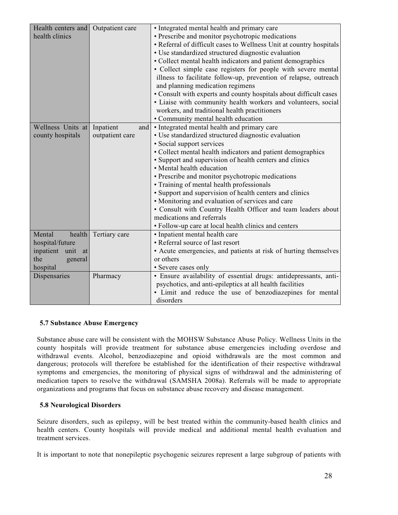| Health centers and<br>health clinics | Outpatient care  | · Integrated mental health and primary care<br>• Prescribe and monitor psychotropic medications<br>• Referral of difficult cases to Wellness Unit at country hospitals<br>· Use standardized structured diagnostic evaluation<br>• Collect mental health indicators and patient demographics<br>• Collect simple case registers for people with severe mental<br>illness to facilitate follow-up, prevention of relapse, outreach<br>and planning medication regimens<br>• Consult with experts and county hospitals about difficult cases<br>· Liaise with community health workers and volunteers, social<br>workers, and traditional health practitioners<br>• Community mental health education |
|--------------------------------------|------------------|-----------------------------------------------------------------------------------------------------------------------------------------------------------------------------------------------------------------------------------------------------------------------------------------------------------------------------------------------------------------------------------------------------------------------------------------------------------------------------------------------------------------------------------------------------------------------------------------------------------------------------------------------------------------------------------------------------|
| Wellness Units at                    | Inpatient<br>and | • Integrated mental health and primary care                                                                                                                                                                                                                                                                                                                                                                                                                                                                                                                                                                                                                                                         |
| county hospitals                     | outpatient care  | · Use standardized structured diagnostic evaluation                                                                                                                                                                                                                                                                                                                                                                                                                                                                                                                                                                                                                                                 |
|                                      |                  | • Social support services                                                                                                                                                                                                                                                                                                                                                                                                                                                                                                                                                                                                                                                                           |
|                                      |                  |                                                                                                                                                                                                                                                                                                                                                                                                                                                                                                                                                                                                                                                                                                     |
|                                      |                  | • Collect mental health indicators and patient demographics                                                                                                                                                                                                                                                                                                                                                                                                                                                                                                                                                                                                                                         |
|                                      |                  | • Support and supervision of health centers and clinics                                                                                                                                                                                                                                                                                                                                                                                                                                                                                                                                                                                                                                             |
|                                      |                  | • Mental health education                                                                                                                                                                                                                                                                                                                                                                                                                                                                                                                                                                                                                                                                           |
|                                      |                  | • Prescribe and monitor psychotropic medications                                                                                                                                                                                                                                                                                                                                                                                                                                                                                                                                                                                                                                                    |
|                                      |                  | • Training of mental health professionals                                                                                                                                                                                                                                                                                                                                                                                                                                                                                                                                                                                                                                                           |
|                                      |                  | • Support and supervision of health centers and clinics                                                                                                                                                                                                                                                                                                                                                                                                                                                                                                                                                                                                                                             |
|                                      |                  | • Monitoring and evaluation of services and care                                                                                                                                                                                                                                                                                                                                                                                                                                                                                                                                                                                                                                                    |
|                                      |                  | • Consult with Country Health Officer and team leaders about                                                                                                                                                                                                                                                                                                                                                                                                                                                                                                                                                                                                                                        |
|                                      |                  | medications and referrals                                                                                                                                                                                                                                                                                                                                                                                                                                                                                                                                                                                                                                                                           |
|                                      |                  | · Follow-up care at local health clinics and centers                                                                                                                                                                                                                                                                                                                                                                                                                                                                                                                                                                                                                                                |
| Mental<br>health                     | Tertiary care    | • Inpatient mental health care                                                                                                                                                                                                                                                                                                                                                                                                                                                                                                                                                                                                                                                                      |
| hospital/future                      |                  | • Referral source of last resort                                                                                                                                                                                                                                                                                                                                                                                                                                                                                                                                                                                                                                                                    |
| inpatient unit<br>at                 |                  | • Acute emergencies, and patients at risk of hurting themselves                                                                                                                                                                                                                                                                                                                                                                                                                                                                                                                                                                                                                                     |
| the<br>general                       |                  | or others                                                                                                                                                                                                                                                                                                                                                                                                                                                                                                                                                                                                                                                                                           |
| hospital                             |                  | • Severe cases only                                                                                                                                                                                                                                                                                                                                                                                                                                                                                                                                                                                                                                                                                 |
| Dispensaries                         | Pharmacy         | · Ensure availability of essential drugs: antidepressants, anti-                                                                                                                                                                                                                                                                                                                                                                                                                                                                                                                                                                                                                                    |
|                                      |                  | psychotics, and anti-epileptics at all health facilities                                                                                                                                                                                                                                                                                                                                                                                                                                                                                                                                                                                                                                            |
|                                      |                  | • Limit and reduce the use of benzodiazepines for mental                                                                                                                                                                                                                                                                                                                                                                                                                                                                                                                                                                                                                                            |
|                                      |                  | disorders                                                                                                                                                                                                                                                                                                                                                                                                                                                                                                                                                                                                                                                                                           |

#### **5.7 Substance Abuse Emergency**

Substance abuse care will be consistent with the MOHSW Substance Abuse Policy. Wellness Units in the county hospitals will provide treatment for substance abuse emergencies including overdose and withdrawal events. Alcohol, benzodiazepine and opioid withdrawals are the most common and dangerous; protocols will therefore be established for the identification of their respective withdrawal symptoms and emergencies, the monitoring of physical signs of withdrawal and the administering of medication tapers to resolve the withdrawal (SAMSHA 2008a). Referrals will be made to appropriate organizations and programs that focus on substance abuse recovery and disease management.

#### **5.8 Neurological Disorders**

Seizure disorders, such as epilepsy, will be best treated within the community-based health clinics and health centers. County hospitals will provide medical and additional mental health evaluation and treatment services.

It is important to note that nonepileptic psychogenic seizures represent a large subgroup of patients with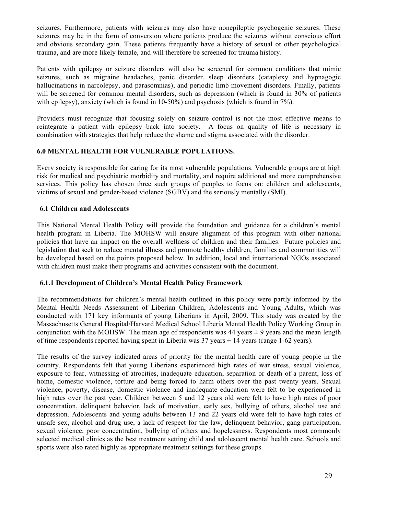seizures. Furthermore, patients with seizures may also have nonepileptic psychogenic seizures. These seizures may be in the form of conversion where patients produce the seizures without conscious effort and obvious secondary gain. These patients frequently have a history of sexual or other psychological trauma, and are more likely female, and will therefore be screened for trauma history.

Patients with epilepsy or seizure disorders will also be screened for common conditions that mimic seizures, such as migraine headaches, panic disorder, sleep disorders (cataplexy and hypnagogic hallucinations in narcolepsy, and parasomnias), and periodic limb movement disorders. Finally, patients will be screened for common mental disorders, such as depression (which is found in 30% of patients with epilepsy), anxiety (which is found in 10-50%) and psychosis (which is found in 7%).

Providers must recognize that focusing solely on seizure control is not the most effective means to reintegrate a patient with epilepsy back into society. A focus on quality of life is necessary in combination with strategies that help reduce the shame and stigma associated with the disorder.

#### **6.0 MENTAL HEALTH FOR VULNERABLE POPULATIONS.**

Every society is responsible for caring for its most vulnerable populations. Vulnerable groups are at high risk for medical and psychiatric morbidity and mortality, and require additional and more comprehensive services. This policy has chosen three such groups of peoples to focus on: children and adolescents, victims of sexual and gender-based violence (SGBV) and the seriously mentally (SMI).

#### **6.1 Children and Adolescents**

This National Mental Health Policy will provide the foundation and guidance for a children's mental health program in Liberia. The MOHSW will ensure alignment of this program with other national policies that have an impact on the overall wellness of children and their families. Future policies and legislation that seek to reduce mental illness and promote healthy children, families and communities will be developed based on the points proposed below. In addition, local and international NGOs associated with children must make their programs and activities consistent with the document.

#### **6.1.1 Development of Children's Mental Health Policy Framework**

The recommendations for children's mental health outlined in this policy were partly informed by the Mental Health Needs Assessment of Liberian Children, Adolescents and Young Adults, which was conducted with 171 key informants of young Liberians in April, 2009. This study was created by the Massachusetts General Hospital/Harvard Medical School Liberia Mental Health Policy Working Group in conjunction with the MOHSW. The mean age of respondents was  $44$  years  $\pm 9$  years and the mean length of time respondents reported having spent in Liberia was  $37$  years  $\pm$  14 years (range 1-62 years).

The results of the survey indicated areas of priority for the mental health care of young people in the country. Respondents felt that young Liberians experienced high rates of war stress, sexual violence, exposure to fear, witnessing of atrocities, inadequate education, separation or death of a parent, loss of home, domestic violence, torture and being forced to harm others over the past twenty years. Sexual violence, poverty, disease, domestic violence and inadequate education were felt to be experienced in high rates over the past year. Children between 5 and 12 years old were felt to have high rates of poor concentration, delinquent behavior, lack of motivation, early sex, bullying of others, alcohol use and depression. Adolescents and young adults between 13 and 22 years old were felt to have high rates of unsafe sex, alcohol and drug use, a lack of respect for the law, delinquent behavior, gang participation, sexual violence, poor concentration, bullying of others and hopelessness. Respondents most commonly selected medical clinics as the best treatment setting child and adolescent mental health care. Schools and sports were also rated highly as appropriate treatment settings for these groups.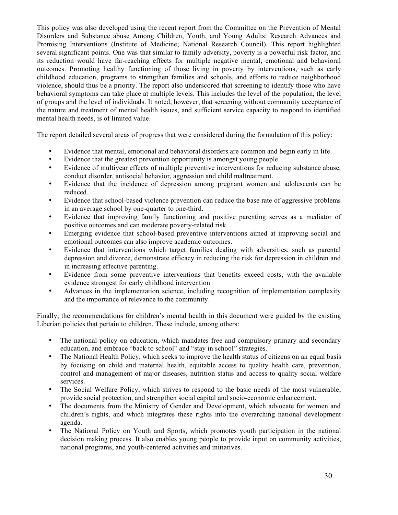This policy was also developed using the recent report from the Committee on the Prevention of Mental Disorders and Substance abuse Among Children, Youth, and Young Adults: Research Advances and Promising Interventions (Institute of Medicine; National Research Council). This report highlighted several significant points. One was that similar to family adversity, poverty is a powerful risk factor, and its reduction would have far-reaching effects for multiple negative mental, emotional and behavioral outcomes. Promoting healthy functioning of those living in poverty by interventions, such as early childhood education, programs to strengthen families and schools, and efforts to reduce neighborhood violence, should thus be a priority. The report also underscored that screening to identify those who have behavioral symptoms can take place at multiple levels. This includes the level of the population, the level of groups and the level of individuals. It noted, however, that screening without community acceptance of the nature and treatment of mental health issues, and sufficient service capacity to respond to identified mental health needs, is of limited value.

The report detailed several areas of progress that were considered during the formulation of this policy:

- Evidence that mental, emotional and behavioral disorders are common and begin early in life.
- Evidence that the greatest prevention opportunity is amongst young people.
- Evidence of multiyear effects of multiple preventive interventions for reducing substance abuse, conduct disorder, antisocial behavior, aggression and child maltreatment.
- Evidence that the incidence of depression among pregnant women and adolescents can be reduced.
- Evidence that school-based violence prevention can reduce the base rate of aggressive problems in an average school by one-quarter to one-third.
- Evidence that improving family functioning and positive parenting serves as a mediator of positive outcomes and can moderate poverty-related risk.
- Emerging evidence that school-based preventive interventions aimed at improving social and emotional outcomes can also improve academic outcomes.
- Evidence that interventions which target families dealing with adversities, such as parental depression and divorce, demonstrate efficacy in reducing the risk for depression in children and in increasing effective parenting.
- Evidence from some preventive interventions that benefits exceed costs, with the available evidence strongest for early childhood intervention
- Advances in the implementation science, including recognition of implementation complexity and the importance of relevance to the community.

Finally, the recommendations for children's mental health in this document were guided by the existing Liberian policies that pertain to children. These include, among others:

- The national policy on education, which mandates free and compulsory primary and secondary education, and embrace "back to school" and "stay in school" strategies.
- The National Health Policy, which seeks to improve the health status of citizens on an equal basis by focusing on child and maternal health, equitable access to quality health care, prevention, control and management of major diseases, nutrition status and access to quality social welfare services.
- The Social Welfare Policy, which strives to respond to the basic needs of the most vulnerable, provide social protection, and strengthen social capital and socio-economic enhancement.
- The documents from the Ministry of Gender and Development, which advocate for women and children's rights, and which integrates these rights into the overarching national development agenda.
- The National Policy on Youth and Sports, which promotes youth participation in the national decision making process. It also enables young people to provide input on community activities, national programs, and youth-centered activities and initiatives.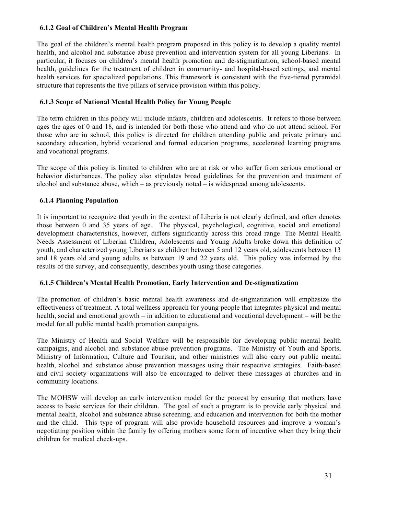#### **6.1.2 Goal of Children's Mental Health Program**

The goal of the children's mental health program proposed in this policy is to develop a quality mental health, and alcohol and substance abuse prevention and intervention system for all young Liberians. In particular, it focuses on children's mental health promotion and de-stigmatization, school-based mental health, guidelines for the treatment of children in community- and hospital-based settings, and mental health services for specialized populations. This framework is consistent with the five-tiered pyramidal structure that represents the five pillars of service provision within this policy.

#### **6.1.3 Scope of National Mental Health Policy for Young People**

The term children in this policy will include infants, children and adolescents. It refers to those between ages the ages of 0 and 18, and is intended for both those who attend and who do not attend school. For those who are in school, this policy is directed for children attending public and private primary and secondary education, hybrid vocational and formal education programs, accelerated learning programs and vocational programs.

The scope of this policy is limited to children who are at risk or who suffer from serious emotional or behavior disturbances. The policy also stipulates broad guidelines for the prevention and treatment of alcohol and substance abuse, which – as previously noted – is widespread among adolescents.

## **6.1.4 Planning Population**

It is important to recognize that youth in the context of Liberia is not clearly defined, and often denotes those between 0 and 35 years of age. The physical, psychological, cognitive, social and emotional development characteristics, however, differs significantly across this broad range. The Mental Health Needs Assessment of Liberian Children, Adolescents and Young Adults broke down this definition of youth, and characterized young Liberians as children between 5 and 12 years old, adolescents between 13 and 18 years old and young adults as between 19 and 22 years old. This policy was informed by the results of the survey, and consequently, describes youth using those categories.

#### **6.1.5 Children's Mental Health Promotion, Early Intervention and De-stigmatization**

The promotion of children's basic mental health awareness and de-stigmatization will emphasize the effectiveness of treatment. A total wellness approach for young people that integrates physical and mental health, social and emotional growth – in addition to educational and vocational development – will be the model for all public mental health promotion campaigns.

The Ministry of Health and Social Welfare will be responsible for developing public mental health campaigns, and alcohol and substance abuse prevention programs. The Ministry of Youth and Sports, Ministry of Information, Culture and Tourism, and other ministries will also carry out public mental health, alcohol and substance abuse prevention messages using their respective strategies. Faith-based and civil society organizations will also be encouraged to deliver these messages at churches and in community locations.

The MOHSW will develop an early intervention model for the poorest by ensuring that mothers have access to basic services for their children. The goal of such a program is to provide early physical and mental health, alcohol and substance abuse screening, and education and intervention for both the mother and the child. This type of program will also provide household resources and improve a woman's negotiating position within the family by offering mothers some form of incentive when they bring their children for medical check-ups.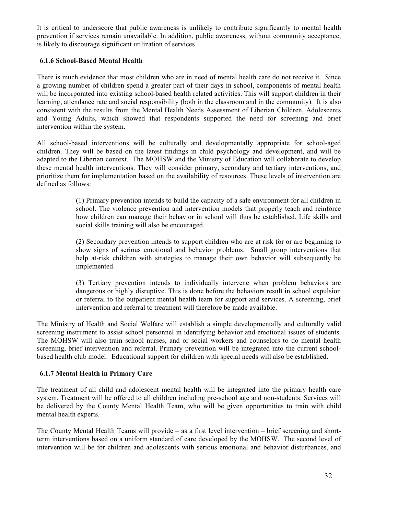It is critical to underscore that public awareness is unlikely to contribute significantly to mental health prevention if services remain unavailable. In addition, public awareness, without community acceptance, is likely to discourage significant utilization of services.

# **6.1.6 School-Based Mental Health**

There is much evidence that most children who are in need of mental health care do not receive it. Since a growing number of children spend a greater part of their days in school, components of mental health will be incorporated into existing school-based health related activities. This will support children in their learning, attendance rate and social responsibility (both in the classroom and in the community). It is also consistent with the results from the Mental Health Needs Assessment of Liberian Children, Adolescents and Young Adults, which showed that respondents supported the need for screening and brief intervention within the system.

All school-based interventions will be culturally and developmentally appropriate for school-aged children. They will be based on the latest findings in child psychology and development, and will be adapted to the Liberian context. The MOHSW and the Ministry of Education will collaborate to develop these mental health interventions. They will consider primary, secondary and tertiary interventions, and prioritize them for implementation based on the availability of resources. These levels of intervention are defined as follows:

> (1) Primary prevention intends to build the capacity of a safe environment for all children in school. The violence prevention and intervention models that properly teach and reinforce how children can manage their behavior in school will thus be established. Life skills and social skills training will also be encouraged.

> (2) Secondary prevention intends to support children who are at risk for or are beginning to show signs of serious emotional and behavior problems. Small group interventions that help at-risk children with strategies to manage their own behavior will subsequently be implemented.

> (3) Tertiary prevention intends to individually intervene when problem behaviors are dangerous or highly disruptive. This is done before the behaviors result in school expulsion or referral to the outpatient mental health team for support and services. A screening, brief intervention and referral to treatment will therefore be made available.

The Ministry of Health and Social Welfare will establish a simple developmentally and culturally valid screening instrument to assist school personnel in identifying behavior and emotional issues of students. The MOHSW will also train school nurses, and or social workers and counselors to do mental health screening, brief intervention and referral. Primary prevention will be integrated into the current schoolbased health club model. Educational support for children with special needs will also be established.

# **6.1.7 Mental Health in Primary Care**

The treatment of all child and adolescent mental health will be integrated into the primary health care system. Treatment will be offered to all children including pre-school age and non-students. Services will be delivered by the County Mental Health Team, who will be given opportunities to train with child mental health experts.

The County Mental Health Teams will provide – as a first level intervention – brief screening and shortterm interventions based on a uniform standard of care developed by the MOHSW. The second level of intervention will be for children and adolescents with serious emotional and behavior disturbances, and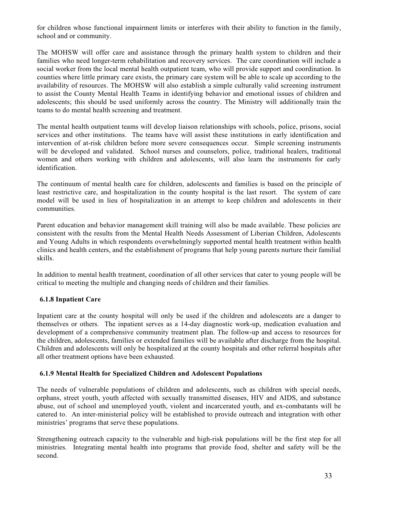for children whose functional impairment limits or interferes with their ability to function in the family, school and or community.

The MOHSW will offer care and assistance through the primary health system to children and their families who need longer-term rehabilitation and recovery services. The care coordination will include a social worker from the local mental health outpatient team, who will provide support and coordination. In counties where little primary care exists, the primary care system will be able to scale up according to the availability of resources. The MOHSW will also establish a simple culturally valid screening instrument to assist the County Mental Health Teams in identifying behavior and emotional issues of children and adolescents; this should be used uniformly across the country. The Ministry will additionally train the teams to do mental health screening and treatment.

The mental health outpatient teams will develop liaison relationships with schools, police, prisons, social services and other institutions. The teams have will assist these institutions in early identification and intervention of at-risk children before more severe consequences occur. Simple screening instruments will be developed and validated. School nurses and counselors, police, traditional healers, traditional women and others working with children and adolescents, will also learn the instruments for early identification.

The continuum of mental health care for children, adolescents and families is based on the principle of least restrictive care, and hospitalization in the county hospital is the last resort. The system of care model will be used in lieu of hospitalization in an attempt to keep children and adolescents in their communities.

Parent education and behavior management skill training will also be made available. These policies are consistent with the results from the Mental Health Needs Assessment of Liberian Children, Adolescents and Young Adults in which respondents overwhelmingly supported mental health treatment within health clinics and health centers, and the establishment of programs that help young parents nurture their familial skills.

In addition to mental health treatment, coordination of all other services that cater to young people will be critical to meeting the multiple and changing needs of children and their families.

#### **6.1.8 Inpatient Care**

Inpatient care at the county hospital will only be used if the children and adolescents are a danger to themselves or others. The inpatient serves as a 14-day diagnostic work-up, medication evaluation and development of a comprehensive community treatment plan. The follow-up and access to resources for the children, adolescents, families or extended families will be available after discharge from the hospital. Children and adolescents will only be hospitalized at the county hospitals and other referral hospitals after all other treatment options have been exhausted.

## **6.1.9 Mental Health for Specialized Children and Adolescent Populations**

The needs of vulnerable populations of children and adolescents, such as children with special needs, orphans, street youth, youth affected with sexually transmitted diseases, HIV and AIDS, and substance abuse, out of school and unemployed youth, violent and incarcerated youth, and ex-combatants will be catered to. An inter-ministerial policy will be established to provide outreach and integration with other ministries' programs that serve these populations.

Strengthening outreach capacity to the vulnerable and high-risk populations will be the first step for all ministries. Integrating mental health into programs that provide food, shelter and safety will be the second.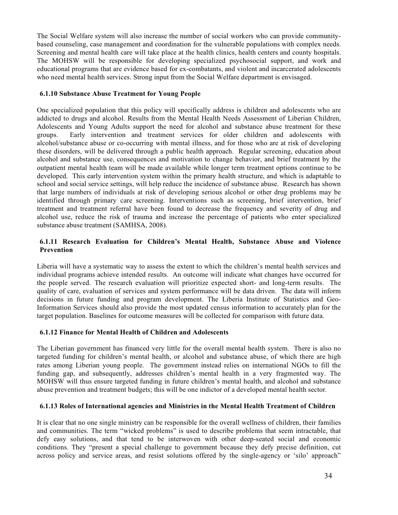The Social Welfare system will also increase the number of social workers who can provide communitybased counseling, case management and coordination for the vulnerable populations with complex needs. Screening and mental health care will take place at the health clinics, health centers and county hospitals. The MOHSW will be responsible for developing specialized psychosocial support, and work and educational programs that are evidence based for ex-combatants, and violent and incarcerated adolescents who need mental health services. Strong input from the Social Welfare department is envisaged.

## **6.1.10 Substance Abuse Treatment for Young People**

One specialized population that this policy will specifically address is children and adolescents who are addicted to drugs and alcohol. Results from the Mental Health Needs Assessment of Liberian Children, Adolescents and Young Adults support the need for alcohol and substance abuse treatment for these groups. Early intervention and treatment services for older children and adolescents with alcohol/substance abuse or co-occurring with mental illness, and for those who are at risk of developing these disorders, will be delivered through a public health approach. Regular screening, education about alcohol and substance use, consequences and motivation to change behavior, and brief treatment by the outpatient mental health team will be made available while longer term treatment options continue to be developed. This early intervention system within the primary health structure, and which is adaptable to school and social service settings, will help reduce the incidence of substance abuse. Research has shown that large numbers of individuals at risk of developing serious alcohol or other drug problems may be identified through primary care screening. Interventions such as screening, brief intervention, brief treatment and treatment referral have been found to decrease the frequency and severity of drug and alcohol use, reduce the risk of trauma and increase the percentage of patients who enter specialized substance abuse treatment (SAMHSA, 2008).

# **6.1.11 Research Evaluation for Children's Mental Health, Substance Abuse and Violence Prevention**

Liberia will have a systematic way to assess the extent to which the children's mental health services and individual programs achieve intended results. An outcome will indicate what changes have occurred for the people served. The research evaluation will prioritize expected short- and long-term results. The quality of care, evaluation of services and system performance will be data driven. The data will inform decisions in future funding and program development. The Liberia Institute of Statistics and Geo-Information Services should also provide the most updated census information to accurately plan for the target population. Baselines for outcome measures will be collected for comparison with future data.

# **6.1.12 Finance for Mental Health of Children and Adolescents**

The Liberian government has financed very little for the overall mental health system. There is also no targeted funding for children's mental health, or alcohol and substance abuse, of which there are high rates among Liberian young people. The government instead relies on international NGOs to fill the funding gap, and subsequently, addresses children's mental health in a very fragmented way. The MOHSW will thus ensure targeted funding in future children's mental health, and alcohol and substance abuse prevention and treatment budgets; this will be one indictor of a developed mental health sector.

# **6.1.13 Roles of International agencies and Ministries in the Mental Health Treatment of Children**

It is clear that no one single ministry can be responsible for the overall wellness of children, their families and communities. The term "wicked problems" is used to describe problems that seem intractable, that defy easy solutions, and that tend to be interwoven with other deep-seated social and economic conditions. They "present a special challenge to government because they defy precise definition, cut across policy and service areas, and resist solutions offered by the single-agency or 'silo' approach"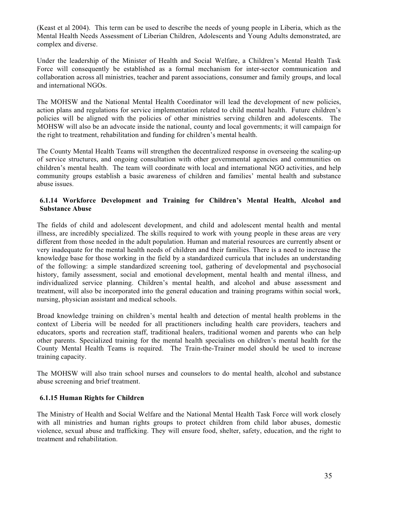(Keast et al 2004). This term can be used to describe the needs of young people in Liberia, which as the Mental Health Needs Assessment of Liberian Children, Adolescents and Young Adults demonstrated, are complex and diverse.

Under the leadership of the Minister of Health and Social Welfare, a Children's Mental Health Task Force will consequently be established as a formal mechanism for inter-sector communication and collaboration across all ministries, teacher and parent associations, consumer and family groups, and local and international NGOs.

The MOHSW and the National Mental Health Coordinator will lead the development of new policies, action plans and regulations for service implementation related to child mental health. Future children's policies will be aligned with the policies of other ministries serving children and adolescents. The MOHSW will also be an advocate inside the national, county and local governments; it will campaign for the right to treatment, rehabilitation and funding for children's mental health.

The County Mental Health Teams will strengthen the decentralized response in overseeing the scaling-up of service structures, and ongoing consultation with other governmental agencies and communities on children's mental health. The team will coordinate with local and international NGO activities, and help community groups establish a basic awareness of children and families' mental health and substance abuse issues.

# **6.1.14 Workforce Development and Training for Children's Mental Health, Alcohol and Substance Abuse**

The fields of child and adolescent development, and child and adolescent mental health and mental illness, are incredibly specialized. The skills required to work with young people in these areas are very different from those needed in the adult population. Human and material resources are currently absent or very inadequate for the mental health needs of children and their families. There is a need to increase the knowledge base for those working in the field by a standardized curricula that includes an understanding of the following: a simple standardized screening tool, gathering of developmental and psychosocial history, family assessment, social and emotional development, mental health and mental illness, and individualized service planning. Children's mental health, and alcohol and abuse assessment and treatment, will also be incorporated into the general education and training programs within social work, nursing, physician assistant and medical schools.

Broad knowledge training on children's mental health and detection of mental health problems in the context of Liberia will be needed for all practitioners including health care providers, teachers and educators, sports and recreation staff, traditional healers, traditional women and parents who can help other parents. Specialized training for the mental health specialists on children's mental health for the County Mental Health Teams is required. The Train-the-Trainer model should be used to increase training capacity.

The MOHSW will also train school nurses and counselors to do mental health, alcohol and substance abuse screening and brief treatment.

#### **6.1.15 Human Rights for Children**

The Ministry of Health and Social Welfare and the National Mental Health Task Force will work closely with all ministries and human rights groups to protect children from child labor abuses, domestic violence, sexual abuse and trafficking. They will ensure food, shelter, safety, education, and the right to treatment and rehabilitation.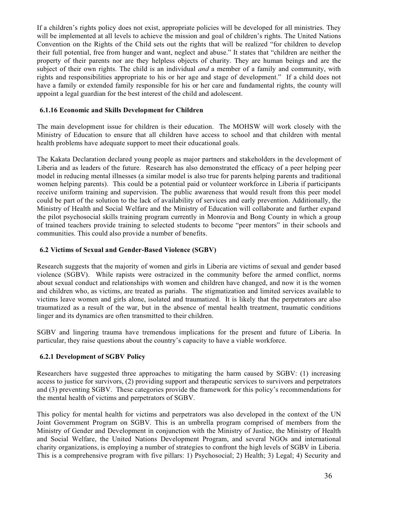If a children's rights policy does not exist, appropriate policies will be developed for all ministries. They will be implemented at all levels to achieve the mission and goal of children's rights. The United Nations Convention on the Rights of the Child sets out the rights that will be realized "for children to develop their full potential, free from hunger and want, neglect and abuse." It states that "children are neither the property of their parents nor are they helpless objects of charity. They are human beings and are the subject of their own rights. The child is an individual *and* a member of a family and community, with rights and responsibilities appropriate to his or her age and stage of development." If a child does not have a family or extended family responsible for his or her care and fundamental rights, the county will appoint a legal guardian for the best interest of the child and adolescent.

#### **6.1.16 Economic and Skills Development for Children**

The main development issue for children is their education. The MOHSW will work closely with the Ministry of Education to ensure that all children have access to school and that children with mental health problems have adequate support to meet their educational goals.

The Kakata Declaration declared young people as major partners and stakeholders in the development of Liberia and as leaders of the future. Research has also demonstrated the efficacy of a peer helping peer model in reducing mental illnesses (a similar model is also true for parents helping parents and traditional women helping parents). This could be a potential paid or volunteer workforce in Liberia if participants receive uniform training and supervision. The public awareness that would result from this peer model could be part of the solution to the lack of availability of services and early prevention. Additionally, the Ministry of Health and Social Welfare and the Ministry of Education will collaborate and further expand the pilot psychosocial skills training program currently in Monrovia and Bong County in which a group of trained teachers provide training to selected students to become "peer mentors" in their schools and communities. This could also provide a number of benefits.

#### **6.2 Victims of Sexual and Gender-Based Violence (SGBV)**

Research suggests that the majority of women and girls in Liberia are victims of sexual and gender based violence (SGBV). While rapists were ostracized in the community before the armed conflict, norms about sexual conduct and relationships with women and children have changed, and now it is the women and children who, as victims, are treated as pariahs. The stigmatization and limited services available to victims leave women and girls alone, isolated and traumatized. It is likely that the perpetrators are also traumatized as a result of the war, but in the absence of mental health treatment, traumatic conditions linger and its dynamics are often transmitted to their children.

SGBV and lingering trauma have tremendous implications for the present and future of Liberia. In particular, they raise questions about the country's capacity to have a viable workforce.

# **6.2.1 Development of SGBV Policy**

Researchers have suggested three approaches to mitigating the harm caused by SGBV: (1) increasing access to justice for survivors, (2) providing support and therapeutic services to survivors and perpetrators and (3) preventing SGBV. These categories provide the framework for this policy's recommendations for the mental health of victims and perpetrators of SGBV.

This policy for mental health for victims and perpetrators was also developed in the context of the UN Joint Government Program on SGBV. This is an umbrella program comprised of members from the Ministry of Gender and Development in conjunction with the Ministry of Justice, the Ministry of Health and Social Welfare, the United Nations Development Program, and several NGOs and international charity organizations, is employing a number of strategies to confront the high levels of SGBV in Liberia. This is a comprehensive program with five pillars: 1) Psychosocial; 2) Health; 3) Legal; 4) Security and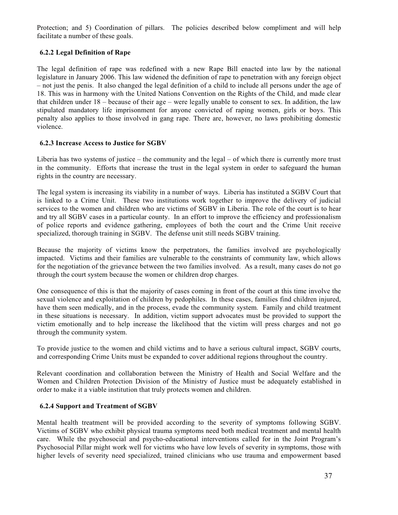Protection; and 5) Coordination of pillars. The policies described below compliment and will help facilitate a number of these goals.

# **6.2.2 Legal Definition of Rape**

The legal definition of rape was redefined with a new Rape Bill enacted into law by the national legislature in January 2006. This law widened the definition of rape to penetration with any foreign object – not just the penis. It also changed the legal definition of a child to include all persons under the age of 18. This was in harmony with the United Nations Convention on the Rights of the Child, and made clear that children under 18 – because of their age – were legally unable to consent to sex. In addition, the law stipulated mandatory life imprisonment for anyone convicted of raping women, girls or boys. This penalty also applies to those involved in gang rape. There are, however, no laws prohibiting domestic violence.

#### **6.2.3 Increase Access to Justice for SGBV**

Liberia has two systems of justice – the community and the legal – of which there is currently more trust in the community. Efforts that increase the trust in the legal system in order to safeguard the human rights in the country are necessary.

The legal system is increasing its viability in a number of ways. Liberia has instituted a SGBV Court that is linked to a Crime Unit. These two institutions work together to improve the delivery of judicial services to the women and children who are victims of SGBV in Liberia. The role of the court is to hear and try all SGBV cases in a particular county. In an effort to improve the efficiency and professionalism of police reports and evidence gathering, employees of both the court and the Crime Unit receive specialized, thorough training in SGBV. The defense unit still needs SGBV training.

Because the majority of victims know the perpetrators, the families involved are psychologically impacted. Victims and their families are vulnerable to the constraints of community law, which allows for the negotiation of the grievance between the two families involved. As a result, many cases do not go through the court system because the women or children drop charges.

One consequence of this is that the majority of cases coming in front of the court at this time involve the sexual violence and exploitation of children by pedophiles. In these cases, families find children injured, have them seen medically, and in the process, evade the community system. Family and child treatment in these situations is necessary. In addition, victim support advocates must be provided to support the victim emotionally and to help increase the likelihood that the victim will press charges and not go through the community system.

To provide justice to the women and child victims and to have a serious cultural impact, SGBV courts, and corresponding Crime Units must be expanded to cover additional regions throughout the country.

Relevant coordination and collaboration between the Ministry of Health and Social Welfare and the Women and Children Protection Division of the Ministry of Justice must be adequately established in order to make it a viable institution that truly protects women and children.

## **6.2.4 Support and Treatment of SGBV**

Mental health treatment will be provided according to the severity of symptoms following SGBV. Victims of SGBV who exhibit physical trauma symptoms need both medical treatment and mental health care. While the psychosocial and psycho-educational interventions called for in the Joint Program's Psychosocial Pillar might work well for victims who have low levels of severity in symptoms, those with higher levels of severity need specialized, trained clinicians who use trauma and empowerment based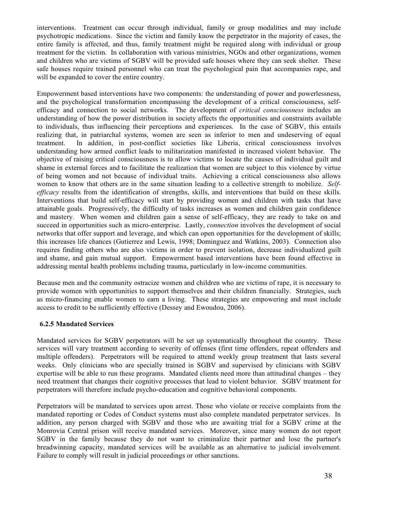interventions. Treatment can occur through individual, family or group modalities and may include psychotropic medications. Since the victim and family know the perpetrator in the majority of cases, the entire family is affected, and thus, family treatment might be required along with individual or group treatment for the victim. In collaboration with various ministries, NGOs and other organizations, women and children who are victims of SGBV will be provided safe houses where they can seek shelter. These safe houses require trained personnel who can treat the psychological pain that accompanies rape, and will be expanded to cover the entire country.

Empowerment based interventions have two components: the understanding of power and powerlessness, and the psychological transformation encompassing the development of a critical consciousness, selfefficacy and connection to social networks. The development of *critical consciousness* includes an understanding of how the power distribution in society affects the opportunities and constraints available to individuals, thus influencing their perceptions and experiences. In the case of SGBV, this entails realizing that, in patriarchal systems, women are seen as inferior to men and undeserving of equal treatment. In addition, in post-conflict societies like Liberia, critical consciousness involves understanding how armed conflict leads to militarization manifested in increased violent behavior. The objective of raising critical consciousness is to allow victims to locate the causes of individual guilt and shame in external forces and to facilitate the realization that women are subject to this violence by virtue of being women and not because of individual traits. Achieving a critical consciousness also allows women to know that others are in the same situation leading to a collective strength to mobilize. *Selfefficacy* results from the identification of strengths, skills, and interventions that build on these skills. Interventions that build self-efficacy will start by providing women and children with tasks that have attainable goals. Progressively, the difficulty of tasks increases as women and children gain confidence and mastery. When women and children gain a sense of self-efficacy, they are ready to take on and succeed in opportunities such as micro-enterprise. Lastly, *connection* involves the development of social networks that offer support and leverage, and which can open opportunities for the development of skills; this increases life chances (Gutierrez and Lewis, 1998; Dominguez and Watkins, 2003). Connection also requires finding others who are also victims in order to prevent isolation, decrease individualized guilt and shame, and gain mutual support. Empowerment based interventions have been found effective in addressing mental health problems including trauma, particularly in low-income communities.

Because men and the community ostracize women and children who are victims of rape, it is necessary to provide women with opportunities to support themselves and their children financially. Strategies, such as micro-financing enable women to earn a living. These strategies are empowering and must include access to credit to be sufficiently effective (Dessey and Ewoudou, 2006).

#### **6.2.5 Mandated Services**

Mandated services for SGBV perpetrators will be set up systematically throughout the country. These services will vary treatment according to severity of offenses (first time offenders, repeat offenders and multiple offenders). Perpetrators will be required to attend weekly group treatment that lasts several weeks. Only clinicians who are specially trained in SGBV and supervised by clinicians with SGBV expertise will be able to run these programs. Mandated clients need more than attitudinal changes – they need treatment that changes their cognitive processes that lead to violent behavior. SGBV treatment for perpetrators will therefore include psycho-education and cognitive behavioral components.

Perpetrators will be mandated to services upon arrest. Those who violate or receive complaints from the mandated reporting or Codes of Conduct systems must also complete mandated perpetrator services. In addition, any person charged with SGBV and those who are awaiting trial for a SGBV crime at the Monrovia Central prison will receive mandated services. Moreover, since many women do not report SGBV in the family because they do not want to criminalize their partner and lose the partner's breadwinning capacity, mandated services will be available as an alternative to judicial involvement. Failure to comply will result in judicial proceedings or other sanctions.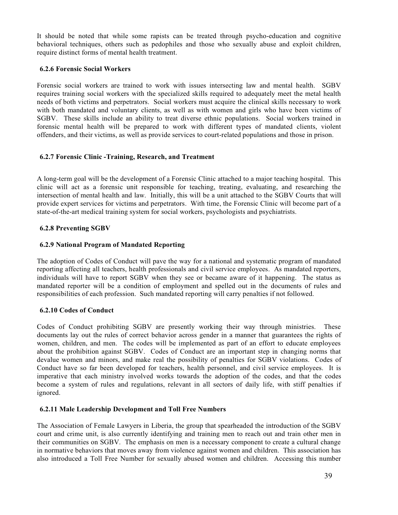It should be noted that while some rapists can be treated through psycho-education and cognitive behavioral techniques, others such as pedophiles and those who sexually abuse and exploit children, require distinct forms of mental health treatment.

#### **6.2.6 Forensic Social Workers**

Forensic social workers are trained to work with issues intersecting law and mental health. SGBV requires training social workers with the specialized skills required to adequately meet the metal health needs of both victims and perpetrators. Social workers must acquire the clinical skills necessary to work with both mandated and voluntary clients, as well as with women and girls who have been victims of SGBV. These skills include an ability to treat diverse ethnic populations. Social workers trained in forensic mental health will be prepared to work with different types of mandated clients, violent offenders, and their victims, as well as provide services to court-related populations and those in prison.

#### **6.2.7 Forensic Clinic -Training, Research, and Treatment**

A long-term goal will be the development of a Forensic Clinic attached to a major teaching hospital. This clinic will act as a forensic unit responsible for teaching, treating, evaluating, and researching the intersection of mental health and law. Initially, this will be a unit attached to the SGBV Courts that will provide expert services for victims and perpetrators. With time, the Forensic Clinic will become part of a state-of-the-art medical training system for social workers, psychologists and psychiatrists.

#### **6.2.8 Preventing SGBV**

#### **6.2.9 National Program of Mandated Reporting**

The adoption of Codes of Conduct will pave the way for a national and systematic program of mandated reporting affecting all teachers, health professionals and civil service employees. As mandated reporters, individuals will have to report SGBV when they see or became aware of it happening. The status as mandated reporter will be a condition of employment and spelled out in the documents of rules and responsibilities of each profession. Such mandated reporting will carry penalties if not followed.

#### **6.2.10 Codes of Conduct**

Codes of Conduct prohibiting SGBV are presently working their way through ministries. These documents lay out the rules of correct behavior across gender in a manner that guarantees the rights of women, children, and men. The codes will be implemented as part of an effort to educate employees about the prohibition against SGBV. Codes of Conduct are an important step in changing norms that devalue women and minors, and make real the possibility of penalties for SGBV violations. Codes of Conduct have so far been developed for teachers, health personnel, and civil service employees. It is imperative that each ministry involved works towards the adoption of the codes, and that the codes become a system of rules and regulations, relevant in all sectors of daily life, with stiff penalties if ignored.

#### **6.2.11 Male Leadership Development and Toll Free Numbers**

The Association of Female Lawyers in Liberia, the group that spearheaded the introduction of the SGBV court and crime unit, is also currently identifying and training men to reach out and train other men in their communities on SGBV. The emphasis on men is a necessary component to create a cultural change in normative behaviors that moves away from violence against women and children. This association has also introduced a Toll Free Number for sexually abused women and children. Accessing this number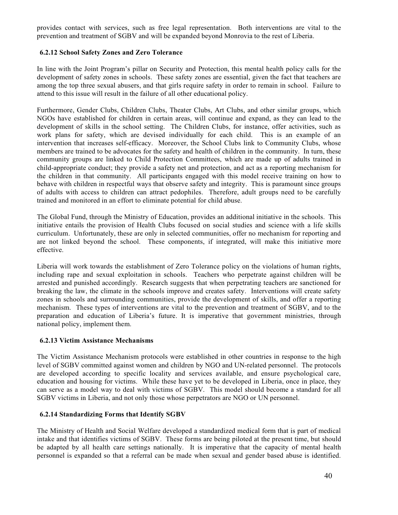provides contact with services, such as free legal representation. Both interventions are vital to the prevention and treatment of SGBV and will be expanded beyond Monrovia to the rest of Liberia.

## **6.2.12 School Safety Zones and Zero Tolerance**

In line with the Joint Program's pillar on Security and Protection, this mental health policy calls for the development of safety zones in schools. These safety zones are essential, given the fact that teachers are among the top three sexual abusers, and that girls require safety in order to remain in school. Failure to attend to this issue will result in the failure of all other educational policy.

Furthermore, Gender Clubs, Children Clubs, Theater Clubs, Art Clubs, and other similar groups, which NGOs have established for children in certain areas, will continue and expand, as they can lead to the development of skills in the school setting. The Children Clubs, for instance, offer activities, such as work plans for safety, which are devised individually for each child. This is an example of an intervention that increases self-efficacy. Moreover, the School Clubs link to Community Clubs, whose members are trained to be advocates for the safety and health of children in the community. In turn, these community groups are linked to Child Protection Committees, which are made up of adults trained in child-appropriate conduct; they provide a safety net and protection, and act as a reporting mechanism for the children in that community. All participants engaged with this model receive training on how to behave with children in respectful ways that observe safety and integrity. This is paramount since groups of adults with access to children can attract pedophiles. Therefore, adult groups need to be carefully trained and monitored in an effort to eliminate potential for child abuse.

The Global Fund, through the Ministry of Education, provides an additional initiative in the schools. This initiative entails the provision of Health Clubs focused on social studies and science with a life skills curriculum. Unfortunately, these are only in selected communities, offer no mechanism for reporting and are not linked beyond the school. These components, if integrated, will make this initiative more effective.

Liberia will work towards the establishment of Zero Tolerance policy on the violations of human rights, including rape and sexual exploitation in schools. Teachers who perpetrate against children will be arrested and punished accordingly. Research suggests that when perpetrating teachers are sanctioned for breaking the law, the climate in the schools improve and creates safety. Interventions will create safety zones in schools and surrounding communities, provide the development of skills, and offer a reporting mechanism. These types of interventions are vital to the prevention and treatment of SGBV, and to the preparation and education of Liberia's future. It is imperative that government ministries, through national policy, implement them.

#### **6.2.13 Victim Assistance Mechanisms**

The Victim Assistance Mechanism protocols were established in other countries in response to the high level of SGBV committed against women and children by NGO and UN-related personnel. The protocols are developed according to specific locality and services available, and ensure psychological care, education and housing for victims. While these have yet to be developed in Liberia, once in place, they can serve as a model way to deal with victims of SGBV. This model should become a standard for all SGBV victims in Liberia, and not only those whose perpetrators are NGO or UN personnel.

#### **6.2.14 Standardizing Forms that Identify SGBV**

The Ministry of Health and Social Welfare developed a standardized medical form that is part of medical intake and that identifies victims of SGBV. These forms are being piloted at the present time, but should be adapted by all health care settings nationally. It is imperative that the capacity of mental health personnel is expanded so that a referral can be made when sexual and gender based abuse is identified.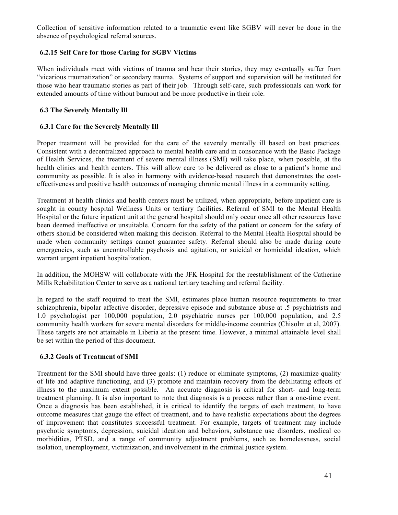Collection of sensitive information related to a traumatic event like SGBV will never be done in the absence of psychological referral sources.

## **6.2.15 Self Care for those Caring for SGBV Victims**

When individuals meet with victims of trauma and hear their stories, they may eventually suffer from "vicarious traumatization" or secondary trauma. Systems of support and supervision will be instituted for those who hear traumatic stories as part of their job. Through self-care, such professionals can work for extended amounts of time without burnout and be more productive in their role.

## **6.3 The Severely Mentally Ill**

## **6.3.1 Care for the Severely Mentally Ill**

Proper treatment will be provided for the care of the severely mentally ill based on best practices. Consistent with a decentralized approach to mental health care and in consonance with the Basic Package of Health Services, the treatment of severe mental illness (SMI) will take place, when possible, at the health clinics and health centers. This will allow care to be delivered as close to a patient's home and community as possible. It is also in harmony with evidence-based research that demonstrates the costeffectiveness and positive health outcomes of managing chronic mental illness in a community setting.

Treatment at health clinics and health centers must be utilized, when appropriate, before inpatient care is sought in county hospital Wellness Units or tertiary facilities. Referral of SMI to the Mental Health Hospital or the future inpatient unit at the general hospital should only occur once all other resources have been deemed ineffective or unsuitable. Concern for the safety of the patient or concern for the safety of others should be considered when making this decision. Referral to the Mental Health Hospital should be made when community settings cannot guarantee safety. Referral should also be made during acute emergencies, such as uncontrollable psychosis and agitation, or suicidal or homicidal ideation, which warrant urgent inpatient hospitalization.

In addition, the MOHSW will collaborate with the JFK Hospital for the reestablishment of the Catherine Mills Rehabilitation Center to serve as a national tertiary teaching and referral facility.

In regard to the staff required to treat the SMI, estimates place human resource requirements to treat schizophrenia, bipolar affective disorder, depressive episode and substance abuse at .5 psychiatrists and 1.0 psychologist per 100,000 population, 2.0 psychiatric nurses per 100,000 population, and 2.5 community health workers for severe mental disorders for middle-income countries (Chisolm et al, 2007). These targets are not attainable in Liberia at the present time. However, a minimal attainable level shall be set within the period of this document.

#### **6.3.2 Goals of Treatment of SMI**

Treatment for the SMI should have three goals: (1) reduce or eliminate symptoms, (2) maximize quality of life and adaptive functioning, and (3) promote and maintain recovery from the debilitating effects of illness to the maximum extent possible. An accurate diagnosis is critical for short- and long-term treatment planning. It is also important to note that diagnosis is a process rather than a one-time event. Once a diagnosis has been established, it is critical to identify the targets of each treatment, to have outcome measures that gauge the effect of treatment, and to have realistic expectations about the degrees of improvement that constitutes successful treatment. For example, targets of treatment may include psychotic symptoms, depression, suicidal ideation and behaviors, substance use disorders, medical co morbidities, PTSD, and a range of community adjustment problems, such as homelessness, social isolation, unemployment, victimization, and involvement in the criminal justice system.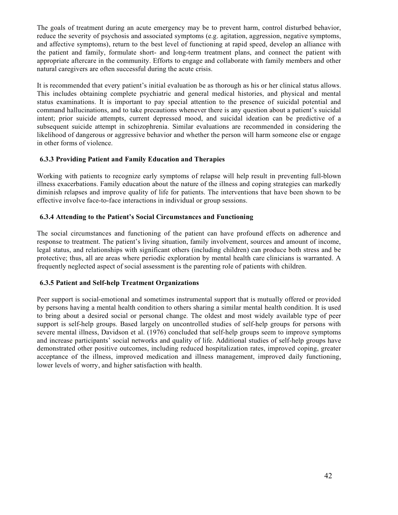The goals of treatment during an acute emergency may be to prevent harm, control disturbed behavior, reduce the severity of psychosis and associated symptoms (e.g. agitation, aggression, negative symptoms, and affective symptoms), return to the best level of functioning at rapid speed, develop an alliance with the patient and family, formulate short- and long-term treatment plans, and connect the patient with appropriate aftercare in the community. Efforts to engage and collaborate with family members and other natural caregivers are often successful during the acute crisis.

It is recommended that every patient's initial evaluation be as thorough as his or her clinical status allows. This includes obtaining complete psychiatric and general medical histories, and physical and mental status examinations. It is important to pay special attention to the presence of suicidal potential and command hallucinations, and to take precautions whenever there is any question about a patient's suicidal intent; prior suicide attempts, current depressed mood, and suicidal ideation can be predictive of a subsequent suicide attempt in schizophrenia. Similar evaluations are recommended in considering the likelihood of dangerous or aggressive behavior and whether the person will harm someone else or engage in other forms of violence.

#### **6.3.3 Providing Patient and Family Education and Therapies**

Working with patients to recognize early symptoms of relapse will help result in preventing full-blown illness exacerbations. Family education about the nature of the illness and coping strategies can markedly diminish relapses and improve quality of life for patients. The interventions that have been shown to be effective involve face-to-face interactions in individual or group sessions.

## **6.3.4 Attending to the Patient's Social Circumstances and Functioning**

The social circumstances and functioning of the patient can have profound effects on adherence and response to treatment. The patient's living situation, family involvement, sources and amount of income, legal status, and relationships with significant others (including children) can produce both stress and be protective; thus, all are areas where periodic exploration by mental health care clinicians is warranted. A frequently neglected aspect of social assessment is the parenting role of patients with children.

#### **6.3.5 Patient and Self-help Treatment Organizations**

Peer support is social-emotional and sometimes instrumental support that is mutually offered or provided by persons having a mental health condition to others sharing a similar mental health condition. It is used to bring about a desired social or personal change. The oldest and most widely available type of peer support is self-help groups. Based largely on uncontrolled studies of self-help groups for persons with severe mental illness, Davidson et al. (1976) concluded that self-help groups seem to improve symptoms and increase participants' social networks and quality of life. Additional studies of self-help groups have demonstrated other positive outcomes, including reduced hospitalization rates, improved coping, greater acceptance of the illness, improved medication and illness management, improved daily functioning, lower levels of worry, and higher satisfaction with health.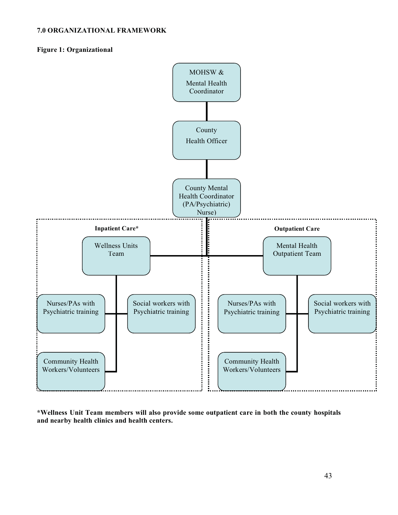#### **7.0 ORGANIZATIONAL FRAMEWORK**

#### **Figure 1: Organizational**



**\*Wellness Unit Team members will also provide some outpatient care in both the county hospitals and nearby health clinics and health centers.**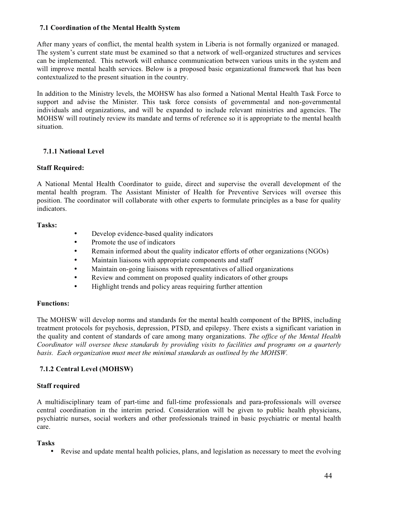#### **7.1 Coordination of the Mental Health System**

After many years of conflict, the mental health system in Liberia is not formally organized or managed. The system's current state must be examined so that a network of well-organized structures and services can be implemented. This network will enhance communication between various units in the system and will improve mental health services. Below is a proposed basic organizational framework that has been contextualized to the present situation in the country.

In addition to the Ministry levels, the MOHSW has also formed a National Mental Health Task Force to support and advise the Minister. This task force consists of governmental and non-governmental individuals and organizations, and will be expanded to include relevant ministries and agencies. The MOHSW will routinely review its mandate and terms of reference so it is appropriate to the mental health situation.

#### **7.1.1 National Level**

#### **Staff Required:**

A National Mental Health Coordinator to guide, direct and supervise the overall development of the mental health program. The Assistant Minister of Health for Preventive Services will oversee this position. The coordinator will collaborate with other experts to formulate principles as a base for quality indicators.

#### **Tasks:**

- Develop evidence-based quality indicators
- Promote the use of indicators
- Remain informed about the quality indicator efforts of other organizations (NGOs)
- Maintain liaisons with appropriate components and staff
- Maintain on-going liaisons with representatives of allied organizations
- Review and comment on proposed quality indicators of other groups
- Highlight trends and policy areas requiring further attention

#### **Functions:**

The MOHSW will develop norms and standards for the mental health component of the BPHS, including treatment protocols for psychosis, depression, PTSD, and epilepsy. There exists a significant variation in the quality and content of standards of care among many organizations. *The office of the Mental Health Coordinator will oversee these standards by providing visits to facilities and programs on a quarterly basis. Each organization must meet the minimal standards as outlined by the MOHSW.*

#### **7.1.2 Central Level (MOHSW)**

#### **Staff required**

A multidisciplinary team of part-time and full-time professionals and para-professionals will oversee central coordination in the interim period. Consideration will be given to public health physicians, psychiatric nurses, social workers and other professionals trained in basic psychiatric or mental health care.

#### **Tasks**

• Revise and update mental health policies, plans, and legislation as necessary to meet the evolving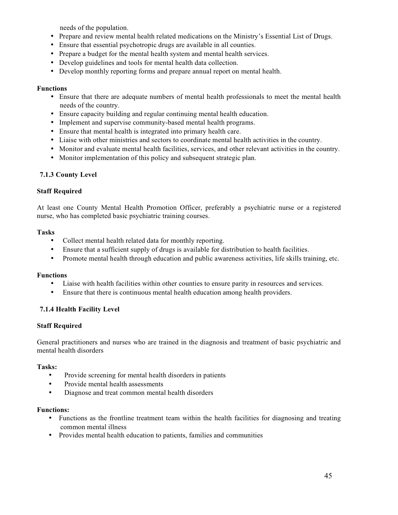needs of the population.

- Prepare and review mental health related medications on the Ministry's Essential List of Drugs.
- Ensure that essential psychotropic drugs are available in all counties.
- Prepare a budget for the mental health system and mental health services.
- Develop guidelines and tools for mental health data collection.
- Develop monthly reporting forms and prepare annual report on mental health.

#### **Functions**

- Ensure that there are adequate numbers of mental health professionals to meet the mental health needs of the country.
- Ensure capacity building and regular continuing mental health education.
- Implement and supervise community-based mental health programs.
- Ensure that mental health is integrated into primary health care.
- Liaise with other ministries and sectors to coordinate mental health activities in the country.
- Monitor and evaluate mental health facilities, services, and other relevant activities in the country.
- Monitor implementation of this policy and subsequent strategic plan.

## **7.1.3 County Level**

#### **Staff Required**

At least one County Mental Health Promotion Officer, preferably a psychiatric nurse or a registered nurse, who has completed basic psychiatric training courses.

#### **Tasks**

- Collect mental health related data for monthly reporting.
- Ensure that a sufficient supply of drugs is available for distribution to health facilities.
- Promote mental health through education and public awareness activities, life skills training, etc.

#### **Functions**

- Liaise with health facilities within other counties to ensure parity in resources and services.
- Ensure that there is continuous mental health education among health providers.

#### **7.1.4 Health Facility Level**

#### **Staff Required**

General practitioners and nurses who are trained in the diagnosis and treatment of basic psychiatric and mental health disorders

#### **Tasks:**

- Provide screening for mental health disorders in patients
- Provide mental health assessments
- Diagnose and treat common mental health disorders

#### **Functions:**

- Functions as the frontline treatment team within the health facilities for diagnosing and treating common mental illness
- Provides mental health education to patients, families and communities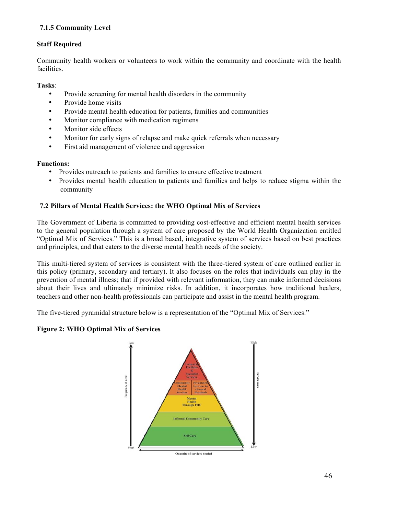# **7.1.5 Community Level**

# **Staff Required**

Community health workers or volunteers to work within the community and coordinate with the health facilities.

## **Tasks**:

- Provide screening for mental health disorders in the community
- Provide home visits
- Provide mental health education for patients, families and communities
- Monitor compliance with medication regimens
- Monitor side effects
- Monitor for early signs of relapse and make quick referrals when necessary
- First aid management of violence and aggression

#### **Functions:**

- Provides outreach to patients and families to ensure effective treatment
- Provides mental health education to patients and families and helps to reduce stigma within the community

## **7.2 Pillars of Mental Health Services: the WHO Optimal Mix of Services**

The Government of Liberia is committed to providing cost-effective and efficient mental health services to the general population through a system of care proposed by the World Health Organization entitled "Optimal Mix of Services." This is a broad based, integrative system of services based on best practices and principles, and that caters to the diverse mental health needs of the society.

This multi-tiered system of services is consistent with the three-tiered system of care outlined earlier in this policy (primary, secondary and tertiary). It also focuses on the roles that individuals can play in the prevention of mental illness; that if provided with relevant information, they can make informed decisions about their lives and ultimately minimize risks. In addition, it incorporates how traditional healers, teachers and other non-health professionals can participate and assist in the mental health program.

The five-tiered pyramidal structure below is a representation of the "Optimal Mix of Services."

#### **Figure 2: WHO Optimal Mix of Services**

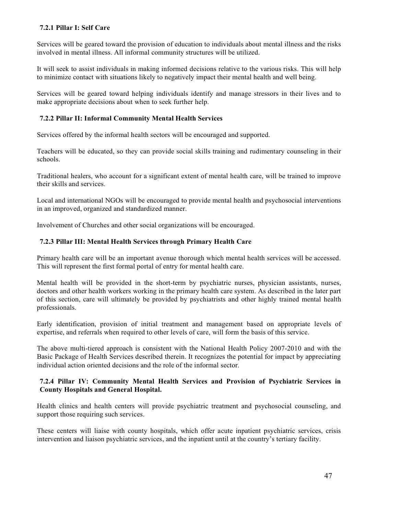# **7.2.1 Pillar I: Self Care**

Services will be geared toward the provision of education to individuals about mental illness and the risks involved in mental illness. All informal community structures will be utilized.

It will seek to assist individuals in making informed decisions relative to the various risks. This will help to minimize contact with situations likely to negatively impact their mental health and well being.

Services will be geared toward helping individuals identify and manage stressors in their lives and to make appropriate decisions about when to seek further help.

## **7.2.2 Pillar II: Informal Community Mental Health Services**

Services offered by the informal health sectors will be encouraged and supported.

Teachers will be educated, so they can provide social skills training and rudimentary counseling in their schools.

Traditional healers, who account for a significant extent of mental health care, will be trained to improve their skills and services.

Local and international NGOs will be encouraged to provide mental health and psychosocial interventions in an improved, organized and standardized manner.

Involvement of Churches and other social organizations will be encouraged.

## **7.2.3 Pillar III: Mental Health Services through Primary Health Care**

Primary health care will be an important avenue thorough which mental health services will be accessed. This will represent the first formal portal of entry for mental health care.

Mental health will be provided in the short-term by psychiatric nurses, physician assistants, nurses, doctors and other health workers working in the primary health care system. As described in the later part of this section, care will ultimately be provided by psychiatrists and other highly trained mental health professionals.

Early identification, provision of initial treatment and management based on appropriate levels of expertise, and referrals when required to other levels of care, will form the basis of this service.

The above multi-tiered approach is consistent with the National Health Policy 2007-2010 and with the Basic Package of Health Services described therein. It recognizes the potential for impact by appreciating individual action oriented decisions and the role of the informal sector.

## **7.2.4 Pillar IV: Community Mental Health Services and Provision of Psychiatric Services in County Hospitals and General Hospital.**

Health clinics and health centers will provide psychiatric treatment and psychosocial counseling, and support those requiring such services.

These centers will liaise with county hospitals, which offer acute inpatient psychiatric services, crisis intervention and liaison psychiatric services, and the inpatient until at the country's tertiary facility.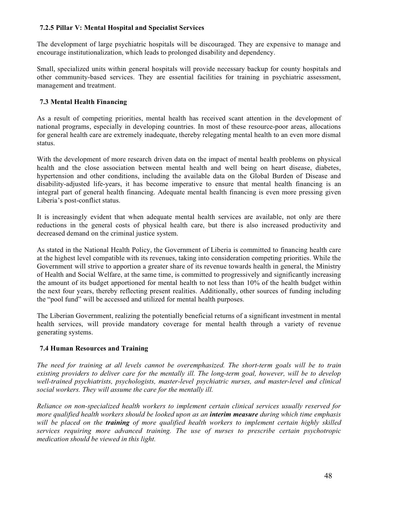## **7.2.5 Pillar V: Mental Hospital and Specialist Services**

The development of large psychiatric hospitals will be discouraged. They are expensive to manage and encourage institutionalization, which leads to prolonged disability and dependency.

Small, specialized units within general hospitals will provide necessary backup for county hospitals and other community-based services. They are essential facilities for training in psychiatric assessment, management and treatment.

# **7.3 Mental Health Financing**

As a result of competing priorities, mental health has received scant attention in the development of national programs, especially in developing countries. In most of these resource-poor areas, allocations for general health care are extremely inadequate, thereby relegating mental health to an even more dismal status.

With the development of more research driven data on the impact of mental health problems on physical health and the close association between mental health and well being on heart disease, diabetes, hypertension and other conditions, including the available data on the Global Burden of Disease and disability-adjusted life-years, it has become imperative to ensure that mental health financing is an integral part of general health financing. Adequate mental health financing is even more pressing given Liberia's post-conflict status.

It is increasingly evident that when adequate mental health services are available, not only are there reductions in the general costs of physical health care, but there is also increased productivity and decreased demand on the criminal justice system.

As stated in the National Health Policy, the Government of Liberia is committed to financing health care at the highest level compatible with its revenues, taking into consideration competing priorities. While the Government will strive to apportion a greater share of its revenue towards health in general, the Ministry of Health and Social Welfare, at the same time, is committed to progressively and significantly increasing the amount of its budget apportioned for mental health to not less than 10% of the health budget within the next four years, thereby reflecting present realities. Additionally, other sources of funding including the "pool fund" will be accessed and utilized for mental health purposes.

The Liberian Government, realizing the potentially beneficial returns of a significant investment in mental health services, will provide mandatory coverage for mental health through a variety of revenue generating systems.

# **7.4 Human Resources and Training**

*The need for training at all levels cannot be overemphasized. The short-term goals will be to train existing providers to deliver care for the mentally ill. The long-term goal, however, will be to develop well-trained psychiatrists, psychologists, master-level psychiatric nurses, and master-level and clinical social workers. They will assume the care for the mentally ill.* 

*Reliance on non-specialized health workers to implement certain clinical services usually reserved for more qualified health workers should be looked upon as an interim measure during which time emphasis will be placed on the training of more qualified health workers to implement certain highly skilled services requiring more advanced training. The use of nurses to prescribe certain psychotropic medication should be viewed in this light.*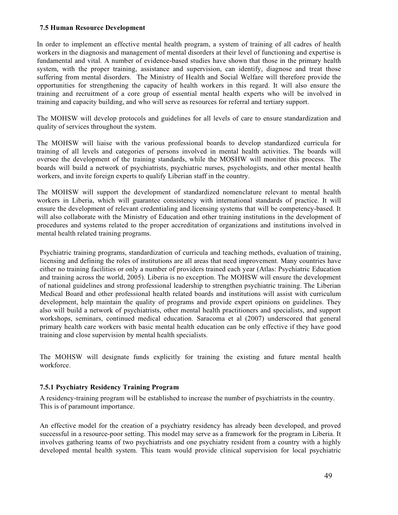#### **7.5 Human Resource Development**

In order to implement an effective mental health program, a system of training of all cadres of health workers in the diagnosis and management of mental disorders at their level of functioning and expertise is fundamental and vital. A number of evidence-based studies have shown that those in the primary health system, with the proper training, assistance and supervision, can identify, diagnose and treat those suffering from mental disorders. The Ministry of Health and Social Welfare will therefore provide the opportunities for strengthening the capacity of health workers in this regard. It will also ensure the training and recruitment of a core group of essential mental health experts who will be involved in training and capacity building, and who will serve as resources for referral and tertiary support.

The MOHSW will develop protocols and guidelines for all levels of care to ensure standardization and quality of services throughout the system.

The MOHSW will liaise with the various professional boards to develop standardized curricula for training of all levels and categories of persons involved in mental health activities. The boards will oversee the development of the training standards, while the MOSHW will monitor this process. The boards will build a network of psychiatrists, psychiatric nurses, psychologists, and other mental health workers, and invite foreign experts to qualify Liberian staff in the country.

The MOHSW will support the development of standardized nomenclature relevant to mental health workers in Liberia, which will guarantee consistency with international standards of practice. It will ensure the development of relevant credentialing and licensing systems that will be competency-based. It will also collaborate with the Ministry of Education and other training institutions in the development of procedures and systems related to the proper accreditation of organizations and institutions involved in mental health related training programs.

Psychiatric training programs, standardization of curricula and teaching methods, evaluation of training, licensing and defining the roles of institutions are all areas that need improvement. Many countries have either no training facilities or only a number of providers trained each year (Atlas: Psychiatric Education and training across the world, 2005). Liberia is no exception. The MOHSW will ensure the development of national guidelines and strong professional leadership to strengthen psychiatric training. The Liberian Medical Board and other professional health related boards and institutions will assist with curriculum development, help maintain the quality of programs and provide expert opinions on guidelines. They also will build a network of psychiatrists, other mental health practitioners and specialists, and support workshops, seminars, continued medical education. Saracoma et al (2007) underscored that general primary health care workers with basic mental health education can be only effective if they have good training and close supervision by mental health specialists.

The MOHSW will designate funds explicitly for training the existing and future mental health workforce.

#### **7.5.1 Psychiatry Residency Training Program**

A residency-training program will be established to increase the number of psychiatrists in the country. This is of paramount importance.

An effective model for the creation of a psychiatry residency has already been developed, and proved successful in a resource-poor setting. This model may serve as a framework for the program in Liberia. It involves gathering teams of two psychiatrists and one psychiatry resident from a country with a highly developed mental health system. This team would provide clinical supervision for local psychiatric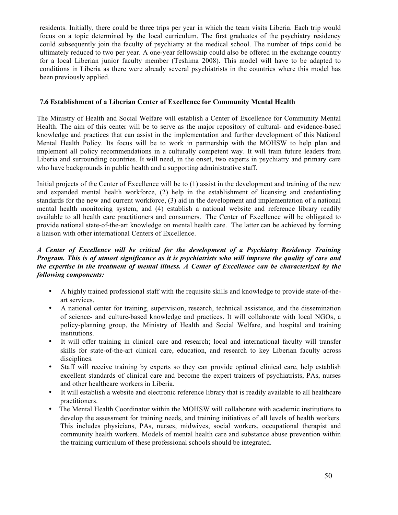residents. Initially, there could be three trips per year in which the team visits Liberia. Each trip would focus on a topic determined by the local curriculum. The first graduates of the psychiatry residency could subsequently join the faculty of psychiatry at the medical school. The number of trips could be ultimately reduced to two per year. A one-year fellowship could also be offered in the exchange country for a local Liberian junior faculty member (Teshima 2008). This model will have to be adapted to conditions in Liberia as there were already several psychiatrists in the countries where this model has been previously applied.

## **7.6 Establishment of a Liberian Center of Excellence for Community Mental Health**

The Ministry of Health and Social Welfare will establish a Center of Excellence for Community Mental Health. The aim of this center will be to serve as the major repository of cultural- and evidence-based knowledge and practices that can assist in the implementation and further development of this National Mental Health Policy. Its focus will be to work in partnership with the MOHSW to help plan and implement all policy recommendations in a culturally competent way. It will train future leaders from Liberia and surrounding countries. It will need, in the onset, two experts in psychiatry and primary care who have backgrounds in public health and a supporting administrative staff.

Initial projects of the Center of Excellence will be to (1) assist in the development and training of the new and expanded mental health workforce, (2) help in the establishment of licensing and credentialing standards for the new and current workforce, (3) aid in the development and implementation of a national mental health monitoring system, and (4) establish a national website and reference library readily available to all health care practitioners and consumers. The Center of Excellence will be obligated to provide national state-of-the-art knowledge on mental health care. The latter can be achieved by forming a liaison with other international Centers of Excellence.

# *A Center of Excellence will be critical for the development of a Psychiatry Residency Training Program. This is of utmost significance as it is psychiatrists who will improve the quality of care and the expertise in the treatment of mental illness. A Center of Excellence can be characterized by the following components:*

- A highly trained professional staff with the requisite skills and knowledge to provide state-of-theart services.
- A national center for training, supervision, research, technical assistance, and the dissemination of science- and culture-based knowledge and practices. It will collaborate with local NGOs, a policy-planning group, the Ministry of Health and Social Welfare, and hospital and training institutions.
- It will offer training in clinical care and research; local and international faculty will transfer skills for state-of-the-art clinical care, education, and research to key Liberian faculty across disciplines.
- Staff will receive training by experts so they can provide optimal clinical care, help establish excellent standards of clinical care and become the expert trainers of psychiatrists, PAs, nurses and other healthcare workers in Liberia.
- It will establish a website and electronic reference library that is readily available to all healthcare practitioners.
- The Mental Health Coordinator within the MOHSW will collaborate with academic institutions to develop the assessment for training needs, and training initiatives of all levels of health workers. This includes physicians, PAs, nurses, midwives, social workers, occupational therapist and community health workers. Models of mental health care and substance abuse prevention within the training curriculum of these professional schools should be integrated.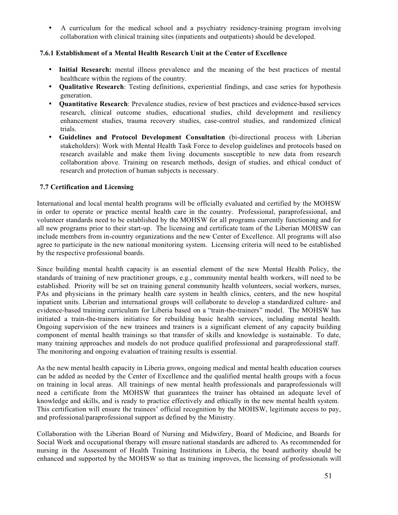• A curriculum for the medical school and a psychiatry residency-training program involving collaboration with clinical training sites (inpatients and outpatients) should be developed.

## **7.6.1 Establishment of a Mental Health Research Unit at the Center of Excellence**

- **Initial Research:** mental illness prevalence and the meaning of the best practices of mental healthcare within the regions of the country.
- **Qualitative Research**: Testing definitions, experiential findings, and case series for hypothesis generation.
- **Quantitative Research**: Prevalence studies, review of best practices and evidence-based services research, clinical outcome studies, educational studies, child development and resiliency enhancement studies, trauma recovery studies, case-control studies, and randomized clinical trials.
- **Guidelines and Protocol Development Consultation** (bi-directional process with Liberian stakeholders): Work with Mental Health Task Force to develop guidelines and protocols based on research available and make them living documents susceptible to new data from research collaboration above. Training on research methods, design of studies, and ethical conduct of research and protection of human subjects is necessary.

#### **7.7 Certification and Licensing**

International and local mental health programs will be officially evaluated and certified by the MOHSW in order to operate or practice mental health care in the country. Professional, paraprofessional, and volunteer standards need to be established by the MOHSW for all programs currently functioning and for all new programs prior to their start-up. The licensing and certificate team of the Liberian MOHSW can include members from in-country organizations and the new Center of Excellence. All programs will also agree to participate in the new national monitoring system. Licensing criteria will need to be established by the respective professional boards.

Since building mental health capacity is an essential element of the new Mental Health Policy, the standards of training of new practitioner groups, e.g., community mental health workers, will need to be established. Priority will be set on training general community health volunteers, social workers, nurses, PAs and physicians in the primary health care system in health clinics, centers, and the new hospital inpatient units. Liberian and international groups will collaborate to develop a standardized culture- and evidence-based training curriculum for Liberia based on a "train-the-trainers" model. The MOHSW has initiated a train-the-trainers initiative for rebuilding basic health services, including mental health. Ongoing supervision of the new trainees and trainers is a significant element of any capacity building component of mental health trainings so that transfer of skills and knowledge is sustainable. To date, many training approaches and models do not produce qualified professional and paraprofessional staff. The monitoring and ongoing evaluation of training results is essential.

As the new mental health capacity in Liberia grows, ongoing medical and mental health education courses can be added as needed by the Center of Excellence and the qualified mental health groups with a focus on training in local areas. All trainings of new mental health professionals and paraprofessionals will need a certificate from the MOHSW that guarantees the trainer has obtained an adequate level of knowledge and skills, and is ready to practice effectively and ethically in the new mental health system. This certification will ensure the trainees' official recognition by the MOHSW, legitimate access to pay, and professional/paraprofessional support as defined by the Ministry.

Collaboration with the Liberian Board of Nursing and Midwifery, Board of Medicine, and Boards for Social Work and occupational therapy will ensure national standards are adhered to. As recommended for nursing in the Assessment of Health Training Institutions in Liberia, the board authority should be enhanced and supported by the MOHSW so that as training improves, the licensing of professionals will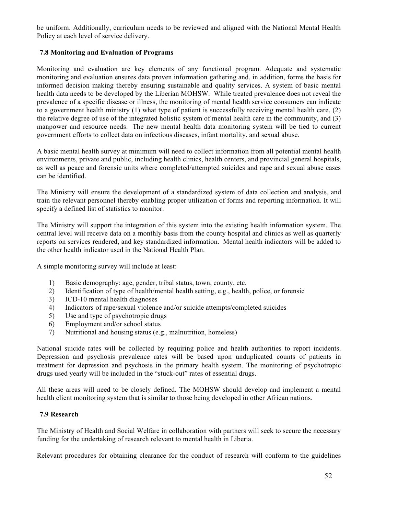be uniform. Additionally, curriculum needs to be reviewed and aligned with the National Mental Health Policy at each level of service delivery.

# **7.8 Monitoring and Evaluation of Programs**

Monitoring and evaluation are key elements of any functional program. Adequate and systematic monitoring and evaluation ensures data proven information gathering and, in addition, forms the basis for informed decision making thereby ensuring sustainable and quality services. A system of basic mental health data needs to be developed by the Liberian MOHSW. While treated prevalence does not reveal the prevalence of a specific disease or illness, the monitoring of mental health service consumers can indicate to a government health ministry (1) what type of patient is successfully receiving mental health care, (2) the relative degree of use of the integrated holistic system of mental health care in the community, and (3) manpower and resource needs. The new mental health data monitoring system will be tied to current government efforts to collect data on infectious diseases, infant mortality, and sexual abuse.

A basic mental health survey at minimum will need to collect information from all potential mental health environments, private and public, including health clinics, health centers, and provincial general hospitals, as well as peace and forensic units where completed/attempted suicides and rape and sexual abuse cases can be identified.

The Ministry will ensure the development of a standardized system of data collection and analysis, and train the relevant personnel thereby enabling proper utilization of forms and reporting information. It will specify a defined list of statistics to monitor.

The Ministry will support the integration of this system into the existing health information system. The central level will receive data on a monthly basis from the county hospital and clinics as well as quarterly reports on services rendered, and key standardized information. Mental health indicators will be added to the other health indicator used in the National Health Plan.

A simple monitoring survey will include at least:

- 1) Basic demography: age, gender, tribal status, town, county, etc.
- 2) Identification of type of health/mental health setting, e.g., health, police, or forensic
- 3) ICD-10 mental health diagnoses
- 4) Indicators of rape/sexual violence and/or suicide attempts/completed suicides
- 5) Use and type of psychotropic drugs
- 6) Employment and/or school status
- 7) Nutritional and housing status (e.g., malnutrition, homeless)

National suicide rates will be collected by requiring police and health authorities to report incidents. Depression and psychosis prevalence rates will be based upon unduplicated counts of patients in treatment for depression and psychosis in the primary health system. The monitoring of psychotropic drugs used yearly will be included in the "stuck-out" rates of essential drugs.

All these areas will need to be closely defined. The MOHSW should develop and implement a mental health client monitoring system that is similar to those being developed in other African nations.

#### **7.9 Research**

The Ministry of Health and Social Welfare in collaboration with partners will seek to secure the necessary funding for the undertaking of research relevant to mental health in Liberia.

Relevant procedures for obtaining clearance for the conduct of research will conform to the guidelines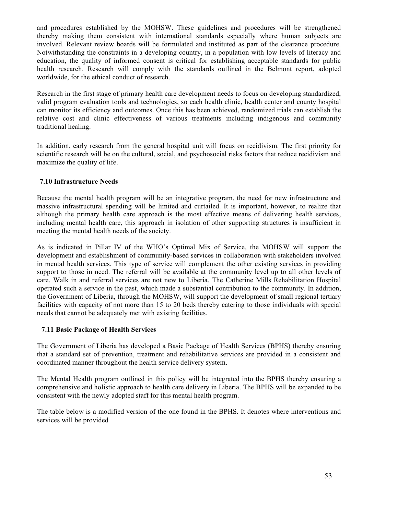and procedures established by the MOHSW. These guidelines and procedures will be strengthened thereby making them consistent with international standards especially where human subjects are involved. Relevant review boards will be formulated and instituted as part of the clearance procedure. Notwithstanding the constraints in a developing country, in a population with low levels of literacy and education, the quality of informed consent is critical for establishing acceptable standards for public health research. Research will comply with the standards outlined in the Belmont report, adopted worldwide, for the ethical conduct of research.

Research in the first stage of primary health care development needs to focus on developing standardized, valid program evaluation tools and technologies, so each health clinic, health center and county hospital can monitor its efficiency and outcomes. Once this has been achieved, randomized trials can establish the relative cost and clinic effectiveness of various treatments including indigenous and community traditional healing.

In addition, early research from the general hospital unit will focus on recidivism. The first priority for scientific research will be on the cultural, social, and psychosocial risks factors that reduce recidivism and maximize the quality of life.

#### **7.10 Infrastructure Needs**

Because the mental health program will be an integrative program, the need for new infrastructure and massive infrastructural spending will be limited and curtailed. It is important, however, to realize that although the primary health care approach is the most effective means of delivering health services, including mental health care, this approach in isolation of other supporting structures is insufficient in meeting the mental health needs of the society.

As is indicated in Pillar IV of the WHO's Optimal Mix of Service, the MOHSW will support the development and establishment of community-based services in collaboration with stakeholders involved in mental health services. This type of service will complement the other existing services in providing support to those in need. The referral will be available at the community level up to all other levels of care. Walk in and referral services are not new to Liberia. The Catherine Mills Rehabilitation Hospital operated such a service in the past, which made a substantial contribution to the community. In addition, the Government of Liberia, through the MOHSW, will support the development of small regional tertiary facilities with capacity of not more than 15 to 20 beds thereby catering to those individuals with special needs that cannot be adequately met with existing facilities.

#### **7.11 Basic Package of Health Services**

The Government of Liberia has developed a Basic Package of Health Services (BPHS) thereby ensuring that a standard set of prevention, treatment and rehabilitative services are provided in a consistent and coordinated manner throughout the health service delivery system.

The Mental Health program outlined in this policy will be integrated into the BPHS thereby ensuring a comprehensive and holistic approach to health care delivery in Liberia. The BPHS will be expanded to be consistent with the newly adopted staff for this mental health program.

The table below is a modified version of the one found in the BPHS. It denotes where interventions and services will be provided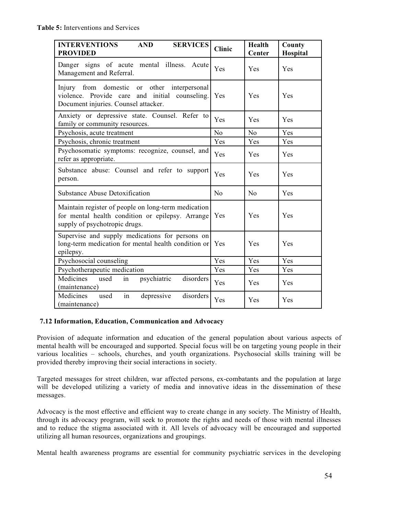| <b>INTERVENTIONS</b><br><b>AND</b><br><b>SERVICES</b><br><b>PROVIDED</b>                                                                    | <b>Clinic</b>  | Health<br><b>Center</b> | County<br>Hospital |
|---------------------------------------------------------------------------------------------------------------------------------------------|----------------|-------------------------|--------------------|
| Danger signs of acute mental illness. Acute<br>Management and Referral.                                                                     | Yes            | <b>Yes</b>              | Yes                |
| Injury from domestic or other<br>interpersonal<br>violence. Provide care and initial<br>counseling.<br>Document injuries. Counsel attacker. | Yes            | <b>Yes</b>              | Yes                |
| Anxiety or depressive state. Counsel. Refer to<br>family or community resources.                                                            | <b>Yes</b>     | Yes                     | Yes                |
| Psychosis, acute treatment                                                                                                                  | N <sub>o</sub> | N <sub>o</sub>          | Yes                |
| Psychosis, chronic treatment                                                                                                                | Yes            | Yes                     | Yes                |
| Psychosomatic symptoms: recognize, counsel, and<br>refer as appropriate.                                                                    | Yes            | Yes                     | Yes                |
| Substance abuse: Counsel and refer to support<br>person.                                                                                    | Yes            | <b>Yes</b>              | Yes                |
| <b>Substance Abuse Detoxification</b>                                                                                                       | N <sub>o</sub> | N <sub>0</sub>          | Yes                |
| Maintain register of people on long-term medication<br>for mental health condition or epilepsy. Arrange<br>supply of psychotropic drugs.    | Yes            | Yes                     | Yes                |
| Supervise and supply medications for persons on<br>long-term medication for mental health condition or<br>epilepsy.                         | Yes            | <b>Yes</b>              | Yes                |
| Psychosocial counseling                                                                                                                     | Yes            | Yes                     | Yes                |
| Psychotherapeutic medication                                                                                                                | Yes            | Yes                     | Yes                |
| Medicines<br>disorders<br>used<br>psychiatric<br>in<br>(maintenance)                                                                        | Yes            | <b>Yes</b>              | Yes                |
| in<br>disorders<br>Medicines<br>depressive<br>used<br>(maintenance)                                                                         | Yes            | Yes                     | Yes                |

#### **7.12 Information, Education, Communication and Advocacy**

Provision of adequate information and education of the general population about various aspects of mental health will be encouraged and supported. Special focus will be on targeting young people in their various localities – schools, churches, and youth organizations. Psychosocial skills training will be provided thereby improving their social interactions in society.

Targeted messages for street children, war affected persons, ex-combatants and the population at large will be developed utilizing a variety of media and innovative ideas in the dissemination of these messages.

Advocacy is the most effective and efficient way to create change in any society. The Ministry of Health, through its advocacy program, will seek to promote the rights and needs of those with mental illnesses and to reduce the stigma associated with it. All levels of advocacy will be encouraged and supported utilizing all human resources, organizations and groupings.

Mental health awareness programs are essential for community psychiatric services in the developing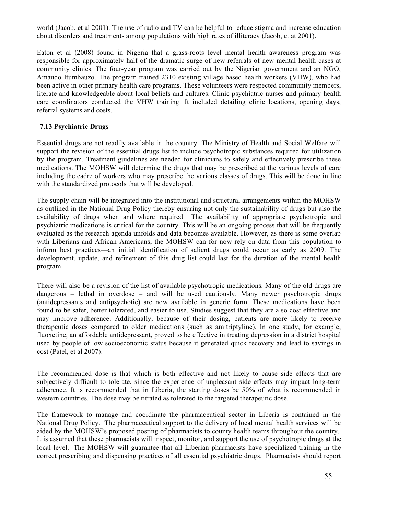world (Jacob, et al 2001). The use of radio and TV can be helpful to reduce stigma and increase education about disorders and treatments among populations with high rates of illiteracy (Jacob, et at 2001).

Eaton et al (2008) found in Nigeria that a grass-roots level mental health awareness program was responsible for approximately half of the dramatic surge of new referrals of new mental health cases at community clinics. The four-year program was carried out by the Nigerian government and an NGO, Amaudo Itumbauzo. The program trained 2310 existing village based health workers (VHW), who had been active in other primary health care programs. These volunteers were respected community members, literate and knowledgeable about local beliefs and cultures. Clinic psychiatric nurses and primary health care coordinators conducted the VHW training. It included detailing clinic locations, opening days, referral systems and costs.

#### **7.13 Psychiatric Drugs**

Essential drugs are not readily available in the country. The Ministry of Health and Social Welfare will support the revision of the essential drugs list to include psychotropic substances required for utilization by the program. Treatment guidelines are needed for clinicians to safely and effectively prescribe these medications. The MOHSW will determine the drugs that may be prescribed at the various levels of care including the cadre of workers who may prescribe the various classes of drugs. This will be done in line with the standardized protocols that will be developed.

The supply chain will be integrated into the institutional and structural arrangements within the MOHSW as outlined in the National Drug Policy thereby ensuring not only the sustainability of drugs but also the availability of drugs when and where required. The availability of appropriate psychotropic and psychiatric medications is critical for the country. This will be an ongoing process that will be frequently evaluated as the research agenda unfolds and data becomes available. However, as there is some overlap with Liberians and African Americans, the MOHSW can for now rely on data from this population to inform best practices—an initial identification of salient drugs could occur as early as 2009. The development, update, and refinement of this drug list could last for the duration of the mental health program.

There will also be a revision of the list of available psychotropic medications*.* Many of the old drugs are dangerous – lethal in overdose – and will be used cautiously. Many newer psychotropic drugs (antidepressants and antipsychotic) are now available in generic form. These medications have been found to be safer, better tolerated, and easier to use. Studies suggest that they are also cost effective and may improve adherence. Additionally, because of their dosing, patients are more likely to receive therapeutic doses compared to older medications (such as amitriptyline). In one study, for example, fluoxetine, an affordable antidepressant, proved to be effective in treating depression in a district hospital used by people of low socioeconomic status because it generated quick recovery and lead to savings in cost (Patel, et al 2007).

The recommended dose is that which is both effective and not likely to cause side effects that are subjectively difficult to tolerate, since the experience of unpleasant side effects may impact long-term adherence. It is recommended that in Liberia, the starting doses be 50% of what is recommended in western countries. The dose may be titrated as tolerated to the targeted therapeutic dose.

The framework to manage and coordinate the pharmaceutical sector in Liberia is contained in the National Drug Policy. The pharmaceutical support to the delivery of local mental health services will be aided by the MOHSW's proposed posting of pharmacists to county health teams throughout the country. It is assumed that these pharmacists will inspect, monitor, and support the use of psychotropic drugs at the local level. The MOHSW will guarantee that all Liberian pharmacists have specialized training in the correct prescribing and dispensing practices of all essential psychiatric drugs. Pharmacists should report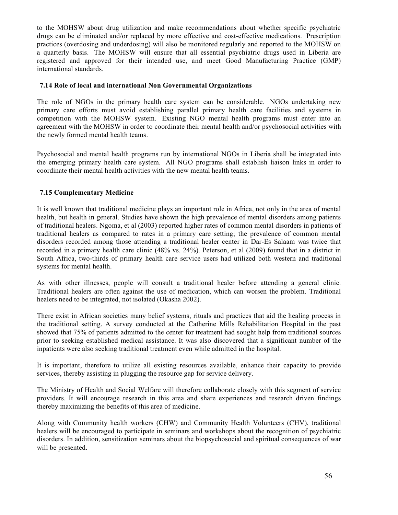to the MOHSW about drug utilization and make recommendations about whether specific psychiatric drugs can be eliminated and/or replaced by more effective and cost-effective medications. Prescription practices (overdosing and underdosing) will also be monitored regularly and reported to the MOHSW on a quarterly basis. The MOHSW will ensure that all essential psychiatric drugs used in Liberia are registered and approved for their intended use, and meet Good Manufacturing Practice (GMP) international standards.

#### **7.14 Role of local and international Non Governmental Organizations**

The role of NGOs in the primary health care system can be considerable. NGOs undertaking new primary care efforts must avoid establishing parallel primary health care facilities and systems in competition with the MOHSW system. Existing NGO mental health programs must enter into an agreement with the MOHSW in order to coordinate their mental health and/or psychosocial activities with the newly formed mental health teams.

Psychosocial and mental health programs run by international NGOs in Liberia shall be integrated into the emerging primary health care system. All NGO programs shall establish liaison links in order to coordinate their mental health activities with the new mental health teams.

#### **7.15 Complementary Medicine**

It is well known that traditional medicine plays an important role in Africa, not only in the area of mental health, but health in general. Studies have shown the high prevalence of mental disorders among patients of traditional healers. Ngoma, et al (2003) reported higher rates of common mental disorders in patients of traditional healers as compared to rates in a primary care setting; the prevalence of common mental disorders recorded among those attending a traditional healer center in Dar-Es Salaam was twice that recorded in a primary health care clinic (48% vs. 24%). Peterson, et al (2009) found that in a district in South Africa, two-thirds of primary health care service users had utilized both western and traditional systems for mental health.

As with other illnesses, people will consult a traditional healer before attending a general clinic. Traditional healers are often against the use of medication, which can worsen the problem. Traditional healers need to be integrated, not isolated (Okasha 2002).

There exist in African societies many belief systems, rituals and practices that aid the healing process in the traditional setting. A survey conducted at the Catherine Mills Rehabilitation Hospital in the past showed that 75% of patients admitted to the center for treatment had sought help from traditional sources prior to seeking established medical assistance. It was also discovered that a significant number of the inpatients were also seeking traditional treatment even while admitted in the hospital.

It is important, therefore to utilize all existing resources available, enhance their capacity to provide services, thereby assisting in plugging the resource gap for service delivery.

The Ministry of Health and Social Welfare will therefore collaborate closely with this segment of service providers. It will encourage research in this area and share experiences and research driven findings thereby maximizing the benefits of this area of medicine.

Along with Community health workers (CHW) and Community Health Volunteers (CHV), traditional healers will be encouraged to participate in seminars and workshops about the recognition of psychiatric disorders. In addition, sensitization seminars about the biopsychosocial and spiritual consequences of war will be presented.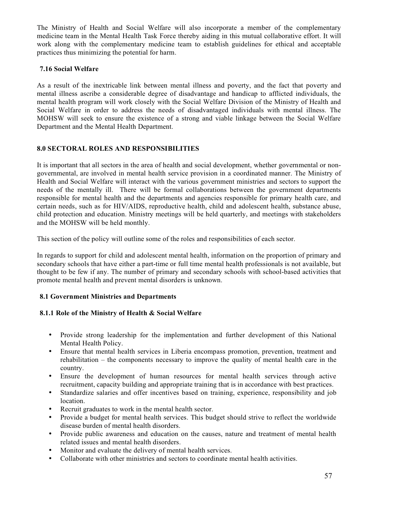The Ministry of Health and Social Welfare will also incorporate a member of the complementary medicine team in the Mental Health Task Force thereby aiding in this mutual collaborative effort. It will work along with the complementary medicine team to establish guidelines for ethical and acceptable practices thus minimizing the potential for harm.

## **7.16 Social Welfare**

As a result of the inextricable link between mental illness and poverty, and the fact that poverty and mental illness ascribe a considerable degree of disadvantage and handicap to afflicted individuals, the mental health program will work closely with the Social Welfare Division of the Ministry of Health and Social Welfare in order to address the needs of disadvantaged individuals with mental illness. The MOHSW will seek to ensure the existence of a strong and viable linkage between the Social Welfare Department and the Mental Health Department.

# **8.0 SECTORAL ROLES AND RESPONSIBILITIES**

It is important that all sectors in the area of health and social development, whether governmental or nongovernmental, are involved in mental health service provision in a coordinated manner. The Ministry of Health and Social Welfare will interact with the various government ministries and sectors to support the needs of the mentally ill. There will be formal collaborations between the government departments responsible for mental health and the departments and agencies responsible for primary health care, and certain needs, such as for HIV/AIDS, reproductive health, child and adolescent health, substance abuse, child protection and education. Ministry meetings will be held quarterly, and meetings with stakeholders and the MOHSW will be held monthly.

This section of the policy will outline some of the roles and responsibilities of each sector.

In regards to support for child and adolescent mental health, information on the proportion of primary and secondary schools that have either a part-time or full time mental health professionals is not available, but thought to be few if any. The number of primary and secondary schools with school-based activities that promote mental health and prevent mental disorders is unknown.

## **8.1 Government Ministries and Departments**

#### **8.1.1 Role of the Ministry of Health & Social Welfare**

- Provide strong leadership for the implementation and further development of this National Mental Health Policy.
- Ensure that mental health services in Liberia encompass promotion, prevention, treatment and rehabilitation – the components necessary to improve the quality of mental health care in the country.
- Ensure the development of human resources for mental health services through active recruitment, capacity building and appropriate training that is in accordance with best practices.
- Standardize salaries and offer incentives based on training, experience, responsibility and job location.
- Recruit graduates to work in the mental health sector.
- Provide a budget for mental health services. This budget should strive to reflect the worldwide disease burden of mental health disorders.
- Provide public awareness and education on the causes, nature and treatment of mental health related issues and mental health disorders.
- Monitor and evaluate the delivery of mental health services.
- Collaborate with other ministries and sectors to coordinate mental health activities.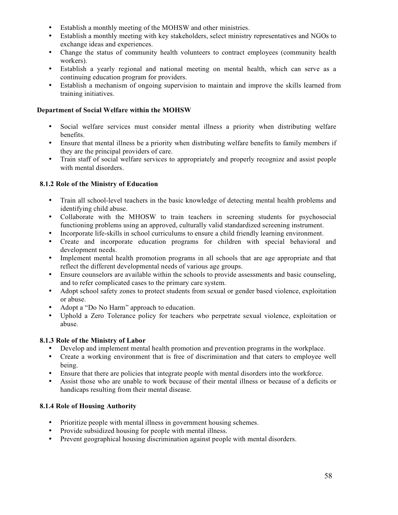- Establish a monthly meeting of the MOHSW and other ministries.
- Establish a monthly meeting with key stakeholders, select ministry representatives and NGOs to exchange ideas and experiences.
- Change the status of community health volunteers to contract employees (community health workers).
- Establish a yearly regional and national meeting on mental health, which can serve as a continuing education program for providers.
- Establish a mechanism of ongoing supervision to maintain and improve the skills learned from training initiatives.

## **Department of Social Welfare within the MOHSW**

- Social welfare services must consider mental illness a priority when distributing welfare benefits.
- Ensure that mental illness be a priority when distributing welfare benefits to family members if they are the principal providers of care.
- Train staff of social welfare services to appropriately and properly recognize and assist people with mental disorders.

# **8.1.2 Role of the Ministry of Education**

- Train all school-level teachers in the basic knowledge of detecting mental health problems and identifying child abuse.
- Collaborate with the MHOSW to train teachers in screening students for psychosocial functioning problems using an approved, culturally valid standardized screening instrument.
- Incorporate life-skills in school curriculums to ensure a child friendly learning environment.
- Create and incorporate education programs for children with special behavioral and development needs.
- Implement mental health promotion programs in all schools that are age appropriate and that reflect the different developmental needs of various age groups.
- Ensure counselors are available within the schools to provide assessments and basic counseling, and to refer complicated cases to the primary care system.
- Adopt school safety zones to protect students from sexual or gender based violence, exploitation or abuse.
- Adopt a "Do No Harm" approach to education.
- Uphold a Zero Tolerance policy for teachers who perpetrate sexual violence, exploitation or abuse.

# **8.1.3 Role of the Ministry of Labor**

- Develop and implement mental health promotion and prevention programs in the workplace.
- Create a working environment that is free of discrimination and that caters to employee well being.
- Ensure that there are policies that integrate people with mental disorders into the workforce.
- Assist those who are unable to work because of their mental illness or because of a deficits or handicaps resulting from their mental disease.

# **8.1.4 Role of Housing Authority**

- Prioritize people with mental illness in government housing schemes.
- Provide subsidized housing for people with mental illness.
- Prevent geographical housing discrimination against people with mental disorders.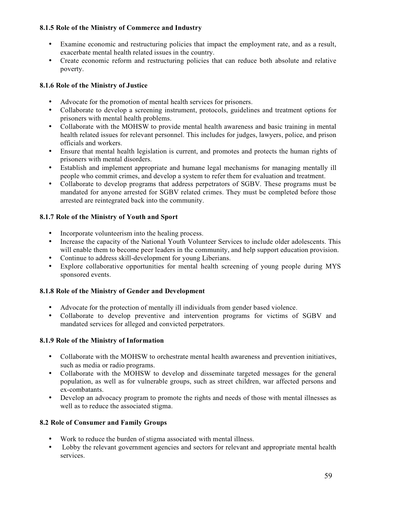## **8.1.5 Role of the Ministry of Commerce and Industry**

- Examine economic and restructuring policies that impact the employment rate, and as a result, exacerbate mental health related issues in the country.
- Create economic reform and restructuring policies that can reduce both absolute and relative poverty.

# **8.1.6 Role of the Ministry of Justice**

- Advocate for the promotion of mental health services for prisoners.
- Collaborate to develop a screening instrument, protocols, guidelines and treatment options for prisoners with mental health problems.
- Collaborate with the MOHSW to provide mental health awareness and basic training in mental health related issues for relevant personnel. This includes for judges, lawyers, police, and prison officials and workers.
- Ensure that mental health legislation is current, and promotes and protects the human rights of prisoners with mental disorders.
- Establish and implement appropriate and humane legal mechanisms for managing mentally ill people who commit crimes, and develop a system to refer them for evaluation and treatment.
- Collaborate to develop programs that address perpetrators of SGBV. These programs must be mandated for anyone arrested for SGBV related crimes. They must be completed before those arrested are reintegrated back into the community.

## **8.1.7 Role of the Ministry of Youth and Sport**

- Incorporate volunteerism into the healing process.
- Increase the capacity of the National Youth Volunteer Services to include older adolescents. This will enable them to become peer leaders in the community, and help support education provision.
- Continue to address skill-development for young Liberians.
- Explore collaborative opportunities for mental health screening of young people during MYS sponsored events.

#### **8.1.8 Role of the Ministry of Gender and Development**

- Advocate for the protection of mentally ill individuals from gender based violence.
- Collaborate to develop preventive and intervention programs for victims of SGBV and mandated services for alleged and convicted perpetrators.

#### **8.1.9 Role of the Ministry of Information**

- Collaborate with the MOHSW to orchestrate mental health awareness and prevention initiatives, such as media or radio programs.
- Collaborate with the MOHSW to develop and disseminate targeted messages for the general population, as well as for vulnerable groups, such as street children, war affected persons and ex-combatants.
- Develop an advocacy program to promote the rights and needs of those with mental illnesses as well as to reduce the associated stigma.

#### **8.2 Role of Consumer and Family Groups**

- Work to reduce the burden of stigma associated with mental illness.
- Lobby the relevant government agencies and sectors for relevant and appropriate mental health services.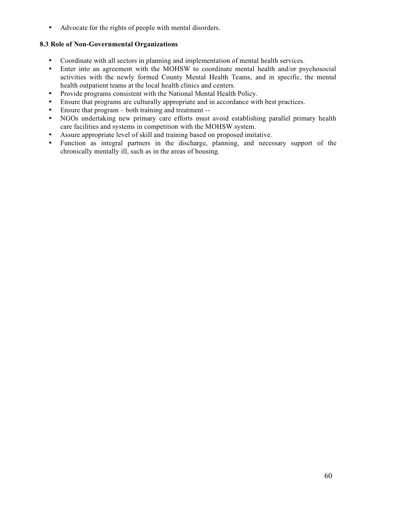• Advocate for the rights of people with mental disorders.

## **8.3 Role of Non-Governmental Organizations**

- Coordinate with all sectors in planning and implementation of mental health services.
- Enter into an agreement with the MOHSW to coordinate mental health and/or psychosocial activities with the newly formed County Mental Health Teams, and in specific, the mental health outpatient teams at the local health clinics and centers.
- Provide programs consistent with the National Mental Health Policy.
- Ensure that programs are culturally appropriate and in accordance with best practices.
- Ensure that program both training and treatment --
- NGOs undertaking new primary care efforts must avoid establishing parallel primary health care facilities and systems in competition with the MOHSW system.
- Assure appropriate level of skill and training based on proposed imitative.
- Function as integral partners in the discharge, planning, and necessary support of the chronically mentally ill, such as in the areas of housing.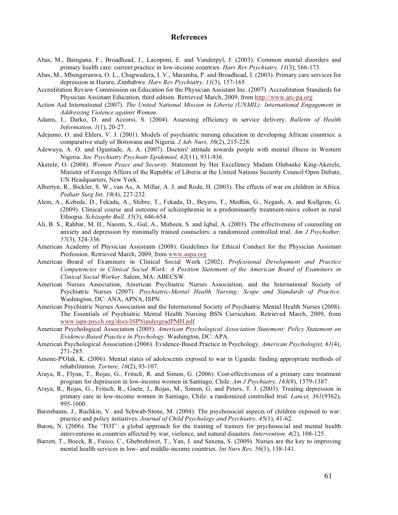#### **References**

- Abas, M., Baingana, F., Broadhead, J., Lacoponi, E. and Vanderpyl, J. (2003). Common mental disorders and primary health care: current practice in low-income countries. *Harv Rev Psychiatry, 11*(3), 166-173.
- Abas, M., Mbengeranwa, O. L., Chagwedera, I. V., Maramba, P. and Broadhead, J. (2003). Primary care services for depression in Harare, Zimbabwe. *Harv Rev Psychiatry, 11*(3), 157-165.
- Accreditation Review Commission on Education for the Physician Assistant Inc. (2007). Accreditation Standards for Physician Assistant Education, third edition. Retrieved March, 2009, from http://www.arc-pa.org
- Action Aid International (2007). *The United National Mission in Liberia (UNMIL): International Engagement in Addressing Violence against Woman*.
- Adams, I., Darko, D. and Accorsi, S. (2004). Assessing efficiency in service delivery. *Bulletin of Health Information, 1*(1), 20-27.
- Adejumo, O. and Ehlers, V. J. (2001). Models of psychiatric nursing education in developing African countries: a comparative study of Botswana and Nigeria. *J Adv Nurs, 36*(2), 215-228.
- Adewuya, A. O. and Oguntade, A. A. (2007). Doctors' attitude towards people with mental illness in Western Nigeria. *Soc Psychiatry Psychiatr Epidemiol, 42*(11), 931-936.
- Akerele, O. (2008). *Women Peace and Security.* Statement by Her Excellency Madam Olubanke King-Akerele, Minister of Foreign Affairs of the Republic of Liberia at the United Nations Security Council Open Debate, UN Headquarters, New York.
- Albertyn, R., Bickler, S. W., van As, A. Millar, A. J. and Rode, H. (2003). The effects of war on children in Africa. *Pediatr Surg Int, 19*(4), 227-232.
- Alem, A., Kebede, D., Fekadu, A., Shibre, T., Fekadu, D., Beyero, T., Medhin, G., Negash, A. and Kullgren, G. (2009). Clinical course and outcome of schizophrenia in a predominantly treatment-naive cohort in rural Ethiopia. *Schizophr Bull, 35*(3), 646-654.
- Ali, B. S., Rahbar, M. H., Naeem, S., Gul, A., Mubeen, S. and Iqbal, A. (2003). The effectiveness of counseling on anxiety and depression by minimally trained counselors: a randomized controlled trial. *Am J Psychother, 57*(3), 324-336.
- American Academy of Physician Assistants (2008). Guidelines for Ethical Conduct for the Physician Assistant Profession. Retrieved March, 2009, from www.aapa.org
- American Board of Examiners in Clinical Social Work (2002). *Professional Development and Practice Competencies in Clinical Social Work: A Position Statement of the American Board of Examiners in Clinical Social Worker*. Salem, MA: ABECSW.
- American Nurses Association, American Psychiatric Nurses Association, and the International Society of Psychiatric Nurses (2007). *Psychiatric-Mental Health Nursing: Scope and Standards of Practice*. Washington, DC: ANA, APNA, ISPN.
- American Psychiatric Nurses Association and the International Society of Psychiatric Mental Health Nurses (2008). The Essentials of Psychiatric Mental Health Nursing BSN Curriculum. Retrieved March, 2009, from www.ispn-psych.org/docs/ISPNundergradPMH.pdf
- American Psychological Association (2005). *American Psychological Association Statement: Policy Statement on Evidence-Based Practice in Psychology*. Washington, DC: APA.
- American Psychological Association (2006). Evidence-Based Practice in Psychology. *American Psychologist, 61*(4), 271-285.
- Amone-P'Olak, K. (2006). Mental states of adolescents exposed to war in Uganda: finding appropriate methods of rehabilitation. *Torture, 16*(2), 93-107.
- Araya, R., Flynn, T., Rojas, G., Fritsch, R. and Simon, G. (2006). Cost-effectiveness of a primary care treatment program for depression in low-income women in Santiago, Chile. *Am J Psychiatry, 163*(8), 1379-1387.
- Araya, R., Rojas, G., Fritsch, R., Gaete, J., Rojas, M., Simon, G. and Peters, T. J. (2003). Treating depression in primary care in low-income women in Santiago, Chile: a randomized controlled trial. *Lancet, 361*(9362), 995-1000.
- Barenbaum, J., Ruchkin, V. and Schwab-Stone, M. (2004). The psychosocial aspects of children exposed to war: practice and policy initiatives. *Journal of Child Psychology and Psychiatry, 45*(1), 41-62.
- Baron, N. (2006). The 'TOT': a global approach for the training of trainers for psychosocial and mental health interventions in countries affected by war, violence, and natural disasters. *Intervention, 4*(2), 108-125.
- Barrett, T., Boeck, R., Fusco, C., Ghebrehiwet, T., Yan, J. and Saxena, S. (2009). Nurses are the key to improving mental health services in low- and middle-income countries. *Int Nurs Rev, 56*(1), 138-141.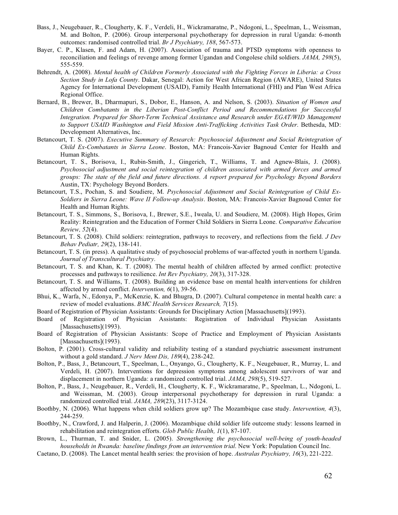- Bass, J., Neugebauer, R., Clougherty, K. F., Verdeli, H., Wickramaratne, P., Ndogoni, L., Speelman, L., Weissman, M. and Bolton, P. (2006). Group interpersonal psychotherapy for depression in rural Uganda: 6-month outcomes: randomised controlled trial. *Br J Psychiatry, 188*, 567-573.
- Bayer, C. P., Klasen, F. and Adam, H. (2007). Association of trauma and PTSD symptoms with openness to reconciliation and feelings of revenge among former Ugandan and Congolese child soldiers. *JAMA, 298*(5), 555-559.
- Behrendt, A. (2008). *Mental health of Children Formerly Associated with the Fighting Forces in Liberia: a Cross Section Study in Lofa County*. Dakar, Senegal: Action for West African Region (AWARE), United States Agency for International Development (USAID), Family Health International (FHI) and Plan West Africa Regional Office.
- Bernard, B., Brewer, B., Dharmapuri, S., Dobor, E., Hanson, A. and Nelson, S. (2003). *Situation of Women and Children Combatants in the Liberian Post-Conflict Period and Recommendations for Successful Integration. Prepared for Short-Term Technical Assistance and Research under EGAT/WID Management to Support USAID Washington and Field Mission Anti-Trafficking Activities Task Order*. Bethesda, MD: Development Alternatives, Inc.
- Betancourt, T. S. (2007). *Executive Summary of Research: Psychosocial Adjustment and Social Reintegration of Child Ex-Combatants in Sierra Leone*. Boston, MA: Francois-Xavier Bagnoud Center for Health and Human Rights.
- Betancourt, T. S., Borisova, I., Rubin-Smith, J., Gingerich, T., Williams, T. and Agnew-Blais, J. (2008). *Psychosocial adjustment and social reintegration of children associated with armed forces and armed groups: The state of the field and future directions. A report prepared for Psychology Beyond Borders*  Austin, TX: Psychology Beyond Borders.
- Betancourt, T.S., Pochan, S. and Soudiere, M. *Psychosocial Adjustment and Social Reintegration of Child Ex-Soldiers in Sierra Leone: Wave II Follow-up Analysis*. Boston, MA: Francois-Xavier Bagnoud Center for Health and Human Rights.
- Betancourt, T. S., Simmons, S., Borisova, I., Brewer, S.E., Iweala, U. and Soudiere, M. (2008). High Hopes, Grim Reality: Reintegration and the Education of Former Child Soldiers in Sierra Leone. *Comparative Education Review, 52*(4).
- Betancourt, T. S. (2008). Child soldiers: reintegration, pathways to recovery, and reflections from the field. *J Dev Behav Pediatr, 29*(2), 138-141.
- Betancourt, T. S. (in press). A qualitative study of psychosocial problems of war-affected youth in northern Uganda. *Journal of Transcultural Psychiatry*.
- Betancourt, T. S. and Khan, K. T. (2008). The mental health of children affected by armed conflict: protective processes and pathways to resilience. *Int Rev Psychiatry, 20*(3), 317-328.
- Betancourt, T. S. and Williams, T. (2008). Building an evidence base on mental health interventions for children affected by armed conflict. *Intervention, 6*(1), 39-56.
- Bhui, K., Warfa, N., Edonya, P., McKenzie, K. and Bhugra, D. (2007). Cultural competence in mental health care: a review of model evaluations. *BMC Health Services Research, 7*(15).
- Board of Registration of Physician Assistants: Grounds for Disciplinary Action [Massachusetts](1993).
- Board of Registration of Physician Assistants: Registration of Individual Physician Assistants [Massachusetts](1993).
- Board of Registration of Physician Assistants: Scope of Practice and Employment of Physician Assistants [Massachusetts](1993).
- Bolton, P. (2001). Cross-cultural validity and reliability testing of a standard psychiatric assessment instrument without a gold standard. *J Nerv Ment Dis, 189*(4), 238-242.
- Bolton, P., Bass, J., Betancourt, T., Speelman, L., Onyango, G., Clougherty, K. F., Neugebauer, R., Murray, L. and Verdeli, H. (2007). Interventions for depression symptoms among adolescent survivors of war and displacement in northern Uganda: a randomized controlled trial. *JAMA, 298*(5), 519-527.
- Bolton, P., Bass, J., Neugebauer, R., Verdeli, H., Clougherty, K. F., Wickramaratne, P., Speelman, L., Ndogoni, L. and Weissman, M. (2003). Group interpersonal psychotherapy for depression in rural Uganda: a randomized controlled trial. *JAMA, 289*(23), 3117-3124.
- Boothby, N. (2006). What happens when child soldiers grow up? The Mozambique case study. *Intervention, 4*(3), 244-259.
- Boothby, N., Crawford, J. and Halperin, J. (2006). Mozambique child soldier life outcome study: lessons learned in rehabilitation and reintegration efforts. *Glob Public Health, 1*(1), 87-107.
- Brown, L., Thurman, T. and Snider, L. (2005). *Strengthening the psychosocial well-being of youth-headed households in Rwanda: baseline findings from an intervention trial*. New York: Population Council Inc.
- Caetano, D. (2008). The Lancet mental health series: the provision of hope. *Australas Psychiatry, 16*(3), 221-222.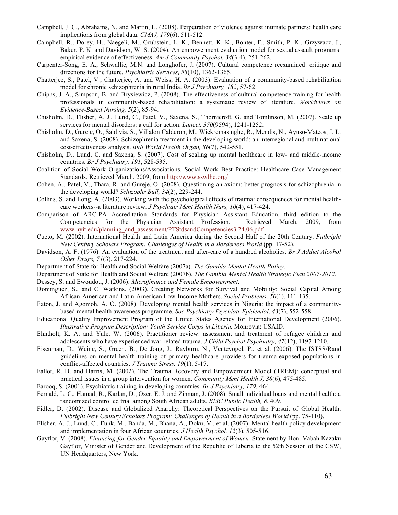- Campbell, J. C., Abrahams, N. and Martin, L. (2008). Perpetration of violence against intimate partners: health care implications from global data. *CMAJ, 179*(6), 511-512.
- Campbell, R., Dorey, H., Naegeli, M., Grubstein, L. K., Bennett, K. K., Bonter, F., Smith, P. K., Grzywacz, J., Baker, P. K. and Davidson, W. S. (2004). An empowerment evaluation model for sexual assault programs: empirical evidence of effectiveness. *Am J Community Psychol, 34*(3-4), 251-262.
- Carpenter-Song, E. A., Schwallie, M.N. and Longhofer, J. (2007). Cultural competence reexamined: critique and directions for the future. *Psychiatric Services, 58*(10), 1362-1365.
- Chatterjee, S., Patel, V., Chatterjee, A. and Weiss, H. A. (2003). Evaluation of a community-based rehabilitation model for chronic schizophrenia in rural India. *Br J Psychiatry, 182*, 57-62.
- Chipps, J. A., Simpson, B. and Brysiewicz, P. (2008). The effectiveness of cultural-competence training for health professionals in community-based rehabilitation: a systematic review of literature. *Worldviews on Evidence-Based Nursing, 5*(2), 85-94.
- Chisholm, D., Flisher, A. J., Lund, C., Patel, V., Saxena, S., Thornicroft, G. and Tomlinson, M. (2007). Scale up services for mental disorders: a call for action. *Lancet, 370*(9594), 1241-1252.
- Chisholm, D., Gureje, O., Saldivia, S., Villalon Calderon, M., Wickremasinghe, R., Mendis, N., Ayuso-Mateos, J. L. and Saxena, S. (2008). Schizophrenia treatment in the developing world: an interregional and multinational cost-effectiveness analysis. *Bull World Health Organ, 86*(7), 542-551.
- Chisholm, D., Lund, C. and Saxena, S. (2007). Cost of scaling up mental healthcare in low- and middle-income countries. *Br J Psychiatry, 191*, 528-535.
- Coalition of Social Work Organizations/Associations. Social Work Best Practice: Healthcare Case Management Standards. Retrieved March, 2009, from http://www.sswlhc.org/
- Cohen, A., Patel, V., Thara, R. and Gureje, O. (2008). Questioning an axiom: better prognosis for schizophrenia in the developing world? *Schizophr Bull, 34*(2), 229-244.
- Collins, S. and Long, A. (2003). Working with the psychological effects of trauma: consequences for mental healthcare workers--a literature review. *J Psychiatr Ment Health Nurs, 10*(4), 417-424.
- Comparison of ARC-PA Accreditation Standards for Physician Assistant Education, third edition to the Competencies for the Physician Assistant Profession. Retrieved March, 2009, from www.nyit.edu/planning\_and\_assessment/PTStdsandCompetencies3.24.06.pdf
- Cueto, M. (2002). International Health and Latin America during the Second Half of the 20th Century. *Fulbright New Century Scholars Program: Challenges of Health in a Borderless World* (pp. 17-52).
- Davidson, A. F. (1976). An evaluation of the treatment and after-care of a hundred alcoholics. *Br J Addict Alcohol Other Drugs, 71*(3), 217-224.
- Department of State for Health and Social Welfare (2007a). *The Gambia Mental Health Policy*.
- Department of State for Health and Social Welfare (2007b). *The Gambia Mental Health Strategic Plan 2007-2012*.
- Dessey, S. and Ewoudou, J. (2006). *Microfinance and Female Empowerment*.
- Dominguez, S., and C. Watkins. (2003). Creating Networks for Survival and Mobility: Social Capital Among African-American and Latin-American Low-Income Mothers. *Social Problems, 50*(1), 111-135.
- Eaton, J. and Agomoh, A. O. (2008). Developing mental health services in Nigeria: the impact of a communitybased mental health awareness programme. *Soc Psychiatry Psychiatr Epidemiol, 43*(7), 552-558.
- Educational Quality Improvement Program of the United States Agency for International Development (2006). *Illustrative Program Description: Youth Service Corps in Liberia*. Monrovia: USAID.
- Ehntholt, K. A. and Yule, W. (2006). Practitioner review: assessment and treatment of refugee children and adolescents who have experienced war-related trauma. *J Child Psychol Psychiatry, 47*(12), 1197-1210.
- Eisenman, D., Weine, S., Green, B., De Jong, J., Rayburn, N., Ventevogel, P., et al. (2006). The ISTSS/Rand guidelines on mental health training of primary healthcare providers for trauma-exposed populations in conflict-affected countries. *J Trauma Stress, 19*(1), 5-17.
- Fallot, R. D. and Harris, M. (2002). The Trauma Recovery and Empowerment Model (TREM): conceptual and practical issues in a group intervention for women. *Community Ment Health J, 38*(6), 475-485.
- Farooq, S. (2001). Psychiatric training in developing countries. *Br J Psychiatry, 179*, 464.
- Fernald, L. C., Hamad, R., Karlan, D., Ozer, E. J. and Zinman, J. (2008). Small individual loans and mental health: a randomized controlled trial among South African adults. *BMC Public Health, 8*, 409.
- Fidler, D. (2002). Disease and Globalized Anarchy: Theoretical Perspectives on the Pursuit of Global Health. *Fulbright New Century Scholars Program: Challenges of Health in a Borderless World* (pp. 75-110).
- Flisher, A. J., Lund, C., Funk, M., Banda, M., Bhana, A., Doku, V., et al. (2007). Mental health policy development and implementation in four African countries. *J Health Psychol, 12*(3), 505-516.
- Gayflor, V. (2008). *Financing for Gender Equality and Empowerment of Women.* Statement by Hon. Vabah Kazaku Gayflor, Minister of Gender and Development of the Republic of Liberia to the 52th Session of the CSW, UN Headquarters, New York.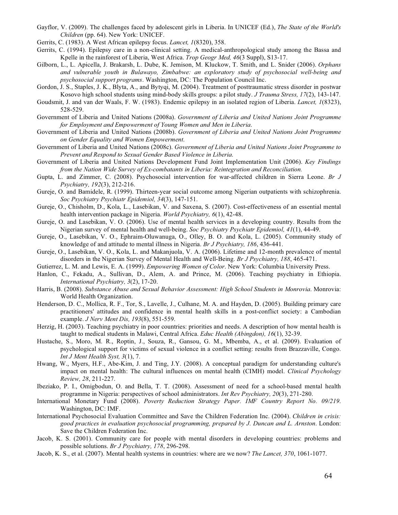- Gayflor, V. (2009). The challenges faced by adolescent girls in Liberia. In UNICEF (Ed.), *The State of the World's Children* (pp. 64). New York: UNICEF.
- Gerrits, C. (1983). A West African epilepsy focus. *Lancet, 1*(8320), 358.
- Gerrits, C. (1994). Epilepsy care in a non-clinical setting. A medical-anthropological study among the Bassa and Kpelle in the rainforest of Liberia, West Africa. *Trop Geogr Med, 46*(3 Suppl), S13-17.
- Gilborn, L., L. Apicella, J. Brakarsh, L. Dube, K. Jemison, M. Kluckow, T. Smith, and L. Snider (2006). *Orphans and vulnerable youth in Bulawayo, Zimbabwe: an exploratory study of psychosocial well-being and psychosocial support programs*. Washington, DC: The Population Council Inc.
- Gordon, J. S., Staples, J. K., Blyta, A., and Bytyqi, M. (2004). Treatment of posttraumatic stress disorder in postwar Kosovo high school students using mind-body skills groups: a pilot study. *J Trauma Stress, 17*(2), 143-147.
- Goudsmit, J. and van der Waals, F. W. (1983). Endemic epilepsy in an isolated region of Liberia. *Lancet, 1*(8323), 528-529.
- Government of Liberia and United Nations (2008a). *Government of Liberia and United Nations Joint Programme for Employment and Empowerment of Young Women and Men in Liberia*.
- Government of Liberia and United Nations (2008b). *Government of Liberia and United Nations Joint Programme on Gender Equality and Women Empowerment*.
- Government of Liberia and United Nations (2008c). *Government of Liberia and United Nations Joint Programme to Prevent and Respond to Sexual Gender Based Violence in Liberia*.
- Government of Liberia and United Nations Development Fund Joint Implementation Unit (2006). *Key Findings from the Nation Wide Survey of Ex-combatants in Liberia: Reintegration and Reconciliation.*
- Gupta, L. and Zimmer, C. (2008). Psychosocial intervention for war-affected children in Sierra Leone. *Br J Psychiatry, 192*(3), 212-216.
- Gureje, O. and Bamidele, R. (1999). Thirteen-year social outcome among Nigerian outpatients with schizophrenia. *Soc Psychiatry Psychiatr Epidemiol, 34*(3), 147-151.
- Gureje, O., Chisholm, D., Kola, L., Lasebikan, V. and Saxena, S. (2007). Cost-effectiveness of an essential mental health intervention package in Nigeria. *World Psychiatry, 6*(1), 42-48.
- Gureje, O. and Lasebikan, V. O. (2006). Use of mental health services in a developing country. Results from the Nigerian survey of mental health and well-being. *Soc Psychiatry Psychiatr Epidemiol, 41*(1), 44-49.
- Gureje, O., Lasebikan, V. O., Ephraim-Oluwanuga, O., Olley, B. O. and Kola, L. (2005). Community study of knowledge of and attitude to mental illness in Nigeria. *Br J Psychiatry, 186*, 436-441.
- Gureje, O., Lasebikan, V. O., Kola, L. and Makanjuola, V. A. (2006). Lifetime and 12-month prevalence of mental disorders in the Nigerian Survey of Mental Health and Well-Being. *Br J Psychiatry, 188*, 465-471.
- Gutierrez, L. M. and Lewis, E. A. (1999). *Empowering Women of Color*. New York: Columbia University Press.
- Hanlon, C., Fekadu, A., Sullivan, D., Alem, A. and Prince, M. (2006). Teaching psychiatry in Ethiopia. *International Psychiatry, 3*(2), 17-20.
- Harris, B. (2008). *Substance Abuse and Sexual Behavior Assessment: High School Students in Monrovia*. Monrovia: World Health Organization.
- Henderson, D. C., Mollica, R. F., Tor, S., Lavelle, J., Culhane, M. A. and Hayden, D. (2005). Building primary care practitioners' attitudes and confidence in mental health skills in a post-conflict society: a Cambodian example. *J Nerv Ment Dis, 193*(8), 551-559.
- Herzig, H. (2003). Teaching psychiatry in poor countries: priorities and needs. A description of how mental health is taught to medical students in Malawi, Central Africa. *Educ Health (Abingdon), 16*(1), 32-39.
- Hustache, S., Moro, M. R., Roptin, J., Souza, R., Gansou, G. M., Mbemba, A., et al. (2009). Evaluation of psychological support for victims of sexual violence in a conflict setting: results from Brazzaville, Congo. *Int J Ment Health Syst, 3*(1), 7.
- Hwang, W., Myers, H.F., Abe-Kim, J. and Ting, J.Y. (2008). A conceptual paradigm for understanding culture's impact on mental health: The cultural influences on mental health (CIMH) model. *Clinical Psychology Review, 28*, 211-227.
- Ibeziako, P. I., Omigbodun, O. and Bella, T. T. (2008). Assessment of need for a school-based mental health programme in Nigeria: perspectives of school administrators. *Int Rev Psychiatry, 20*(3), 271-280.
- International Monetary Fund (2008). *Poverty Reduction Strategy Paper. IMF Country Report No. 09/219*. Washington, DC: IMF.
- International Psychosocial Evaluation Committee and Save the Children Federation Inc. (2004). *Children in crisis: good practices in evaluation psychosocial programming, prepared by J. Duncan and L. Arnston*. London: Save the Children Federation Inc.
- Jacob, K. S. (2001). Community care for people with mental disorders in developing countries: problems and possible solutions. *Br J Psychiatry, 178*, 296-298.
- Jacob, K. S., et al. (2007). Mental health systems in countries: where are we now? *The Lancet, 370*, 1061-1077.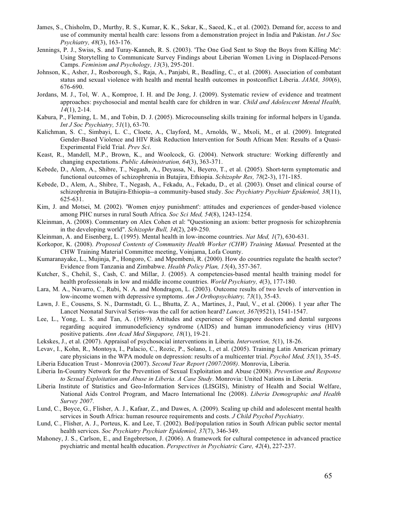- James, S., Chisholm, D., Murthy, R. S., Kumar, K. K., Sekar, K., Saeed, K., et al. (2002). Demand for, access to and use of community mental health care: lessons from a demonstration project in India and Pakistan. *Int J Soc Psychiatry, 48*(3), 163-176.
- Jennings, P. J., Swiss, S. and Turay-Kanneh, R. S. (2003). 'The One God Sent to Stop the Boys from Killing Me': Using Storytelling to Communicate Survey Findings about Liberian Women Living in Displaced-Persons Camps. *Feminism and Psychology, 13*(3), 295-201.
- Johnson, K., Asher, J., Rosborough, S., Raja, A., Panjabi, R., Beadling, C., et al. (2008). Association of combatant status and sexual violence with health and mental health outcomes in postconflict Liberia. *JAMA, 300*(6), 676-690.
- Jordans, M. J., Tol, W. A., Komproe, I. H. and De Jong, J. (2009). Systematic review of evidence and treatment approaches: psychosocial and mental health care for children in war. *Child and Adolescent Mental Health, 14*(1), 2-14.
- Kabura, P., Fleming, L. M., and Tobin, D. J. (2005). Microcounseling skills training for informal helpers in Uganda. *Int J Soc Psychiatry, 51*(1), 63-70.
- Kalichman, S. C., Simbayi, L. C., Cloete, A., Clayford, M., Arnolds, W., Mxoli, M., et al. (2009). Integrated Gender-Based Violence and HIV Risk Reduction Intervention for South African Men: Results of a Quasi-Experimental Field Trial. *Prev Sci*.
- Keast, R., Mandell, M.P., Brown, K., and Woolcock, G. (2004). Network structure: Working differently and changing expectations. *Public Administration, 64*(3), 363-371.
- Kebede, D., Alem, A., Shibre, T., Negash, A., Deyassa, N., Beyero, T., et al. (2005). Short-term symptomatic and functional outcomes of schizophrenia in Butajira, Ethiopia. *Schizophr Res, 78*(2-3), 171-185.
- Kebede, D., Alem, A., Shibre, T., Negash, A., Fekadu, A., Fekadu, D., et al. (2003). Onset and clinical course of schizophrenia in Butajira-Ethiopia--a community-based study. *Soc Psychiatry Psychiatr Epidemiol, 38*(11), 625-631.
- Kim, J. and Motsei, M. (2002). 'Women enjoy punishment': attitudes and experiences of gender-based violence among PHC nurses in rural South Africa. *Soc Sci Med, 54*(8), 1243-1254.
- Kleinman, A. (2008). Commentary on Alex Cohen et al: "Questioning an axiom: better prognosis for schizophrenia in the developing world". *Schizophr Bull, 34*(2), 249-250.
- Kleinman, A. and Eisenberg, L. (1995). Mental health in low-income countries. *Nat Med, 1*(7), 630-631.
- Korkopor, K. (2008). *Proposed Contents of Community Health Worker (CHW) Training Manual.* Presented at the CHW Training Material Committee meeting, Voinjama, Lofa County.
- Kumaranayake, L., Mujinja, P., Hongoro, C. and Mpembeni, R. (2000). How do countries regulate the health sector? Evidence from Tanzania and Zimbabwe. *Health Policy Plan, 15*(4), 357-367.
- Kutcher, S., Chehil, S., Cash, C. and Millar, J. (2005). A competencies-based mental health training model for health professionals in low and middle income countries. *World Psychiatry, 4*(3), 177-180.
- Lara, M. A., Navarro, C., Rubi, N. A. and Mondragon, L. (2003). Outcome results of two levels of intervention in low-income women with depressive symptoms. *Am J Orthopsychiatry, 73*(1), 35-43.
- Lawn, J. E., Cousens, S. N., Darmstadt, G. L., Bhutta, Z. A., Martines, J., Paul, V., et al. (2006). 1 year after The Lancet Neonatal Survival Series--was the call for action heard? *Lancet, 367*(9521), 1541-1547.
- Lee, L., Yong, L. S. and Tan, A. (1989). Attitudes and experience of Singapore doctors and dental surgeons regarding acquired immunodeficiency syndrome (AIDS) and human immunodeficiency virus (HIV) positive patients. *Ann Acad Med Singapore, 18*(1), 19-21.
- Lekskes, J., et al. (2007). Appraisal of psychosocial interventions in Liberia. *Intervention, 5*(1), 18-26.
- Levav, I., Kohn, R., Montoya, I., Palacio, C., Rozic, P., Solano, I., et al. (2005). Training Latin American primary care physicians in the WPA module on depression: results of a multicenter trial. *Psychol Med, 35*(1), 35-45.
- Liberia Education Trust Monrovia (2007). *Second Year Report (2007/2008)*. Monrovia, Liberia.
- Liberia In-Country Network for the Prevention of Sexual Exploitation and Abuse (2008). *Prevention and Response to Sexual Exploitation and Abuse in Liberia. A Case Study*. Monrovia: United Nations in Liberia.
- Liberia Institute of Statistics and Geo-Information Services (LISGIS), Ministry of Health and Social Welfare, National Aids Control Program, and Macro International Inc (2008). *Liberia Demographic and Health Survey 2007*.
- Lund, C., Boyce, G., Flisher, A. J., Kafaar, Z., and Dawes, A. (2009). Scaling up child and adolescent mental health services in South Africa: human resource requirements and costs. *J Child Psychol Psychiatry*.
- Lund, C., Flisher, A. J., Porteus, K. and Lee, T. (2002). Bed/population ratios in South African public sector mental health services. *Soc Psychiatry Psychiatr Epidemiol, 37*(7), 346-349.
- Mahoney, J. S., Carlson, E., and Engebretson, J. (2006). A framework for cultural competence in advanced practice psychiatric and mental health education. *Perspectives in Psychiatric Care, 42*(4), 227-237.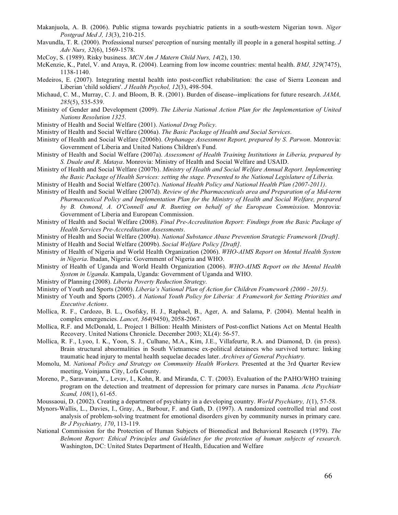- Makanjuola, A. B. (2006). Public stigma towards psychiatric patients in a south-western Nigerian town. *Niger Postgrad Med J, 13*(3), 210-215.
- Mavundla, T. R. (2000). Professional nurses' perception of nursing mentally ill people in a general hospital setting. *J Adv Nurs, 32*(6), 1569-1578.
- McCoy, S. (1989). Risky business. *MCN Am J Matern Child Nurs, 14*(2), 130.
- McKenzie, K., Patel, V. and Araya, R. (2004). Learning from low income countries: mental health. *BMJ, 329*(7475), 1138-1140.
- Medeiros, E. (2007). Integrating mental health into post-conflict rehabilitation: the case of Sierra Leonean and Liberian 'child soldiers'. *J Health Psychol, 12*(3), 498-504.
- Michaud, C. M., Murray, C. J. and Bloom, B. R. (2001). Burden of disease--implications for future research. *JAMA, 285*(5), 535-539.
- Ministry of Gender and Development (2009). *The Liberia National Action Plan for the Implementation of United Nations Resolution 1325*.
- Ministry of Health and Social Welfare (2001). *National Drug Policy*.
- Ministry of Health and Social Welfare (2006a). *The Basic Package of Health and Social Services*.
- Ministry of Health and Social Welfare (2006b). *Orphanage Assessment Report, prepared by S. Parwon*. Monrovia: Government of Liberia and United Nations Children's Fund.
- Ministry of Health and Social Welfare (2007a). *Assessment of Health Training Institutions in Liberia, prepared by S. Duale and R. Mataya*. Monrovia: Ministry of Health and Social Welfare and USAID.
- Ministry of Health and Social Welfare (2007b). *Ministry of Health and Social Welfare Annual Report. Implementing the Basic Package of Health Services: setting the stage. Presented to the National Legislature of Liberia*.
- Ministry of Health and Social Welfare (2007c). *National Health Policy and National Health Plan (2007-2011)*.
- Ministry of Health and Social Welfare (2007d). *Review of the Pharmaceuticals area and Preparation of a Mid-term Pharmaceutical Policy and Implementation Plan for the Ministry of Health and Social Welfare, prepared by B. Osmond, A. O'Connell and R. Bunting on behalf of the European Commission*. Monrovia: Government of Liberia and European Commission.
- Ministry of Health and Social Welfare (2008). *Final Pre-Accreditation Report: Findings from the Basic Package of Health Services Pre-Accreditation Assessments*.
- Ministry of Health and Social Welfare (2009a). *National Substance Abuse Prevention Strategic Framework [Draft]*. Ministry of Health and Social Welfare (2009b). *Social Welfare Policy [Draft]*.
- Ministry of Health of Nigeria and World Health Organization (2006). *WHO-AIMS Report on Mental Health System in Nigeria*. Ibadan, Nigeria: Government of Nigeria and WHO.
- Ministry of Health of Uganda and World Health Organization (2006). *WHO-AIMS Report on the Mental Health System in Uganda*. Kampala, Uganda: Government of Uganda and WHO.
- Ministry of Planning (2008). *Liberia Poverty Reduction Strategy*.
- Ministry of Youth and Sports (2000). *Liberia's National Plan of Action for Children Framework (2000 2015)*.
- Ministry of Youth and Sports (2005). *A National Youth Policy for Liberia: A Framework for Setting Priorities and Executive Actions*.
- Mollica, R. F., Cardozo, B. L., Osofsky, H. J., Raphael, B., Ager, A. and Salama, P. (2004). Mental health in complex emergencies. *Lancet, 364*(9450), 2058-2067.
- Mollica, R.F. and McDonald, L. Project 1 Billion: Health Ministers of Post-conflict Nations Act on Mental Health Recovery. United Nations Chronicle. December 2003; XL(4): 56-57.
- Mollica, R. F., Lyoo, I. K., Yoon, S. J., Culhane, M.A., Kim, J.E., Villafeurte, R.A. and Diamond, D. (in press). Brain structural abnormalities in South Vietnamese ex-political detainees who survived torture: linking traumatic head injury to mental health sequelae decades later. *Archives of General Psychiatry.*
- Momolu, M. *National Policy and Strategy on Community Health Workers.* Presented at the 3rd Quarter Review meeting, Voinjama City, Lofa County.
- Moreno, P., Saravanan, Y., Levav, I., Kohn, R. and Miranda, C. T. (2003). Evaluation of the PAHO/WHO training program on the detection and treatment of depression for primary care nurses in Panama. *Acta Psychiatr Scand, 108*(1), 61-65.
- Moussaoui, D. (2002). Creating a department of psychiatry in a developing country. *World Psychiatry, 1*(1), 57-58.
- Mynors-Wallis, L., Davies, I., Gray, A., Barbour, F. and Gath, D. (1997). A randomized controlled trial and cost analysis of problem-solving treatment for emotional disorders given by community nurses in primary care. *Br J Psychiatry, 170*, 113-119.
- National Commission for the Protection of Human Subjects of Biomedical and Behavioral Research (1979). *The Belmont Report: Ethical Principles and Guidelines for the protection of human subjects of research*. Washington, DC: United States Department of Health, Education and Welfare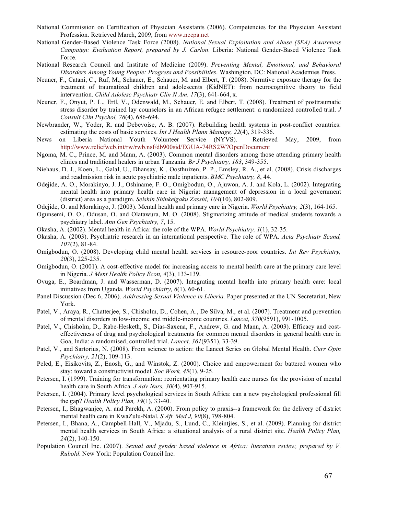- National Commission on Certification of Physician Assistants (2006). Competencies for the Physician Assistant Profession. Retrieved March, 2009, from www.nccpa.net
- National Gender-Based Violence Task Force (2008). *National Sexual Exploitation and Abuse (SEA) Awareness Campaign: Evaluation Report, prepared by J. Carlon*. Liberia: National Gender-Based Violence Task Force.
- National Research Council and Institute of Medicine (2009). *Preventing Mental, Emotional, and Behavioral Disorders Among Young People: Progress and Possibilities*. Washington, DC: National Academies Press.
- Neuner, F., Catani, C., Ruf, M., Schauer, E., Schauer, M. and Elbert, T. (2008). Narrative exposure therapy for the treatment of traumatized children and adolescents (KidNET): from neurocognitive theory to field intervention. *Child Adolesc Psychiatr Clin N Am, 17*(3), 641-664, x.
- Neuner, F., Onyut, P. L., Ertl, V., Odenwald, M., Schauer, E. and Elbert, T. (2008). Treatment of posttraumatic stress disorder by trained lay counselors in an African refugee settlement: a randomized controlled trial. *J Consult Clin Psychol, 76*(4), 686-694.
- Newbrander, W., Yoder, R. and Debevoise, A. B. (2007). Rebuilding health systems in post-conflict countries: estimating the costs of basic services. *Int J Health Plann Manage, 22*(4), 319-336.
- News on Liberia National Youth Volunteer Service (NYVS). Retrieved May, 2009, from http://www.reliefweb.int/rw/rwb.nsf/db900sid/EGUA-74RS2W?OpenDocument
- Ngoma, M. C., Prince, M. and Mann, A. (2003). Common mental disorders among those attending primary health clinics and traditional healers in urban Tanzania. *Br J Psychiatry, 183*, 349-355.
- Niehaus, D. J., Koen, L., Galal, U., Dhansay, K., Oosthuizen, P. P., Emsley, R. A., et al. (2008). Crisis discharges and readmission risk in acute psychiatric male inpatients. *BMC Psychiatry, 8*, 44.
- Odejide, A. O., Morakinyo, J. J., Oshiname, F. O., Omigbodun, O., Ajuwon, A. J. and Kola, L. (2002). Integrating mental health into primary health care in Nigeria: management of depression in a local government (district) area as a paradigm. *Seishin Shinkeigaku Zasshi, 104*(10), 802-809.
- Odejide, O. and Morakinyo, J. (2003). Mental health and primary care in Nigeria. *World Psychiatry, 2*(3), 164-165.
- Ogunsemi, O. O., Odusan, O. and Olatawura, M. O. (2008). Stigmatizing attitude of medical students towards a psychiatry label. *Ann Gen Psychiatry, 7*, 15.
- Okasha, A. (2002). Mental health in Africa: the role of the WPA. *World Psychiatry, 1*(1), 32-35.
- Okasha, A. (2003). Psychiatric research in an international perspective. The role of WPA. *Acta Psychiatr Scand, 107*(2), 81-84.
- Omigbodun, O. (2008). Developing child mental health services in resource-poor countries. *Int Rev Psychiatry, 20*(3), 225-235.
- Omigbodun, O. (2001). A cost-effective model for increasing access to mental health care at the primary care level in Nigeria. *J Ment Health Policy Econ, 4*(3), 133-139.
- Ovuga, E., Boardman, J. and Wasserman, D. (2007). Integrating mental health into primary health care: local initiatives from Uganda. *World Psychiatry, 6*(1), 60-61.
- Panel Discussion (Dec 6, 2006). *Addressing Sexual Violence in Liberia.* Paper presented at the UN Secretariat, New York.
- Patel, V., Araya, R., Chatterjee, S., Chisholm, D., Cohen, A., De Silva, M., et al. (2007). Treatment and prevention of mental disorders in low-income and middle-income countries. *Lancet, 370*(9591), 991-1005.
- Patel, V., Chisholm, D., Rabe-Hesketh, S., Dias-Saxena, F., Andrew, G. and Mann, A. (2003). Efficacy and costeffectiveness of drug and psychological treatments for common mental disorders in general health care in Goa, India: a randomised, controlled trial. *Lancet, 361*(9351), 33-39.
- Patel, V., and Sartorius, N. (2008). From science to action: the Lancet Series on Global Mental Health. *Curr Opin Psychiatry, 21*(2), 109-113.
- Peled, E., Eisikovits, Z., Enosh, G., and Winstok, Z. (2000). Choice and empowerment for battered women who stay: toward a constructivist model. *Soc Work, 45*(1), 9-25.
- Petersen, I. (1999). Training for transformation: reorientating primary health care nurses for the provision of mental health care in South Africa. *J Adv Nurs, 30*(4), 907-915.
- Petersen, I. (2004). Primary level psychological services in South Africa: can a new psychological professional fill the gap? *Health Policy Plan, 19*(1), 33-40.
- Petersen, I., Bhagwanjee, A. and Parekh, A. (2000). From policy to praxis--a framework for the delivery of district mental health care in KwaZulu-Natal. *S Afr Med J, 90*(8), 798-804.
- Petersen, I., Bhana, A., Campbell-Hall, V., Mjadu, S., Lund, C., Kleintjies, S., et al. (2009). Planning for district mental health services in South Africa: a situational analysis of a rural district site. *Health Policy Plan, 24*(2), 140-150.
- Population Council Inc. (2007). *Sexual and gender based violence in Africa: literature review, prepared by V. Rubold*. New York: Population Council Inc.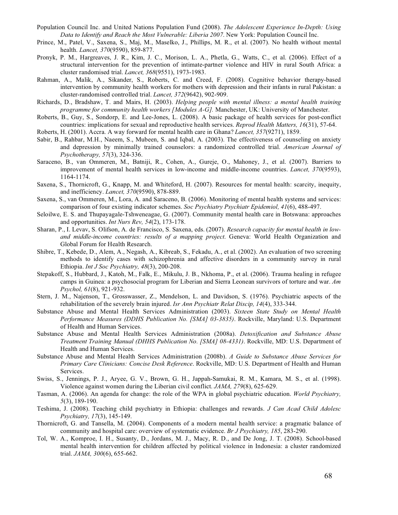- Population Council Inc. and United Nations Population Fund (2008). *The Adolescent Experience In-Depth: Using Data to Identify and Reach the Most Vulnerable: Liberia 2007*. New York: Population Council Inc.
- Prince, M., Patel, V., Saxena, S., Maj, M., Maselko, J., Phillips, M. R., et al. (2007). No health without mental health. *Lancet, 370*(9590), 859-877.
- Pronyk, P. M., Hargreaves, J. R., Kim, J. C., Morison, L. A., Phetla, G., Watts, C., et al. (2006). Effect of a structural intervention for the prevention of intimate-partner violence and HIV in rural South Africa: a cluster randomised trial. *Lancet, 368*(9551), 1973-1983.
- Rahman, A., Malik, A., Sikander, S., Roberts, C. and Creed, F. (2008). Cognitive behavior therapy-based intervention by community health workers for mothers with depression and their infants in rural Pakistan: a cluster-randomised controlled trial. *Lancet, 372*(9642), 902-909.
- Richards, D., Bradshaw, T. and Mairs, H. (2003). *Helping people with mental illness: a mental health training programme for community health workers [Modules A-G].* Manchester, UK: University of Manchester.
- Roberts, B., Guy, S., Sondorp, E. and Lee-Jones, L. (2008). A basic package of health services for post-conflict countries: implications for sexual and reproductive health services. *Reprod Health Matters, 16*(31), 57-64.
- Roberts, H. (2001). Accra. A way forward for mental health care in Ghana? *Lancet, 357*(9271), 1859.
- Sabir, B., Rahbar, M.H., Naeem, S., Mubeen, S. and Iqbal, A. (2003). The effectiveness of counseling on anxiety and depression by minimally trained counselors: a randomized controlled trial. *American Journal of Psychotherapy, 57*(3), 324-336.
- Saraceno, B., van Ommeren, M., Batniji, R., Cohen, A., Gureje, O., Mahoney, J., et al. (2007). Barriers to improvement of mental health services in low-income and middle-income countries. *Lancet, 370*(9593), 1164-1174.
- Saxena, S., Thornicroft, G., Knapp, M. and Whiteford, H. (2007). Resources for mental health: scarcity, inequity, and inefficiency. *Lancet, 370*(9590), 878-889.
- Saxena, S., van Ommeren, M., Lora, A. and Saraceno, B. (2006). Monitoring of mental health systems and services: comparison of four existing indicator schemes. *Soc Psychiatry Psychiatr Epidemiol, 41*(6), 488-497.
- Seloilwe, E. S. and Thupayagale-Tshweneagae, G. (2007). Community mental health care in Botswana: approaches and opportunities. *Int Nurs Rev, 54*(2), 173-178.
- Sharan, P., I. Levav, S. Olifson, A. de Francisco, S. Saxena, eds. (2007). *Research capacity for mental health in lowand middle-income countries: results of a mapping project*. Geneva: World Health Organization and Global Forum for Health Research.
- Shibre, T., Kebede, D., Alem, A., Negash, A., Kibreab, S., Fekadu, A., et al. (2002). An evaluation of two screening methods to identify cases with schizophrenia and affective disorders in a community survey in rural Ethiopia. *Int J Soc Psychiatry, 48*(3), 200-208.
- Stepakoff, S., Hubbard, J., Katoh, M., Falk, E., Mikulu, J. B., Nkhoma, P., et al. (2006). Trauma healing in refugee camps in Guinea: a psychosocial program for Liberian and Sierra Leonean survivors of torture and war. *Am Psychol, 61*(8), 921-932.
- Stern, J. M., Najenson, T., Grosswasser, Z., Mendelson, L. and Davidson, S. (1976). Psychiatric aspects of the rehabilitation of the severely brain injured. *Isr Ann Psychiatr Relat Discip, 14*(4), 333-344.
- Substance Abuse and Mental Health Services Administration (2003). *Sixteen State Study on Mental Health Performance Measures (DDHS Publication No. [SMA] 03-3835)*. Rockville, Maryland: U.S. Department of Health and Human Services.
- Substance Abuse and Mental Health Services Administration (2008a). *Detoxification and Substance Abuse Treatment Training Manual (DHHS Publication No. [SMA] 08-4331)*. Rockville, MD: U.S. Department of Health and Human Services.
- Substance Abuse and Mental Health Services Administration (2008b). *A Guide to Substance Abuse Services for Primary Care Clinicians: Concise Desk Reference*. Rockville, MD: U.S. Department of Health and Human Services.
- Swiss, S., Jennings, P. J., Aryee, G. V., Brown, G. H., Jappah-Samukai, R. M., Kamara, M. S., et al. (1998). Violence against women during the Liberian civil conflict. *JAMA, 279*(8), 625-629.
- Tasman, A. (2006). An agenda for change: the role of the WPA in global psychiatric education. *World Psychiatry, 5*(3), 189-190.
- Teshima, J. (2008). Teaching child psychiatry in Ethiopia: challenges and rewards. *J Can Acad Child Adolesc Psychiatry, 17*(3), 145-149.
- Thornicroft, G. and Tansella, M. (2004). Components of a modern mental health service: a pragmatic balance of community and hospital care: overview of systematic evidence. *Br J Psychiatry, 185*, 283-290.
- Tol, W. A., Komproe, I. H., Susanty, D., Jordans, M. J., Macy, R. D., and De Jong, J. T. (2008). School-based mental health intervention for children affected by political violence in Indonesia: a cluster randomized trial. *JAMA, 300*(6), 655-662.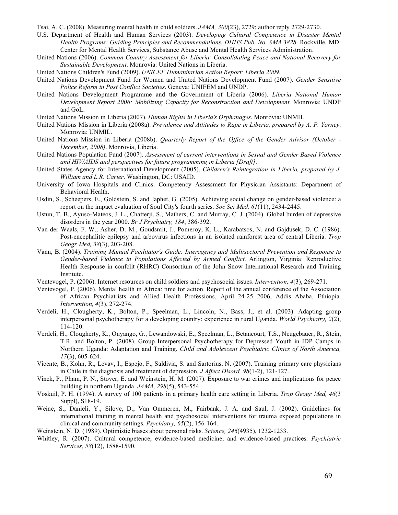Tsai, A. C. (2008). Measuring mental health in child soldiers. *JAMA, 300*(23), 2729; author reply 2729-2730.

- U.S. Department of Health and Human Services (2003). *Developing Cultural Competence in Disaster Mental Health Programs: Guiding Principles and Recommendations. DHHS Pub. No. SMA 3828*. Rockville, MD: Center for Mental Health Services, Substance Abuse and Mental Health Services Administration.
- United Nations (2006). *Common Country Assessment for Liberia: Consolidating Peace and National Recovery for Sustainable Development*. Monrovia: United Nations in Liberia.
- United Nations Children's Fund (2009). *UNICEF Humanitarian Action Report: Liberia 2009*.
- United Nations Development Fund for Women and United Nations Development Fund (2007). *Gender Sensitive Police Reform in Post Conflict Societies*. Geneva: UNIFEM and UNDP.
- United Nations Development Programme and the Government of Liberia (2006). *Liberia National Human Development Report 2006: Mobilizing Capacity for Reconstruction and Development*. Monrovia: UNDP and GoL.
- United Nations Mission in Liberia (2007). *Human Rights in Liberia's Orphanages*. Monrovia: UNMIL.
- United Nations Mission in Liberia (2008a). *Prevalence and Attitudes to Rape in Liberia, prepared by A. P. Yarney*. Monrovia: UNMIL.
- United Nations Mission in Liberia (2008b). *Quarterly Report of the Office of the Gender Advisor (October December, 2008)*. Monrovia, Liberia.
- United Nations Population Fund (2007). *Assessment of current interventions in Sexual and Gender Based Violence and HIV/AIDS and perspectives for future programming in Liberia [Draft]*.
- United States Agency for International Development (2005). *Children's Reintegration in Liberia, prepared by J. William and L.R. Carter*. Washington, DC: USAID.
- University of Iowa Hospitals and Clinics. Competency Assessment for Physician Assistants: Department of Behavioral Health.
- Usdin, S., Scheepers, E., Goldstein, S. and Japhet, G. (2005). Achieving social change on gender-based violence: a report on the impact evaluation of Soul City's fourth series. *Soc Sci Med, 61*(11), 2434-2445.
- Ustun, T. B., Ayuso-Mateos, J. L., Chatterji, S., Mathers, C. and Murray, C. J. (2004). Global burden of depressive disorders in the year 2000. *Br J Psychiatry, 184*, 386-392.
- Van der Waals, F. W., Asher, D. M., Goudsmit, J., Pomeroy, K. L., Karabatsos, N. and Gajdusek, D. C. (1986). Post-encephalitic epilepsy and arbovirus infections in an isolated rainforest area of central Liberia. *Trop Geogr Med, 38*(3), 203-208.
- Vann, B. (2004). *Training Manual Facilitator's Guide: Interagency and Multisectoral Prevention and Response to Gender-based Violence in Populations Affected by Armed Conflict*. Arlington, Virginia: Reproductive Health Response in confclit (RHRC) Consortium of the John Snow International Research and Training Institute.
- Ventevogel, P. (2006). Internet resources on child soldiers and psychosocial issues. *Intervention, 4*(3), 269-271.
- Ventevogel, P. (2006). Mental health in Africa: time for action. Report of the annual conference of the Association of African Psychiatrists and Allied Health Professions, April 24-25 2006, Addis Ababa, Ethiopia. *Intervention, 4*(3), 272-274.
- Verdeli, H., Clougherty, K., Bolton, P., Speelman, L., Lincoln, N., Bass, J., et al. (2003). Adapting group interpersonal psychotherapy for a developing country: experience in rural Uganda. *World Psychiatry, 2*(2), 114-120.
- Verdeli, H., Clougherty, K., Onyango, G., Lewandowski, E., Speelman, L., Betancourt, T.S., Neugebauer, R., Stein, T.R. and Bolton, P. (2008). Group Interpersonal Psychotherapy for Depressed Youth in IDP Camps in Northern Uganda: Adaptation and Training. *Child and Adolescent Psychiatric Clinics of North America, 17*(3), 605-624.
- Vicente, B., Kohn, R., Levav, I., Espejo, F., Saldivia, S. and Sartorius, N. (2007). Training primary care physicians in Chile in the diagnosis and treatment of depression. *J Affect Disord, 98*(1-2), 121-127.
- Vinck, P., Pham, P. N., Stover, E. and Weinstein, H. M. (2007). Exposure to war crimes and implications for peace building in northern Uganda. *JAMA, 298*(5), 543-554.
- Voskuil, P. H. (1994). A survey of 100 patients in a primary health care setting in Liberia. *Trop Geogr Med, 46*(3 Suppl), S18-19.
- Weine, S., Danieli, Y., Silove, D., Van Ommeren, M., Fairbank, J. A. and Saul, J. (2002). Guidelines for international training in mental health and psychosocial interventions for trauma exposed populations in clinical and community settings. *Psychiatry, 65*(2), 156-164.
- Weinstein, N. D. (1989). Optimistic biases about personal risks. *Science, 246*(4935), 1232-1233.
- Whitley, R. (2007). Cultural competence, evidence-based medicine, and evidence-based practices. *Psychiatric Services, 58*(12), 1588-1590.